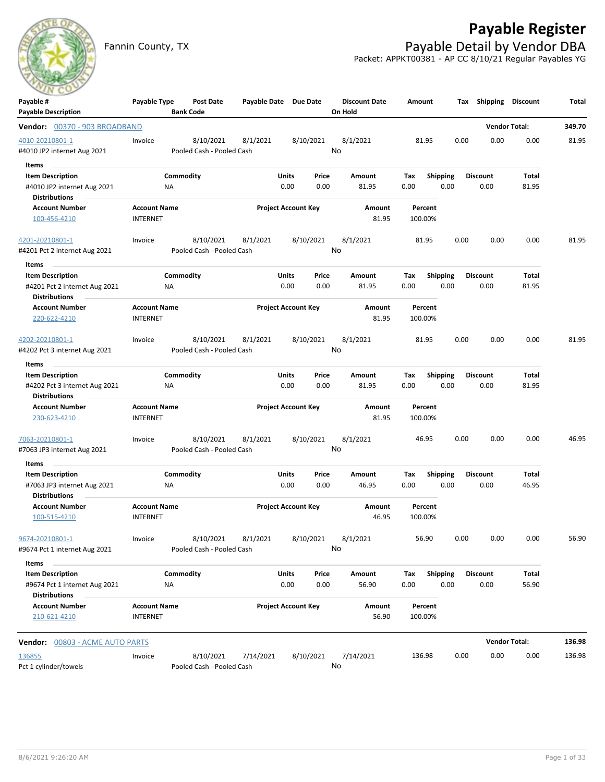

# **Payable Register**

Fannin County, TX **Payable Detail by Vendor DBA** Packet: APPKT00381 - AP CC 8/10/21 Regular Payables YG

| Payable #                                             | Payable Type        | Post Date                 | Payable Date Due Date |                            |           | <b>Discount Date</b> | Amount  |                 | <b>Shipping</b><br>Tax | <b>Discount</b>      | Total  |
|-------------------------------------------------------|---------------------|---------------------------|-----------------------|----------------------------|-----------|----------------------|---------|-----------------|------------------------|----------------------|--------|
| <b>Payable Description</b>                            |                     | <b>Bank Code</b>          |                       |                            |           | On Hold              |         |                 |                        |                      |        |
| Vendor: 00370 - 903 BROADBAND                         |                     |                           |                       |                            |           |                      |         |                 |                        | <b>Vendor Total:</b> | 349.70 |
| 4010-20210801-1                                       | Invoice             | 8/10/2021                 | 8/1/2021              |                            | 8/10/2021 | 8/1/2021             | 81.95   |                 | 0.00                   | 0.00<br>0.00         | 81.95  |
| #4010 JP2 internet Aug 2021                           |                     | Pooled Cash - Pooled Cash |                       |                            |           | No                   |         |                 |                        |                      |        |
| Items                                                 |                     |                           |                       |                            |           |                      |         |                 |                        |                      |        |
| <b>Item Description</b>                               |                     | Commodity                 |                       | Units                      | Price     | Amount               | Tax     | <b>Shipping</b> | <b>Discount</b>        | Total                |        |
| #4010 JP2 internet Aug 2021<br><b>Distributions</b>   | ΝA                  |                           |                       | 0.00                       | 0.00      | 81.95                | 0.00    | 0.00            | 0.00                   | 81.95                |        |
| <b>Account Number</b>                                 | <b>Account Name</b> |                           |                       | <b>Project Account Key</b> |           | Amount               | Percent |                 |                        |                      |        |
| 100-456-4210                                          | <b>INTERNET</b>     |                           |                       |                            |           | 81.95                | 100.00% |                 |                        |                      |        |
| 4201-20210801-1                                       | Invoice             | 8/10/2021                 | 8/1/2021              |                            | 8/10/2021 | 8/1/2021             | 81.95   |                 | 0.00                   | 0.00<br>0.00         | 81.95  |
| #4201 Pct 2 internet Aug 2021                         |                     | Pooled Cash - Pooled Cash |                       |                            |           | No                   |         |                 |                        |                      |        |
| Items                                                 |                     |                           |                       |                            |           |                      |         |                 |                        |                      |        |
| <b>Item Description</b>                               |                     | Commodity                 |                       | Units                      | Price     | Amount               | Tax     | <b>Shipping</b> | Discount               | Total                |        |
| #4201 Pct 2 internet Aug 2021<br><b>Distributions</b> | ΝA                  |                           |                       | 0.00                       | 0.00      | 81.95                | 0.00    | 0.00            | 0.00                   | 81.95                |        |
| <b>Account Number</b>                                 | <b>Account Name</b> |                           |                       | <b>Project Account Key</b> |           | Amount               | Percent |                 |                        |                      |        |
| 220-622-4210                                          | <b>INTERNET</b>     |                           |                       |                            |           | 81.95                | 100.00% |                 |                        |                      |        |
| 4202-20210801-1                                       | Invoice             | 8/10/2021                 | 8/1/2021              |                            | 8/10/2021 | 8/1/2021             | 81.95   |                 | 0.00                   | 0.00<br>0.00         | 81.95  |
| #4202 Pct 3 internet Aug 2021                         |                     | Pooled Cash - Pooled Cash |                       |                            |           | No                   |         |                 |                        |                      |        |
| Items                                                 |                     |                           |                       |                            |           |                      |         |                 |                        |                      |        |
| <b>Item Description</b>                               |                     | Commodity                 |                       | Units                      | Price     | <b>Amount</b>        | Tax     | <b>Shipping</b> | <b>Discount</b>        | Total                |        |
| #4202 Pct 3 internet Aug 2021                         | ΝA                  |                           |                       | 0.00                       | 0.00      | 81.95                | 0.00    | 0.00            | 0.00                   | 81.95                |        |
| <b>Distributions</b>                                  |                     |                           |                       |                            |           |                      |         |                 |                        |                      |        |
| <b>Account Number</b>                                 | <b>Account Name</b> |                           |                       | <b>Project Account Key</b> |           | Amount               | Percent |                 |                        |                      |        |
| 230-623-4210                                          | <b>INTERNET</b>     |                           |                       |                            |           | 81.95                | 100.00% |                 |                        |                      |        |
| 7063-20210801-1                                       | Invoice             | 8/10/2021                 | 8/1/2021              |                            | 8/10/2021 | 8/1/2021             | 46.95   |                 | 0.00                   | 0.00<br>0.00         | 46.95  |
| #7063 JP3 internet Aug 2021                           |                     | Pooled Cash - Pooled Cash |                       |                            |           | No                   |         |                 |                        |                      |        |
| Items                                                 |                     |                           |                       |                            |           |                      |         |                 |                        |                      |        |
| <b>Item Description</b>                               |                     | Commodity                 |                       | Units                      | Price     | Amount               | Tax     | <b>Shipping</b> | <b>Discount</b>        | Total                |        |
| #7063 JP3 internet Aug 2021<br><b>Distributions</b>   | ΝA                  |                           |                       | 0.00                       | 0.00      | 46.95                | 0.00    | 0.00            | 0.00                   | 46.95                |        |
| <b>Account Number</b>                                 | <b>Account Name</b> |                           |                       | <b>Project Account Key</b> |           | Amount               | Percent |                 |                        |                      |        |
| 100-515-4210                                          | <b>INTERNET</b>     |                           |                       |                            |           | 46.95                | 100.00% |                 |                        |                      |        |
| 9674-20210801-1                                       | Invoice             | 8/10/2021                 | 8/1/2021              |                            | 8/10/2021 | 8/1/2021             | 56.90   |                 | 0.00                   | 0.00<br>0.00         | 56.90  |
| #9674 Pct 1 internet Aug 2021                         |                     | Pooled Cash - Pooled Cash |                       |                            |           | No                   |         |                 |                        |                      |        |
| Items                                                 |                     |                           |                       |                            |           |                      |         |                 |                        |                      |        |
| <b>Item Description</b>                               |                     | Commodity                 |                       | Units                      | Price     | Amount               | Tax     | <b>Shipping</b> | <b>Discount</b>        | Total                |        |
| #9674 Pct 1 internet Aug 2021                         | ΝA                  |                           |                       | 0.00                       | 0.00      | 56.90                | 0.00    | 0.00            | 0.00                   | 56.90                |        |
| <b>Distributions</b>                                  |                     |                           |                       |                            |           |                      |         |                 |                        |                      |        |
| <b>Account Number</b>                                 | <b>Account Name</b> |                           |                       | <b>Project Account Key</b> |           | Amount               | Percent |                 |                        |                      |        |
| 210-621-4210                                          | <b>INTERNET</b>     |                           |                       |                            |           | 56.90                | 100.00% |                 |                        |                      |        |
| <b>Vendor:</b> 00803 - ACME AUTO PARTS                |                     |                           |                       |                            |           |                      |         |                 |                        | <b>Vendor Total:</b> | 136.98 |
| 136855                                                | Invoice             | 8/10/2021                 | 7/14/2021             |                            | 8/10/2021 | 7/14/2021            | 136.98  |                 | 0.00                   | 0.00<br>0.00         | 136.98 |
| Pct 1 cylinder/towels                                 |                     | Pooled Cash - Pooled Cash |                       |                            |           | No                   |         |                 |                        |                      |        |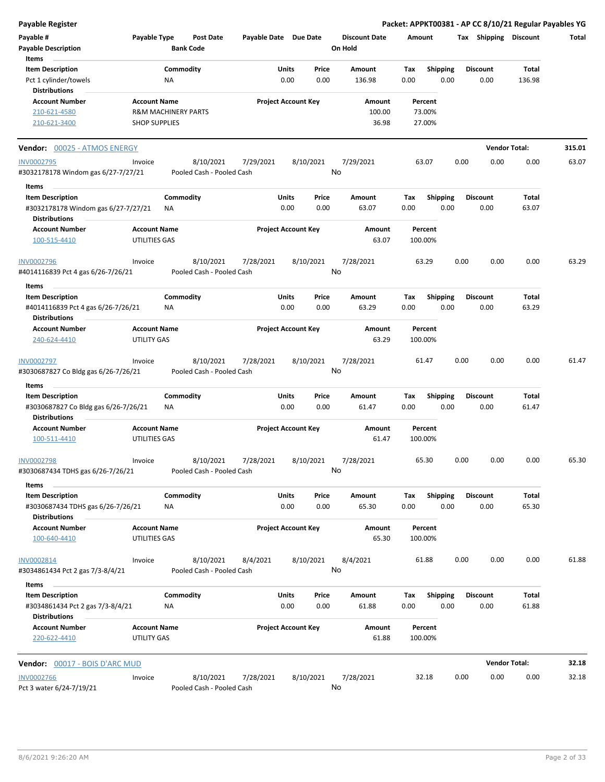**Payable Register Packet: APPKT00381 - AP CC 8/10/21 Regular Payables YG**

| Payable #<br>Payable Type<br><b>Payable Description</b><br>Items |                                      | <b>Bank Code</b>       | <b>Post Date</b>                       | Payable Date Due Date      |               |               | <b>Discount Date</b><br>On Hold | Amount             |                         |      | Tax Shipping            | <b>Discount</b> | Total  |
|------------------------------------------------------------------|--------------------------------------|------------------------|----------------------------------------|----------------------------|---------------|---------------|---------------------------------|--------------------|-------------------------|------|-------------------------|-----------------|--------|
| <b>Item Description</b>                                          |                                      | Commodity              |                                        |                            | Units         | Price         | Amount                          | Tax                | <b>Shipping</b>         |      | <b>Discount</b>         | Total           |        |
| Pct 1 cylinder/towels                                            |                                      | ΝA                     |                                        |                            | 0.00          | 0.00          | 136.98                          | 0.00               | 0.00                    |      | 0.00                    | 136.98          |        |
| <b>Distributions</b>                                             |                                      |                        |                                        |                            |               |               |                                 |                    |                         |      |                         |                 |        |
| <b>Account Number</b>                                            | <b>Account Name</b>                  |                        |                                        | <b>Project Account Key</b> |               |               | Amount                          | Percent            |                         |      |                         |                 |        |
| 210-621-4580                                                     | <b>R&amp;M MACHINERY PARTS</b>       |                        |                                        |                            |               |               | 100.00                          | 73.00%             |                         |      |                         |                 |        |
| 210-621-3400                                                     | <b>SHOP SUPPLIES</b>                 |                        |                                        |                            |               |               | 36.98                           | 27.00%             |                         |      |                         |                 |        |
| <b>Vendor: 00025 - ATMOS ENERGY</b>                              |                                      |                        |                                        |                            |               |               |                                 |                    |                         |      | <b>Vendor Total:</b>    |                 | 315.01 |
| INV0002795                                                       | Invoice                              |                        | 8/10/2021                              | 7/29/2021                  |               | 8/10/2021     | 7/29/2021                       | 63.07              |                         | 0.00 | 0.00                    | 0.00            | 63.07  |
| #3032178178 Windom gas 6/27-7/27/21                              |                                      |                        | Pooled Cash - Pooled Cash              |                            |               |               | No                              |                    |                         |      |                         |                 |        |
| Items                                                            |                                      |                        |                                        |                            |               |               |                                 |                    |                         |      |                         |                 |        |
| <b>Item Description</b>                                          |                                      | Commodity              |                                        |                            | Units         | Price         | Amount                          | Tax                | <b>Shipping</b>         |      | <b>Discount</b>         | Total           |        |
| #3032178178 Windom gas 6/27-7/27/21<br><b>Distributions</b>      |                                      | ΝA                     |                                        |                            | 0.00          | 0.00          | 63.07                           | 0.00               | 0.00                    |      | 0.00                    | 63.07           |        |
| <b>Account Number</b>                                            | <b>Account Name</b>                  |                        |                                        | <b>Project Account Key</b> |               |               | Amount                          | Percent            |                         |      |                         |                 |        |
| 100-515-4410                                                     | UTILITIES GAS                        |                        |                                        |                            |               |               | 63.07                           | 100.00%            |                         |      |                         |                 |        |
| INV0002796<br>#4014116839 Pct 4 gas 6/26-7/26/21                 | Invoice                              |                        | 8/10/2021<br>Pooled Cash - Pooled Cash | 7/28/2021                  |               | 8/10/2021     | 7/28/2021<br>No                 | 63.29              |                         | 0.00 | 0.00                    | 0.00            | 63.29  |
| Items                                                            |                                      |                        |                                        |                            |               |               |                                 |                    |                         |      |                         |                 |        |
| <b>Item Description</b><br>#4014116839 Pct 4 gas 6/26-7/26/21    |                                      | Commodity<br><b>NA</b> |                                        |                            | Units<br>0.00 | Price<br>0.00 | Amount<br>63.29                 | Tax<br>0.00        | <b>Shipping</b><br>0.00 |      | <b>Discount</b><br>0.00 | Total<br>63.29  |        |
| <b>Distributions</b>                                             |                                      |                        |                                        |                            |               |               |                                 |                    |                         |      |                         |                 |        |
| <b>Account Number</b><br>240-624-4410                            | <b>Account Name</b><br>UTILITY GAS   |                        |                                        | <b>Project Account Key</b> |               |               | Amount<br>63.29                 | Percent<br>100.00% |                         |      |                         |                 |        |
| INV0002797<br>#3030687827 Co Bldg gas 6/26-7/26/21               | Invoice                              |                        | 8/10/2021<br>Pooled Cash - Pooled Cash | 7/28/2021                  |               | 8/10/2021     | 7/28/2021<br>No                 | 61.47              |                         | 0.00 | 0.00                    | 0.00            | 61.47  |
| Items                                                            |                                      |                        |                                        |                            |               |               |                                 |                    |                         |      |                         |                 |        |
| <b>Item Description</b>                                          |                                      | Commodity              |                                        |                            | Units         | Price         | Amount                          | Tax                | <b>Shipping</b>         |      | <b>Discount</b>         | Total           |        |
| #3030687827 Co Bldg gas 6/26-7/26/21<br><b>Distributions</b>     |                                      | NA                     |                                        |                            | 0.00          | 0.00          | 61.47                           | 0.00               | 0.00                    |      | 0.00                    | 61.47           |        |
| <b>Account Number</b>                                            | <b>Account Name</b>                  |                        |                                        | <b>Project Account Key</b> |               |               | Amount                          | Percent            |                         |      |                         |                 |        |
| 100-511-4410                                                     | UTILITIES GAS                        |                        |                                        |                            |               |               | 61.47                           | 100.00%            |                         |      |                         |                 |        |
| <b>INV0002798</b><br>#3030687434 TDHS gas 6/26-7/26/21           | Invoice                              |                        | 8/10/2021<br>Pooled Cash - Pooled Cash | 7/28/2021                  |               | 8/10/2021     | 7/28/2021<br>No                 | 65.30              |                         | 0.00 | 0.00                    | 0.00            | 65.30  |
| Items                                                            |                                      |                        |                                        |                            |               |               |                                 |                    |                         |      |                         |                 |        |
| <b>Item Description</b><br>#3030687434 TDHS gas 6/26-7/26/21     |                                      | Commodity<br>NA        |                                        |                            | Units<br>0.00 | Price<br>0.00 | Amount<br>65.30                 | Tax<br>0.00        | Shipping<br>0.00        |      | <b>Discount</b><br>0.00 | Total<br>65.30  |        |
| <b>Distributions</b>                                             |                                      |                        |                                        |                            |               |               |                                 |                    |                         |      |                         |                 |        |
| <b>Account Number</b><br>100-640-4410                            | <b>Account Name</b><br>UTILITIES GAS |                        |                                        | <b>Project Account Key</b> |               |               | Amount<br>65.30                 | Percent<br>100.00% |                         |      |                         |                 |        |
| INV0002814<br>#3034861434 Pct 2 gas 7/3-8/4/21                   | Invoice                              |                        | 8/10/2021<br>Pooled Cash - Pooled Cash | 8/4/2021                   |               | 8/10/2021     | 8/4/2021<br>No                  | 61.88              |                         | 0.00 | 0.00                    | 0.00            | 61.88  |
| Items                                                            |                                      |                        |                                        |                            |               |               |                                 |                    |                         |      |                         |                 |        |
| <b>Item Description</b>                                          |                                      | Commodity              |                                        |                            | Units         | Price         | Amount                          | Tax                | Shipping                |      | <b>Discount</b>         | Total           |        |
| #3034861434 Pct 2 gas 7/3-8/4/21<br><b>Distributions</b>         |                                      | <b>NA</b>              |                                        |                            | 0.00          | 0.00          | 61.88                           | 0.00               | 0.00                    |      | 0.00                    | 61.88           |        |
| <b>Account Number</b><br>220-622-4410                            | <b>Account Name</b><br>UTILITY GAS   |                        |                                        | <b>Project Account Key</b> |               |               | Amount<br>61.88                 | Percent<br>100.00% |                         |      |                         |                 |        |
|                                                                  |                                      |                        |                                        |                            |               |               |                                 |                    |                         |      |                         |                 |        |
| <b>Vendor: 00017 - BOIS D'ARC MUD</b>                            |                                      |                        |                                        |                            |               |               |                                 |                    |                         |      | <b>Vendor Total:</b>    |                 | 32.18  |
| <b>INV0002766</b><br>Pct 3 water 6/24-7/19/21                    | Invoice                              |                        | 8/10/2021<br>Pooled Cash - Pooled Cash | 7/28/2021                  |               | 8/10/2021     | 7/28/2021<br>No                 | 32.18              |                         | 0.00 | 0.00                    | 0.00            | 32.18  |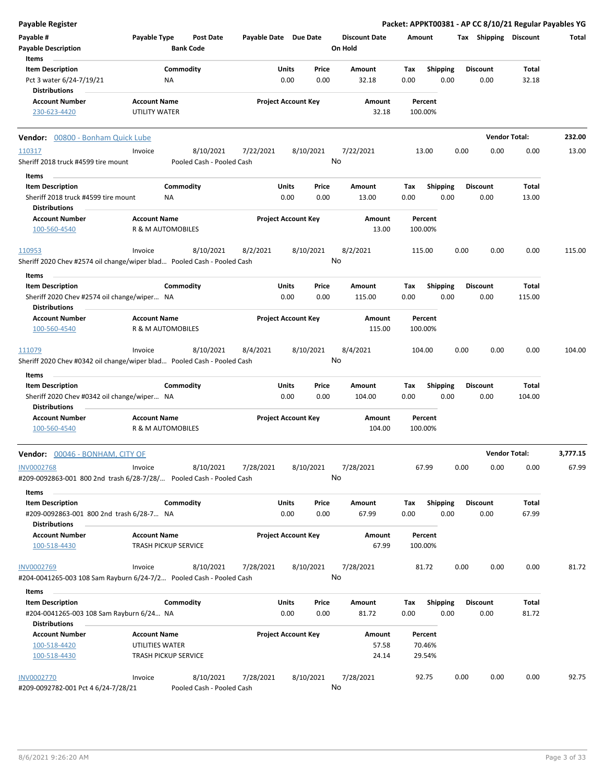| Payable Register                                                                               |                                      |                             |                  |                       |                            |               |                                 |             |                         |      |                         | Packet: APPKT00381 - AP CC 8/10/21 Regular Payables YG |          |
|------------------------------------------------------------------------------------------------|--------------------------------------|-----------------------------|------------------|-----------------------|----------------------------|---------------|---------------------------------|-------------|-------------------------|------|-------------------------|--------------------------------------------------------|----------|
| Payable #<br><b>Payable Description</b>                                                        | Payable Type                         | <b>Bank Code</b>            | <b>Post Date</b> | Payable Date Due Date |                            |               | <b>Discount Date</b><br>On Hold | Amount      |                         |      | Tax Shipping Discount   |                                                        | Total    |
| Items                                                                                          |                                      |                             |                  |                       |                            |               |                                 |             |                         |      |                         |                                                        |          |
| <b>Item Description</b><br>Pct 3 water 6/24-7/19/21<br><b>Distributions</b>                    |                                      | Commodity<br>ΝA             |                  |                       | Units<br>0.00              | Price<br>0.00 | Amount<br>32.18                 | Tax<br>0.00 | <b>Shipping</b><br>0.00 |      | <b>Discount</b><br>0.00 | Total<br>32.18                                         |          |
| <b>Account Number</b><br>230-623-4420                                                          | <b>Account Name</b><br>UTILITY WATER |                             |                  |                       | <b>Project Account Key</b> |               | Amount<br>32.18                 |             | Percent<br>100.00%      |      |                         |                                                        |          |
| Vendor: 00800 - Bonham Quick Lube                                                              |                                      |                             |                  |                       |                            |               |                                 |             |                         |      |                         | <b>Vendor Total:</b>                                   | 232.00   |
| 110317                                                                                         | Invoice                              |                             | 8/10/2021        | 7/22/2021             |                            | 8/10/2021     | 7/22/2021                       |             | 13.00                   | 0.00 | 0.00                    | 0.00                                                   | 13.00    |
| Sheriff 2018 truck #4599 tire mount                                                            |                                      | Pooled Cash - Pooled Cash   |                  |                       |                            |               | No                              |             |                         |      |                         |                                                        |          |
| Items                                                                                          |                                      |                             |                  |                       |                            |               |                                 |             |                         |      |                         |                                                        |          |
| <b>Item Description</b><br>Sheriff 2018 truck #4599 tire mount<br><b>Distributions</b>         |                                      | Commodity<br>ΝA             |                  |                       | Units<br>0.00              | Price<br>0.00 | Amount<br>13.00                 | Tax<br>0.00 | Shipping<br>0.00        |      | <b>Discount</b><br>0.00 | Total<br>13.00                                         |          |
| <b>Account Number</b><br>100-560-4540                                                          | <b>Account Name</b>                  | R & M AUTOMOBILES           |                  |                       | <b>Project Account Key</b> |               | Amount<br>13.00                 |             | Percent<br>100.00%      |      |                         |                                                        |          |
| 110953                                                                                         | Invoice                              |                             | 8/10/2021        | 8/2/2021              |                            | 8/10/2021     | 8/2/2021                        |             | 115.00                  | 0.00 | 0.00                    | 0.00                                                   | 115.00   |
| Sheriff 2020 Chev #2574 oil change/wiper blad Pooled Cash - Pooled Cash                        |                                      |                             |                  |                       |                            |               | No                              |             |                         |      |                         |                                                        |          |
| Items                                                                                          |                                      |                             |                  |                       |                            |               |                                 |             |                         |      |                         |                                                        |          |
| <b>Item Description</b><br>Sheriff 2020 Chev #2574 oil change/wiper NA<br><b>Distributions</b> |                                      | Commodity                   |                  |                       | Units<br>0.00              | Price<br>0.00 | Amount<br>115.00                | Tax<br>0.00 | <b>Shipping</b><br>0.00 |      | <b>Discount</b><br>0.00 | Total<br>115.00                                        |          |
| <b>Account Number</b><br>100-560-4540                                                          | <b>Account Name</b>                  | R & M AUTOMOBILES           |                  |                       | <b>Project Account Key</b> |               | Amount<br>115.00                |             | Percent<br>100.00%      |      |                         |                                                        |          |
| 111079<br>Sheriff 2020 Chev #0342 oil change/wiper blad Pooled Cash - Pooled Cash              | Invoice                              |                             | 8/10/2021        | 8/4/2021              |                            | 8/10/2021     | 8/4/2021<br>No                  |             | 104.00                  | 0.00 | 0.00                    | 0.00                                                   | 104.00   |
| Items                                                                                          |                                      |                             |                  |                       |                            |               |                                 |             |                         |      |                         |                                                        |          |
| <b>Item Description</b>                                                                        |                                      | Commodity                   |                  |                       | Units                      | Price         | Amount                          | Tax         | <b>Shipping</b>         |      | <b>Discount</b>         | Total                                                  |          |
| Sheriff 2020 Chev #0342 oil change/wiper NA<br><b>Distributions</b>                            |                                      |                             |                  |                       | 0.00                       | 0.00          | 104.00                          | 0.00        | 0.00                    |      | 0.00                    | 104.00                                                 |          |
| <b>Account Number</b><br>100-560-4540                                                          | <b>Account Name</b>                  | R & M AUTOMOBILES           |                  |                       | <b>Project Account Key</b> |               | Amount<br>104.00                |             | Percent<br>100.00%      |      |                         |                                                        |          |
| <b>Vendor:</b> 00046 - BONHAM. CITY OF                                                         |                                      |                             |                  |                       |                            |               |                                 |             |                         |      |                         | <b>Vendor Total:</b>                                   | 3,777.15 |
| <b>INV0002768</b><br>#209-0092863-001 800 2nd trash 6/28-7/28/ Pooled Cash - Pooled Cash       | Invoice                              |                             | 8/10/2021        | 7/28/2021             |                            | 8/10/2021     | 7/28/2021<br>No                 |             | 67.99                   | 0.00 | 0.00                    | 0.00                                                   | 67.99    |
| Items<br><b>Item Description</b>                                                               |                                      | Commodity                   |                  |                       | Units                      | Price         | Amount                          | Tax         | <b>Shipping</b>         |      | <b>Discount</b>         | Total                                                  |          |
| #209-0092863-001 800 2nd trash 6/28-7 NA<br><b>Distributions</b>                               |                                      |                             |                  |                       | 0.00                       | 0.00          | 67.99                           | 0.00        | 0.00                    |      | 0.00                    | 67.99                                                  |          |
| <b>Account Number</b><br>100-518-4430                                                          | <b>Account Name</b>                  | <b>TRASH PICKUP SERVICE</b> |                  |                       | <b>Project Account Key</b> |               | Amount<br>67.99                 |             | Percent<br>100.00%      |      |                         |                                                        |          |
| <b>INV0002769</b><br>#204-0041265-003 108 Sam Rayburn 6/24-7/2 Pooled Cash - Pooled Cash       | Invoice                              |                             | 8/10/2021        | 7/28/2021             |                            | 8/10/2021     | 7/28/2021<br>No                 |             | 81.72                   | 0.00 | 0.00                    | 0.00                                                   | 81.72    |
|                                                                                                |                                      |                             |                  |                       |                            |               |                                 |             |                         |      |                         |                                                        |          |
| Items<br><b>Item Description</b>                                                               |                                      | Commodity                   |                  |                       | Units                      | Price         | Amount                          | Тах         | <b>Shipping</b>         |      | <b>Discount</b>         | Total                                                  |          |
| #204-0041265-003 108 Sam Rayburn 6/24 NA                                                       |                                      |                             |                  |                       | 0.00                       | 0.00          | 81.72                           | 0.00        | 0.00                    |      | 0.00                    | 81.72                                                  |          |
| <b>Distributions</b>                                                                           |                                      |                             |                  |                       |                            |               |                                 |             |                         |      |                         |                                                        |          |
| <b>Account Number</b>                                                                          | <b>Account Name</b>                  |                             |                  |                       | <b>Project Account Key</b> |               | Amount                          |             | Percent                 |      |                         |                                                        |          |
| 100-518-4420                                                                                   | UTILITIES WATER                      |                             |                  |                       |                            |               | 57.58                           |             | 70.46%                  |      |                         |                                                        |          |
| 100-518-4430                                                                                   |                                      | <b>TRASH PICKUP SERVICE</b> |                  |                       |                            |               | 24.14                           |             | 29.54%                  |      |                         |                                                        |          |
| <b>INV0002770</b><br>#209-0092782-001 Pct 4 6/24-7/28/21                                       | Invoice                              | Pooled Cash - Pooled Cash   | 8/10/2021        | 7/28/2021             |                            | 8/10/2021     | 7/28/2021<br>No                 |             | 92.75                   | 0.00 | 0.00                    | 0.00                                                   | 92.75    |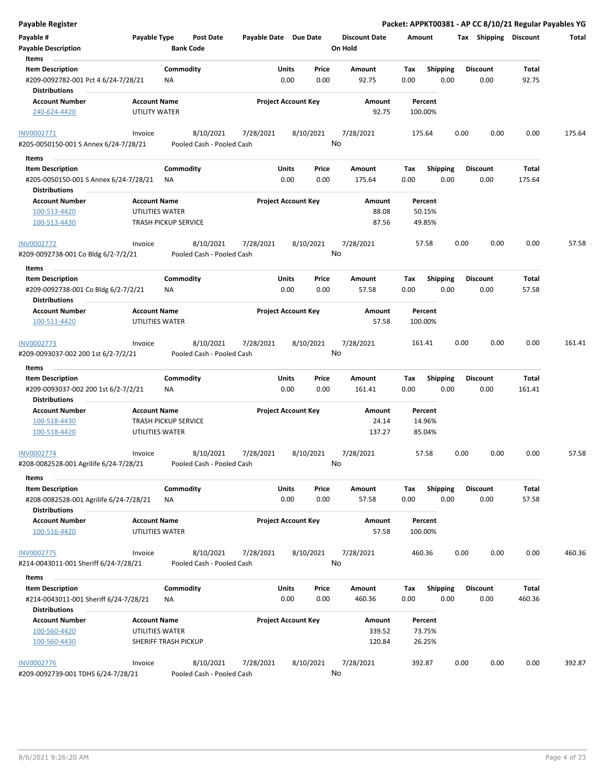| Payable Register                                                  |                                        |                                        |                       |                                       |                      | Packet: APPKT00381 - AP CC 8/10/21 Regular Payables YG |                         |                 |        |
|-------------------------------------------------------------------|----------------------------------------|----------------------------------------|-----------------------|---------------------------------------|----------------------|--------------------------------------------------------|-------------------------|-----------------|--------|
| Payable #                                                         | Payable Type                           | <b>Post Date</b>                       | Payable Date Due Date |                                       | <b>Discount Date</b> | Amount                                                 | Tax Shipping Discount   |                 | Total  |
| <b>Payable Description</b>                                        |                                        | <b>Bank Code</b>                       |                       |                                       | On Hold              |                                                        |                         |                 |        |
| Items                                                             |                                        |                                        |                       |                                       |                      |                                                        |                         |                 |        |
| <b>Item Description</b>                                           |                                        | Commodity                              |                       | Units<br>Price                        | Amount               | <b>Shipping</b><br>Tax                                 | <b>Discount</b>         | Total           |        |
| #209-0092782-001 Pct 4 6/24-7/28/21<br><b>Distributions</b>       |                                        | ΝA                                     |                       | 0.00<br>0.00                          | 92.75                | 0.00<br>0.00                                           | 0.00                    | 92.75           |        |
| <b>Account Number</b>                                             | <b>Account Name</b>                    |                                        |                       | <b>Project Account Key</b>            | Amount               | Percent                                                |                         |                 |        |
| 240-624-4420                                                      | UTILITY WATER                          |                                        |                       |                                       | 92.75                | 100.00%                                                |                         |                 |        |
| INV0002771                                                        | Invoice                                | 8/10/2021                              | 7/28/2021             | 8/10/2021                             | 7/28/2021            | 175.64                                                 | 0.00<br>0.00            | 0.00            | 175.64 |
| #205-0050150-001 S Annex 6/24-7/28/21                             |                                        | Pooled Cash - Pooled Cash              |                       |                                       | No                   |                                                        |                         |                 |        |
| Items                                                             |                                        |                                        |                       |                                       |                      |                                                        |                         |                 |        |
| <b>Item Description</b>                                           |                                        | Commodity                              |                       | Units<br>Price                        | Amount               | Shipping<br>Tax                                        | <b>Discount</b>         | Total           |        |
| #205-0050150-001 S Annex 6/24-7/28/21<br><b>Distributions</b>     |                                        | ΝA                                     |                       | 0.00<br>0.00                          | 175.64               | 0.00<br>0.00                                           | 0.00                    | 175.64          |        |
| <b>Account Number</b>                                             | <b>Account Name</b>                    |                                        |                       | <b>Project Account Key</b>            | Amount               | Percent                                                |                         |                 |        |
| 100-513-4420                                                      | UTILITIES WATER                        |                                        |                       |                                       | 88.08                | 50.15%                                                 |                         |                 |        |
| 100-513-4430                                                      |                                        | <b>TRASH PICKUP SERVICE</b>            |                       |                                       | 87.56                | 49.85%                                                 |                         |                 |        |
|                                                                   |                                        |                                        |                       |                                       |                      |                                                        |                         |                 |        |
| <b>INV0002772</b>                                                 | Invoice                                | 8/10/2021                              | 7/28/2021             | 8/10/2021                             | 7/28/2021            | 57.58                                                  | 0.00<br>0.00            | 0.00            | 57.58  |
| #209-0092738-001 Co Bldg 6/2-7/2/21                               |                                        | Pooled Cash - Pooled Cash              |                       |                                       | No                   |                                                        |                         |                 |        |
| Items                                                             |                                        |                                        |                       |                                       |                      |                                                        |                         |                 |        |
| <b>Item Description</b>                                           |                                        | Commodity                              |                       | <b>Units</b><br>Price                 | Amount               | <b>Shipping</b><br>Tax                                 | <b>Discount</b>         | Total           |        |
| #209-0092738-001 Co Bldg 6/2-7/2/21<br><b>Distributions</b>       |                                        | ΝA                                     |                       | 0.00<br>0.00                          | 57.58                | 0.00<br>0.00                                           | 0.00                    | 57.58           |        |
| <b>Account Number</b>                                             | <b>Account Name</b>                    |                                        |                       | <b>Project Account Key</b>            | Amount               | Percent                                                |                         |                 |        |
| 100-511-4420                                                      | UTILITIES WATER                        |                                        |                       |                                       | 57.58                | 100.00%                                                |                         |                 |        |
| INV0002773                                                        | Invoice                                | 8/10/2021                              | 7/28/2021             | 8/10/2021                             | 7/28/2021            | 161.41                                                 | 0.00<br>0.00            | 0.00            | 161.41 |
| #209-0093037-002 200 1st 6/2-7/2/21                               |                                        | Pooled Cash - Pooled Cash              |                       |                                       | No                   |                                                        |                         |                 |        |
| Items                                                             |                                        |                                        |                       |                                       |                      |                                                        |                         |                 |        |
| <b>Item Description</b>                                           |                                        | Commodity                              |                       | Units<br>Price<br>0.00<br>0.00        | Amount               | <b>Shipping</b><br>Tax<br>0.00<br>0.00                 | <b>Discount</b><br>0.00 | Total<br>161.41 |        |
| #209-0093037-002 200 1st 6/2-7/2/21                               |                                        | ΝA                                     |                       |                                       | 161.41               |                                                        |                         |                 |        |
| <b>Distributions</b>                                              | <b>Account Name</b>                    |                                        |                       | <b>Project Account Key</b>            |                      |                                                        |                         |                 |        |
| <b>Account Number</b>                                             |                                        |                                        |                       |                                       | Amount               | Percent                                                |                         |                 |        |
| 100-518-4430                                                      |                                        | <b>TRASH PICKUP SERVICE</b>            |                       |                                       | 24.14                | 14.96%                                                 |                         |                 |        |
| 100-518-4420                                                      | UTILITIES WATER                        |                                        |                       |                                       | 137.27               | 85.04%                                                 |                         |                 |        |
| <b>INV0002774</b>                                                 | Invoice                                | 8/10/2021                              | 7/28/2021             | 8/10/2021                             | 7/28/2021            | 57.58                                                  | 0.00<br>0.00            | 0.00            | 57.58  |
| #208-0082528-001 Agrilife 6/24-7/28/21                            |                                        | Pooled Cash - Pooled Cash              |                       |                                       | No                   |                                                        |                         |                 |        |
| Items                                                             |                                        |                                        |                       |                                       |                      |                                                        |                         |                 |        |
| <b>Item Description</b><br>#208-0082528-001 Agrilife 6/24-7/28/21 |                                        | Commodity<br><b>NA</b>                 |                       | <b>Units</b><br>Price<br>0.00<br>0.00 | Amount<br>57.58      | Shipping<br>Tax<br>0.00<br>0.00                        | <b>Discount</b><br>0.00 | Total<br>57.58  |        |
| <b>Distributions</b>                                              |                                        |                                        |                       |                                       |                      |                                                        |                         |                 |        |
| <b>Account Number</b><br>100-516-4420                             | <b>Account Name</b><br>UTILITIES WATER |                                        |                       | <b>Project Account Key</b>            | Amount<br>57.58      | Percent<br>100.00%                                     |                         |                 |        |
| <b>INV0002775</b>                                                 | Invoice                                | 8/10/2021                              | 7/28/2021             | 8/10/2021                             | 7/28/2021            | 460.36                                                 | 0.00<br>0.00            | 0.00            | 460.36 |
| #214-0043011-001 Sheriff 6/24-7/28/21                             |                                        | Pooled Cash - Pooled Cash              |                       |                                       | No                   |                                                        |                         |                 |        |
| Items                                                             |                                        |                                        |                       |                                       |                      |                                                        |                         |                 |        |
| <b>Item Description</b>                                           |                                        | Commodity                              |                       | <b>Units</b><br>Price                 | Amount               | <b>Shipping</b><br>Tax                                 | <b>Discount</b>         | Total           |        |
| #214-0043011-001 Sheriff 6/24-7/28/21                             |                                        | NA                                     |                       | 0.00<br>0.00                          | 460.36               | 0.00<br>0.00                                           | 0.00                    | 460.36          |        |
| <b>Distributions</b>                                              |                                        |                                        |                       |                                       |                      |                                                        |                         |                 |        |
| <b>Account Number</b>                                             | <b>Account Name</b>                    |                                        |                       | <b>Project Account Key</b>            | Amount               | Percent                                                |                         |                 |        |
| 100-560-4420<br>100-560-4430                                      | UTILITIES WATER                        | SHERIFF TRASH PICKUP                   |                       |                                       | 339.52<br>120.84     | 73.75%<br>26.25%                                       |                         |                 |        |
|                                                                   |                                        |                                        |                       |                                       |                      |                                                        |                         |                 |        |
| INV0002776<br>#209-0092739-001 TDHS 6/24-7/28/21                  | Invoice                                | 8/10/2021<br>Pooled Cash - Pooled Cash | 7/28/2021             | 8/10/2021                             | 7/28/2021<br>No      | 392.87                                                 | 0.00<br>0.00            | 0.00            | 392.87 |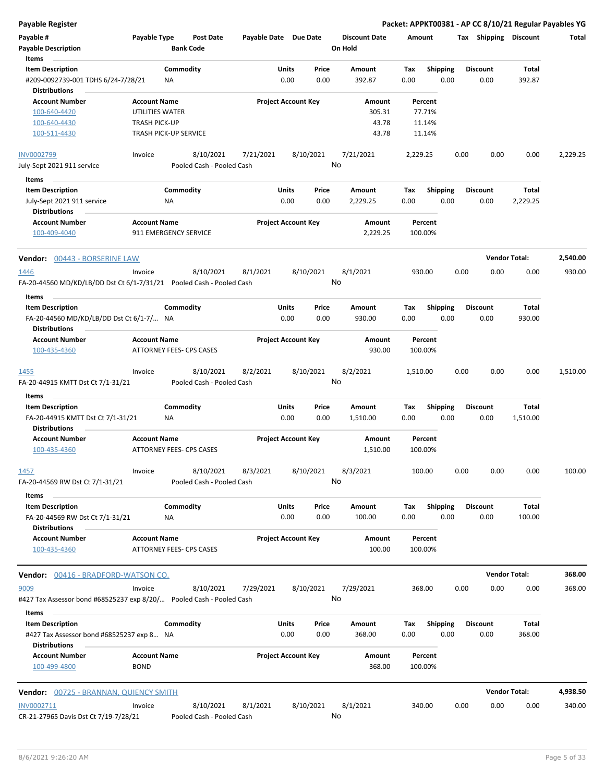| Payable Register |  |
|------------------|--|
|------------------|--|

| Payable #<br><b>Payable Description</b><br>Items                                            | Payable Type                                                                                   | <b>Bank Code</b> | <b>Post Date</b>                       | Payable Date Due Date |               |                            | <b>Discount Date</b><br>On Hold    | Amount      |                                       |      | Tax Shipping            | <b>Discount</b>        | Total    |
|---------------------------------------------------------------------------------------------|------------------------------------------------------------------------------------------------|------------------|----------------------------------------|-----------------------|---------------|----------------------------|------------------------------------|-------------|---------------------------------------|------|-------------------------|------------------------|----------|
| <b>Item Description</b><br>#209-0092739-001 TDHS 6/24-7/28/21<br><b>Distributions</b>       |                                                                                                | Commodity<br>ΝA  |                                        |                       | Units<br>0.00 | Price<br>0.00              | Amount<br>392.87                   | Tax<br>0.00 | Shipping<br>0.00                      |      | <b>Discount</b><br>0.00 | <b>Total</b><br>392.87 |          |
| <b>Account Number</b><br>100-640-4420<br>100-640-4430<br>100-511-4430                       | <b>Account Name</b><br>UTILITIES WATER<br><b>TRASH PICK-UP</b><br><b>TRASH PICK-UP SERVICE</b> |                  |                                        |                       |               | <b>Project Account Key</b> | Amount<br>305.31<br>43.78<br>43.78 |             | Percent<br>77.71%<br>11.14%<br>11.14% |      |                         |                        |          |
|                                                                                             |                                                                                                |                  |                                        |                       |               |                            |                                    |             |                                       |      |                         |                        |          |
| INV0002799<br>July-Sept 2021 911 service                                                    | Invoice                                                                                        |                  | 8/10/2021<br>Pooled Cash - Pooled Cash | 7/21/2021             |               | 8/10/2021<br>No            | 7/21/2021                          | 2,229.25    |                                       | 0.00 | 0.00                    | 0.00                   | 2,229.25 |
|                                                                                             |                                                                                                |                  |                                        |                       |               |                            |                                    |             |                                       |      |                         |                        |          |
| Items<br><b>Item Description</b>                                                            |                                                                                                | Commodity        |                                        |                       | Units         | Price                      | Amount                             | Tax         | <b>Shipping</b>                       |      | <b>Discount</b>         | Total                  |          |
| July-Sept 2021 911 service                                                                  |                                                                                                | NA               |                                        |                       | 0.00          | 0.00                       | 2,229.25                           | 0.00        | 0.00                                  |      | 0.00                    | 2,229.25               |          |
| <b>Distributions</b><br><b>Account Number</b>                                               | <b>Account Name</b>                                                                            |                  |                                        |                       |               | <b>Project Account Key</b> | Amount                             |             | Percent                               |      |                         |                        |          |
| 100-409-4040                                                                                | 911 EMERGENCY SERVICE                                                                          |                  |                                        |                       |               |                            | 2,229.25                           |             | 100.00%                               |      |                         |                        |          |
| <b>Vendor:</b> 00443 - BORSERINE LAW                                                        |                                                                                                |                  |                                        |                       |               |                            |                                    |             |                                       |      | <b>Vendor Total:</b>    |                        | 2,540.00 |
| <u> 1446</u><br>FA-20-44560 MD/KD/LB/DD Dst Ct 6/1-7/31/21    Pooled Cash - Pooled Cash     | Invoice                                                                                        |                  | 8/10/2021                              | 8/1/2021              |               | 8/10/2021<br>No            | 8/1/2021                           |             | 930.00                                | 0.00 | 0.00                    | 0.00                   | 930.00   |
| Items                                                                                       |                                                                                                |                  |                                        |                       |               |                            |                                    |             |                                       |      |                         |                        |          |
| <b>Item Description</b><br>FA-20-44560 MD/KD/LB/DD Dst Ct 6/1-7/ NA<br><b>Distributions</b> |                                                                                                | Commodity        |                                        |                       | Units<br>0.00 | Price<br>0.00              | Amount<br>930.00                   | Tax<br>0.00 | <b>Shipping</b><br>0.00               |      | <b>Discount</b><br>0.00 | Total<br>930.00        |          |
| <b>Account Number</b>                                                                       | <b>Account Name</b>                                                                            |                  |                                        |                       |               | <b>Project Account Key</b> | Amount                             |             | Percent                               |      |                         |                        |          |
| 100-435-4360                                                                                | ATTORNEY FEES- CPS CASES                                                                       |                  |                                        |                       |               |                            | 930.00                             |             | 100.00%                               |      |                         |                        |          |
| 1455                                                                                        | Invoice                                                                                        |                  | 8/10/2021                              | 8/2/2021              |               | 8/10/2021                  | 8/2/2021                           | 1,510.00    |                                       | 0.00 | 0.00                    | 0.00                   | 1,510.00 |
| FA-20-44915 KMTT Dst Ct 7/1-31/21                                                           |                                                                                                |                  | Pooled Cash - Pooled Cash              |                       |               | No                         |                                    |             |                                       |      |                         |                        |          |
| Items                                                                                       |                                                                                                |                  |                                        |                       |               |                            |                                    |             |                                       |      |                         |                        |          |
| <b>Item Description</b><br>FA-20-44915 KMTT Dst Ct 7/1-31/21<br>Distributions               |                                                                                                | Commodity<br>ΝA  |                                        |                       | Units<br>0.00 | Price<br>0.00              | Amount<br>1,510.00                 | Tax<br>0.00 | <b>Shipping</b><br>0.00               |      | <b>Discount</b><br>0.00 | Total<br>1,510.00      |          |
| <b>Account Number</b><br>100-435-4360                                                       | <b>Account Name</b><br>ATTORNEY FEES- CPS CASES                                                |                  |                                        |                       |               | <b>Project Account Key</b> | Amount<br>1,510.00                 |             | Percent<br>100.00%                    |      |                         |                        |          |
| 1457<br>FA-20-44569 RW Dst Ct 7/1-31/21                                                     | Invoice                                                                                        |                  | 8/10/2021<br>Pooled Cash - Pooled Cash | 8/3/2021              |               | 8/10/2021<br>No            | 8/3/2021                           |             | 100.00                                | 0.00 | 0.00                    | 0.00                   | 100.00   |
| Items                                                                                       |                                                                                                |                  |                                        |                       |               |                            |                                    |             |                                       |      |                         |                        |          |
| <b>Item Description</b><br>FA-20-44569 RW Dst Ct 7/1-31/21                                  |                                                                                                | Commodity<br>NA  |                                        |                       | Units<br>0.00 | Price<br>0.00              | Amount<br>100.00                   | Тах<br>0.00 | <b>Shipping</b><br>0.00               |      | <b>Discount</b><br>0.00 | Total<br>100.00        |          |
| <b>Distributions</b><br><b>Account Number</b><br>100-435-4360                               | <b>Account Name</b><br>ATTORNEY FEES- CPS CASES                                                |                  |                                        |                       |               | <b>Project Account Key</b> | Amount<br>100.00                   |             | Percent<br>100.00%                    |      |                         |                        |          |
| <b>Vendor:</b> 00416 - BRADFORD-WATSON CO.                                                  |                                                                                                |                  |                                        |                       |               |                            |                                    |             |                                       |      | <b>Vendor Total:</b>    |                        | 368.00   |
| 9009<br>#427 Tax Assessor bond #68525237 exp 8/20/ Pooled Cash - Pooled Cash                | Invoice                                                                                        |                  | 8/10/2021                              | 7/29/2021             |               | 8/10/2021<br>No            | 7/29/2021                          |             | 368.00                                | 0.00 | 0.00                    | 0.00                   | 368.00   |
| Items<br><b>Item Description</b>                                                            |                                                                                                | Commodity        |                                        |                       | Units         | Price                      | Amount                             |             | Shipping                              |      | <b>Discount</b>         | Total                  |          |
| #427 Tax Assessor bond #68525237 exp 8 NA<br><b>Distributions</b>                           |                                                                                                |                  |                                        |                       | 0.00          | 0.00                       | 368.00                             | Тах<br>0.00 | 0.00                                  |      | 0.00                    | 368.00                 |          |
| <b>Account Number</b><br>100-499-4800                                                       | <b>Account Name</b><br><b>BOND</b>                                                             |                  |                                        |                       |               | <b>Project Account Key</b> | Amount<br>368.00                   |             | Percent<br>100.00%                    |      |                         |                        |          |
| Vendor: 00725 - BRANNAN, QUIENCY SMITH                                                      |                                                                                                |                  |                                        |                       |               |                            |                                    |             |                                       |      | <b>Vendor Total:</b>    |                        | 4,938.50 |
| INV0002711<br>CR-21-27965 Davis Dst Ct 7/19-7/28/21                                         | Invoice                                                                                        |                  | 8/10/2021<br>Pooled Cash - Pooled Cash | 8/1/2021              |               | 8/10/2021<br>No            | 8/1/2021                           |             | 340.00                                | 0.00 | 0.00                    | 0.00                   | 340.00   |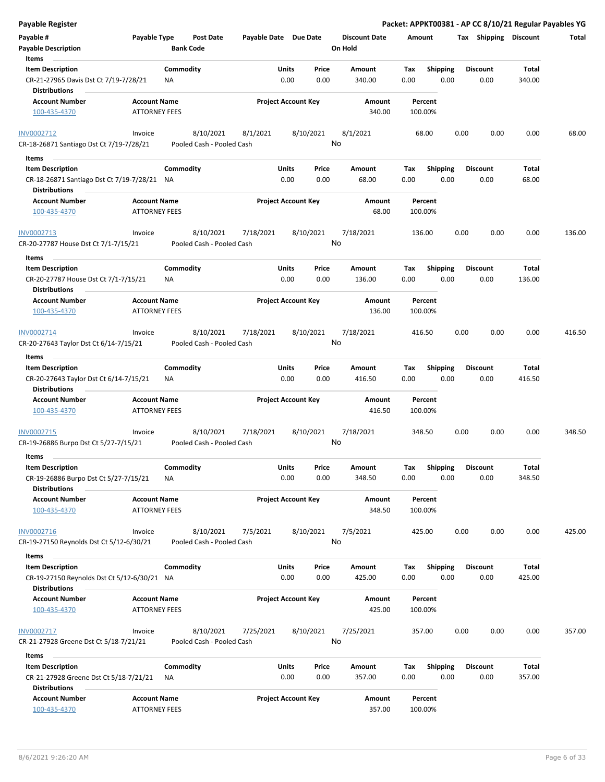| <b>Payable Register</b>                                                                 |                                             |                                        |                       |                                |    |                                 |                    |                         |      |                         |                 | Packet: APPKT00381 - AP CC 8/10/21 Regular Payables YG |
|-----------------------------------------------------------------------------------------|---------------------------------------------|----------------------------------------|-----------------------|--------------------------------|----|---------------------------------|--------------------|-------------------------|------|-------------------------|-----------------|--------------------------------------------------------|
| Payable #<br><b>Payable Description</b>                                                 | Payable Type                                | <b>Post Date</b><br><b>Bank Code</b>   | Payable Date Due Date |                                |    | <b>Discount Date</b><br>On Hold | Amount             |                         |      | Tax Shipping Discount   |                 | Total                                                  |
| Items                                                                                   |                                             |                                        |                       |                                |    |                                 |                    |                         |      |                         |                 |                                                        |
| <b>Item Description</b><br>CR-21-27965 Davis Dst Ct 7/19-7/28/21                        |                                             | Commodity<br>ΝA                        |                       | Price<br>Units<br>0.00<br>0.00 |    | Amount<br>340.00                | Tax<br>0.00        | <b>Shipping</b><br>0.00 |      | <b>Discount</b><br>0.00 | Total<br>340.00 |                                                        |
| <b>Distributions</b>                                                                    |                                             |                                        |                       |                                |    |                                 |                    |                         |      |                         |                 |                                                        |
| <b>Account Number</b><br>100-435-4370                                                   | <b>Account Name</b><br><b>ATTORNEY FEES</b> |                                        |                       | <b>Project Account Key</b>     |    | Amount<br>340.00                | Percent<br>100.00% |                         |      |                         |                 |                                                        |
| INV0002712                                                                              | Invoice                                     | 8/10/2021                              | 8/1/2021              | 8/10/2021                      |    | 8/1/2021                        | 68.00              |                         | 0.00 | 0.00                    | 0.00            | 68.00                                                  |
| CR-18-26871 Santiago Dst Ct 7/19-7/28/21                                                |                                             | Pooled Cash - Pooled Cash              |                       |                                | No |                                 |                    |                         |      |                         |                 |                                                        |
| Items                                                                                   |                                             |                                        |                       |                                |    |                                 |                    |                         |      |                         |                 |                                                        |
| <b>Item Description</b>                                                                 |                                             | Commodity                              |                       | Units<br>Price                 |    | Amount                          | Tax                | <b>Shipping</b>         |      | <b>Discount</b>         | Total           |                                                        |
| CR-18-26871 Santiago Dst Ct 7/19-7/28/21 NA<br><b>Distributions</b>                     |                                             |                                        |                       | 0.00<br>0.00                   |    | 68.00                           | 0.00               | 0.00                    |      | 0.00                    | 68.00           |                                                        |
| <b>Account Number</b>                                                                   | <b>Account Name</b>                         |                                        |                       | <b>Project Account Key</b>     |    | Amount                          | Percent            |                         |      |                         |                 |                                                        |
| 100-435-4370                                                                            | <b>ATTORNEY FEES</b>                        |                                        |                       |                                |    | 68.00                           | 100.00%            |                         |      |                         |                 |                                                        |
| INV0002713<br>CR-20-27787 House Dst Ct 7/1-7/15/21                                      | Invoice                                     | 8/10/2021<br>Pooled Cash - Pooled Cash | 7/18/2021             | 8/10/2021                      | No | 7/18/2021                       | 136.00             |                         | 0.00 | 0.00                    | 0.00            | 136.00                                                 |
| Items                                                                                   |                                             |                                        |                       |                                |    |                                 |                    |                         |      |                         |                 |                                                        |
| <b>Item Description</b><br>CR-20-27787 House Dst Ct 7/1-7/15/21<br><b>Distributions</b> |                                             | Commodity<br><b>NA</b>                 |                       | Units<br>Price<br>0.00<br>0.00 |    | Amount<br>136.00                | Tax<br>0.00        | <b>Shipping</b><br>0.00 |      | <b>Discount</b><br>0.00 | Total<br>136.00 |                                                        |
| <b>Account Number</b>                                                                   | <b>Account Name</b>                         |                                        |                       | <b>Project Account Key</b>     |    | Amount                          | Percent            |                         |      |                         |                 |                                                        |
| 100-435-4370                                                                            | <b>ATTORNEY FEES</b>                        |                                        |                       |                                |    | 136.00                          | 100.00%            |                         |      |                         |                 |                                                        |
| INV0002714                                                                              | Invoice                                     | 8/10/2021                              | 7/18/2021             | 8/10/2021                      |    | 7/18/2021                       | 416.50             |                         | 0.00 | 0.00                    | 0.00            | 416.50                                                 |
| CR-20-27643 Taylor Dst Ct 6/14-7/15/21                                                  |                                             | Pooled Cash - Pooled Cash              |                       |                                | No |                                 |                    |                         |      |                         |                 |                                                        |
| Items                                                                                   |                                             |                                        |                       |                                |    |                                 |                    |                         |      |                         |                 |                                                        |
| <b>Item Description</b>                                                                 |                                             | Commodity                              |                       | Units<br>Price                 |    | Amount                          | Tax                | <b>Shipping</b>         |      | <b>Discount</b>         | Total           |                                                        |
| CR-20-27643 Taylor Dst Ct 6/14-7/15/21<br><b>Distributions</b>                          |                                             | NA                                     |                       | 0.00<br>0.00                   |    | 416.50                          | 0.00               | 0.00                    |      | 0.00                    | 416.50          |                                                        |
| <b>Account Number</b><br>100-435-4370                                                   | <b>Account Name</b><br><b>ATTORNEY FEES</b> |                                        |                       | <b>Project Account Key</b>     |    | Amount<br>416.50                | Percent<br>100.00% |                         |      |                         |                 |                                                        |
| INV0002715                                                                              | Invoice                                     | 8/10/2021                              | 7/18/2021             | 8/10/2021                      |    | 7/18/2021                       | 348.50             |                         | 0.00 | 0.00                    | 0.00            | 348.50                                                 |
| CR-19-26886 Burpo Dst Ct 5/27-7/15/21                                                   |                                             | Pooled Cash - Pooled Cash              |                       |                                | No |                                 |                    |                         |      |                         |                 |                                                        |
| Items                                                                                   |                                             |                                        |                       |                                |    |                                 |                    |                         |      |                         |                 |                                                        |
| <b>Item Description</b>                                                                 |                                             | Commodity                              |                       | Units<br>Price                 |    | Amount                          | Tax                | Shipping                |      | <b>Discount</b>         | Total           |                                                        |
| CR-19-26886 Burpo Dst Ct 5/27-7/15/21<br><b>Distributions</b>                           |                                             | ΝA                                     |                       | 0.00<br>0.00                   |    | 348.50                          | 0.00               | 0.00                    |      | 0.00                    | 348.50          |                                                        |
| <b>Account Number</b><br>100-435-4370                                                   | <b>Account Name</b><br><b>ATTORNEY FEES</b> |                                        |                       | <b>Project Account Key</b>     |    | Amount<br>348.50                | Percent<br>100.00% |                         |      |                         |                 |                                                        |
|                                                                                         |                                             |                                        |                       |                                |    |                                 |                    |                         |      |                         |                 |                                                        |
| INV0002716<br>CR-19-27150 Reynolds Dst Ct 5/12-6/30/21                                  | Invoice                                     | 8/10/2021<br>Pooled Cash - Pooled Cash | 7/5/2021              | 8/10/2021                      | No | 7/5/2021                        | 425.00             |                         | 0.00 | 0.00                    | 0.00            | 425.00                                                 |
|                                                                                         |                                             |                                        |                       |                                |    |                                 |                    |                         |      |                         |                 |                                                        |
| Items                                                                                   |                                             |                                        |                       |                                |    |                                 |                    |                         |      |                         |                 |                                                        |
| <b>Item Description</b><br>CR-19-27150 Reynolds Dst Ct 5/12-6/30/21 NA                  |                                             | Commodity                              |                       | Units<br>Price<br>0.00<br>0.00 |    | Amount<br>425.00                | Tax<br>0.00        | <b>Shipping</b><br>0.00 |      | <b>Discount</b><br>0.00 | Total<br>425.00 |                                                        |
| <b>Distributions</b>                                                                    |                                             |                                        |                       |                                |    |                                 |                    |                         |      |                         |                 |                                                        |
| <b>Account Number</b><br>100-435-4370                                                   | <b>Account Name</b><br><b>ATTORNEY FEES</b> |                                        |                       | <b>Project Account Key</b>     |    | Amount<br>425.00                | Percent<br>100.00% |                         |      |                         |                 |                                                        |
| INV0002717                                                                              | Invoice                                     | 8/10/2021                              | 7/25/2021             | 8/10/2021                      |    | 7/25/2021                       | 357.00             |                         | 0.00 | 0.00                    | 0.00            | 357.00                                                 |
| CR-21-27928 Greene Dst Ct 5/18-7/21/21                                                  |                                             | Pooled Cash - Pooled Cash              |                       |                                | No |                                 |                    |                         |      |                         |                 |                                                        |
| Items                                                                                   |                                             |                                        |                       |                                |    |                                 |                    |                         |      |                         |                 |                                                        |
| <b>Item Description</b><br>CR-21-27928 Greene Dst Ct 5/18-7/21/21                       |                                             | Commodity<br>ΝA                        |                       | Units<br>Price<br>0.00<br>0.00 |    | Amount<br>357.00                | Tax<br>0.00        | <b>Shipping</b><br>0.00 |      | <b>Discount</b><br>0.00 | Total<br>357.00 |                                                        |
| <b>Distributions</b>                                                                    |                                             |                                        |                       |                                |    |                                 |                    |                         |      |                         |                 |                                                        |
| <b>Account Number</b>                                                                   | <b>Account Name</b>                         |                                        |                       | <b>Project Account Key</b>     |    | Amount                          | Percent            |                         |      |                         |                 |                                                        |
| 100-435-4370                                                                            | <b>ATTORNEY FEES</b>                        |                                        |                       |                                |    | 357.00                          | 100.00%            |                         |      |                         |                 |                                                        |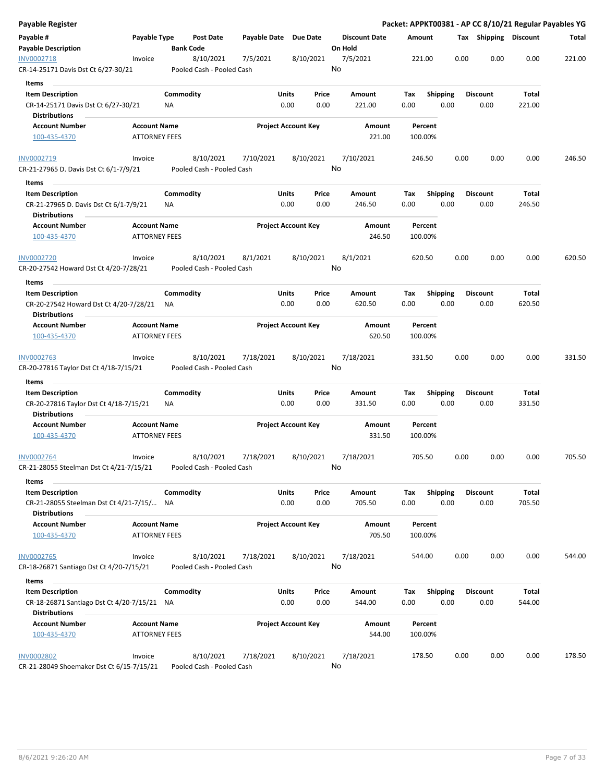| Payable Register                                                                             |                                             |           |                                        |                       |                            |               |                      |             |                         |      |                       |                 | Packet: APPKT00381 - AP CC 8/10/21 Regular Payables YG |
|----------------------------------------------------------------------------------------------|---------------------------------------------|-----------|----------------------------------------|-----------------------|----------------------------|---------------|----------------------|-------------|-------------------------|------|-----------------------|-----------------|--------------------------------------------------------|
| Payable #                                                                                    | Payable Type                                |           | Post Date                              | Payable Date Due Date |                            |               | <b>Discount Date</b> | Amount      |                         |      | Tax Shipping Discount |                 | Total                                                  |
| <b>Payable Description</b>                                                                   |                                             |           | <b>Bank Code</b>                       |                       |                            |               | On Hold              |             |                         |      |                       |                 |                                                        |
| INV0002718<br>CR-14-25171 Davis Dst Ct 6/27-30/21                                            | Invoice                                     |           | 8/10/2021<br>Pooled Cash - Pooled Cash | 7/5/2021              | 8/10/2021                  |               | 7/5/2021<br>No       | 221.00      |                         | 0.00 | 0.00                  | 0.00            | 221.00                                                 |
| Items                                                                                        |                                             |           |                                        |                       |                            |               |                      |             |                         |      |                       |                 |                                                        |
| <b>Item Description</b>                                                                      |                                             | Commodity |                                        |                       | Units                      | Price         | Amount               | Tax         | <b>Shipping</b>         |      | <b>Discount</b>       | Total           |                                                        |
| CR-14-25171 Davis Dst Ct 6/27-30/21                                                          |                                             | ΝA        |                                        |                       | 0.00                       | 0.00          | 221.00               | 0.00        | 0.00                    |      | 0.00                  | 221.00          |                                                        |
| <b>Distributions</b>                                                                         |                                             |           |                                        |                       |                            |               |                      |             |                         |      |                       |                 |                                                        |
| <b>Account Number</b>                                                                        | <b>Account Name</b>                         |           |                                        |                       | <b>Project Account Key</b> |               | Amount               |             | Percent                 |      |                       |                 |                                                        |
| 100-435-4370                                                                                 | <b>ATTORNEY FEES</b>                        |           |                                        |                       |                            |               | 221.00               | 100.00%     |                         |      |                       |                 |                                                        |
| INV0002719                                                                                   | Invoice                                     |           | 8/10/2021                              | 7/10/2021             | 8/10/2021                  |               | 7/10/2021            | 246.50      |                         | 0.00 | 0.00                  | 0.00            | 246.50                                                 |
| CR-21-27965 D. Davis Dst Ct 6/1-7/9/21                                                       |                                             |           | Pooled Cash - Pooled Cash              |                       |                            |               | No                   |             |                         |      |                       |                 |                                                        |
| Items<br><b>Item Description</b>                                                             |                                             | Commodity |                                        |                       | Units                      | Price         | Amount               | Tax         | <b>Shipping</b>         |      | <b>Discount</b>       | Total           |                                                        |
| CR-21-27965 D. Davis Dst Ct 6/1-7/9/21<br><b>Distributions</b>                               |                                             | ΝA        |                                        |                       | 0.00                       | 0.00          | 246.50               | 0.00        | 0.00                    |      | 0.00                  | 246.50          |                                                        |
| <b>Account Number</b><br>100-435-4370                                                        | <b>Account Name</b><br><b>ATTORNEY FEES</b> |           |                                        |                       | <b>Project Account Key</b> |               | Amount<br>246.50     | 100.00%     | Percent                 |      |                       |                 |                                                        |
| <b>INV0002720</b>                                                                            | Invoice                                     |           | 8/10/2021                              | 8/1/2021              | 8/10/2021                  |               | 8/1/2021             | 620.50      |                         | 0.00 | 0.00                  | 0.00            | 620.50                                                 |
| CR-20-27542 Howard Dst Ct 4/20-7/28/21                                                       |                                             |           | Pooled Cash - Pooled Cash              |                       |                            |               | No                   |             |                         |      |                       |                 |                                                        |
| Items                                                                                        |                                             |           |                                        |                       |                            |               |                      |             |                         |      |                       |                 |                                                        |
| <b>Item Description</b>                                                                      |                                             | Commodity |                                        |                       | Units                      | Price         | Amount               | Tax         | <b>Shipping</b>         |      | <b>Discount</b>       | Total           |                                                        |
| CR-20-27542 Howard Dst Ct 4/20-7/28/21<br><b>Distributions</b>                               |                                             | NA        |                                        |                       | 0.00                       | 0.00          | 620.50               | 0.00        | 0.00                    |      | 0.00                  | 620.50          |                                                        |
| <b>Account Number</b>                                                                        | <b>Account Name</b>                         |           |                                        |                       | <b>Project Account Key</b> |               | Amount               |             | Percent                 |      |                       |                 |                                                        |
| 100-435-4370                                                                                 | <b>ATTORNEY FEES</b>                        |           |                                        |                       |                            |               | 620.50               | 100.00%     |                         |      |                       |                 |                                                        |
| <b>INV0002763</b>                                                                            | Invoice                                     |           | 8/10/2021                              | 7/18/2021             | 8/10/2021                  |               | 7/18/2021<br>No      | 331.50      |                         | 0.00 | 0.00                  | 0.00            | 331.50                                                 |
| CR-20-27816 Taylor Dst Ct 4/18-7/15/21                                                       |                                             |           | Pooled Cash - Pooled Cash              |                       |                            |               |                      |             |                         |      |                       |                 |                                                        |
| Items                                                                                        |                                             |           |                                        |                       |                            |               |                      |             |                         |      |                       |                 |                                                        |
| <b>Item Description</b>                                                                      |                                             | Commodity |                                        |                       | Units                      | Price         | Amount               | Тах         | <b>Shipping</b>         |      | <b>Discount</b>       | Total           |                                                        |
| CR-20-27816 Taylor Dst Ct 4/18-7/15/21                                                       |                                             | ΝA        |                                        |                       | 0.00                       | 0.00          | 331.50               | 0.00        | 0.00                    |      | 0.00                  | 331.50          |                                                        |
| <b>Distributions</b><br><b>Account Number</b>                                                | <b>Account Name</b>                         |           |                                        |                       | <b>Project Account Key</b> |               | Amount               |             | Percent                 |      |                       |                 |                                                        |
| 100-435-4370                                                                                 | <b>ATTORNEY FEES</b>                        |           |                                        |                       |                            |               | 331.50               | 100.00%     |                         |      |                       |                 |                                                        |
| <b>INV0002764</b>                                                                            | Invoice                                     |           | 8/10/2021                              | 7/18/2021             | 8/10/2021                  |               | 7/18/2021            | 705.50      |                         | 0.00 | 0.00                  | 0.00            | 705.50                                                 |
| CR-21-28055 Steelman Dst Ct 4/21-7/15/21                                                     |                                             |           | Pooled Cash - Pooled Cash              |                       |                            |               | No                   |             |                         |      |                       |                 |                                                        |
| Items                                                                                        |                                             |           |                                        |                       |                            |               |                      |             |                         |      |                       |                 |                                                        |
| <b>Item Description</b><br>CR-21-28055 Steelman Dst Ct 4/21-7/15/ NA<br><b>Distributions</b> |                                             | Commodity |                                        |                       | Units<br>0.00              | Price<br>0.00 | Amount<br>705.50     | Tax<br>0.00 | <b>Shipping</b><br>0.00 |      | Discount<br>0.00      | Total<br>705.50 |                                                        |
| <b>Account Number</b><br>100-435-4370                                                        | <b>Account Name</b><br><b>ATTORNEY FEES</b> |           |                                        |                       | <b>Project Account Key</b> |               | Amount<br>705.50     | 100.00%     | Percent                 |      |                       |                 |                                                        |
|                                                                                              |                                             |           |                                        |                       |                            |               |                      |             |                         |      |                       |                 |                                                        |
| <b>INV0002765</b><br>CR-18-26871 Santiago Dst Ct 4/20-7/15/21                                | Invoice                                     |           | 8/10/2021<br>Pooled Cash - Pooled Cash | 7/18/2021             | 8/10/2021                  |               | 7/18/2021<br>No      | 544.00      |                         | 0.00 | 0.00                  | 0.00            | 544.00                                                 |
|                                                                                              |                                             |           |                                        |                       |                            |               |                      |             |                         |      |                       |                 |                                                        |
| Items                                                                                        |                                             |           |                                        |                       |                            |               |                      |             |                         |      |                       |                 |                                                        |
| <b>Item Description</b>                                                                      |                                             | Commodity |                                        |                       | Units                      | Price         | Amount               | Tax         | <b>Shipping</b>         |      | <b>Discount</b>       | Total           |                                                        |
| CR-18-26871 Santiago Dst Ct 4/20-7/15/21 NA<br><b>Distributions</b>                          |                                             |           |                                        |                       | 0.00                       | 0.00          | 544.00               | 0.00        | 0.00                    |      | 0.00                  | 544.00          |                                                        |
| <b>Account Number</b>                                                                        | <b>Account Name</b>                         |           |                                        |                       | <b>Project Account Key</b> |               | Amount               |             | Percent                 |      |                       |                 |                                                        |
| 100-435-4370                                                                                 | <b>ATTORNEY FEES</b>                        |           |                                        |                       |                            |               | 544.00               | 100.00%     |                         |      |                       |                 |                                                        |
| <b>INV0002802</b>                                                                            | Invoice                                     |           | 8/10/2021                              | 7/18/2021             | 8/10/2021                  |               | 7/18/2021            | 178.50      |                         | 0.00 | 0.00                  | 0.00            | 178.50                                                 |
| CR-21-28049 Shoemaker Dst Ct 6/15-7/15/21                                                    |                                             |           | Pooled Cash - Pooled Cash              |                       |                            |               | No                   |             |                         |      |                       |                 |                                                        |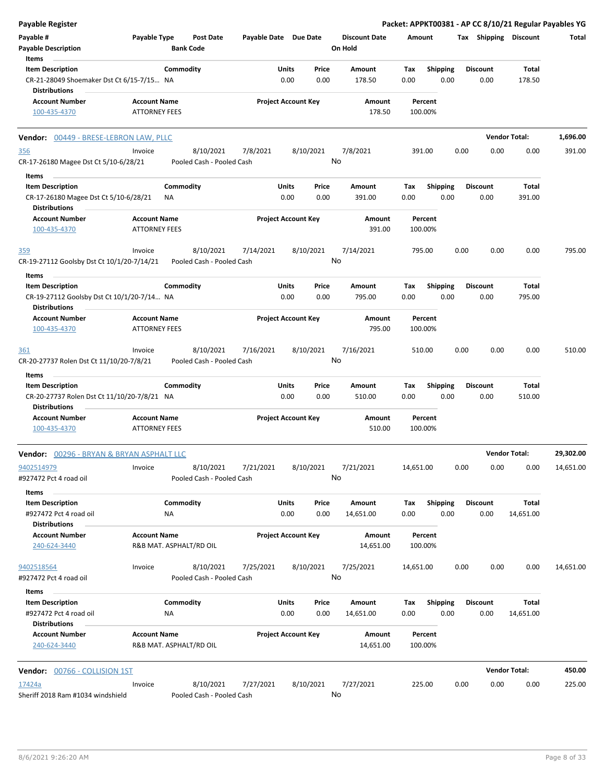| <b>Payable Register</b>                                                                      |                                             |                         |                                        |                       |                      |                            |                                 |             |                         |      |                         |                        | Packet: APPKT00381 - AP CC 8/10/21 Regular Payables YG |
|----------------------------------------------------------------------------------------------|---------------------------------------------|-------------------------|----------------------------------------|-----------------------|----------------------|----------------------------|---------------------------------|-------------|-------------------------|------|-------------------------|------------------------|--------------------------------------------------------|
| Payable #<br>Payable Type<br><b>Payable Description</b><br>Items                             |                                             | <b>Bank Code</b>        | <b>Post Date</b>                       | Payable Date Due Date |                      |                            | <b>Discount Date</b><br>On Hold | Amount      |                         |      | Tax Shipping Discount   |                        | Total                                                  |
|                                                                                              |                                             |                         |                                        |                       |                      |                            |                                 |             |                         |      |                         |                        |                                                        |
| <b>Item Description</b><br>CR-21-28049 Shoemaker Dst Ct 6/15-7/15 NA<br><b>Distributions</b> |                                             | Commodity               |                                        |                       | <b>Units</b><br>0.00 | Price<br>0.00              | Amount<br>178.50                | Tax<br>0.00 | <b>Shipping</b><br>0.00 |      | <b>Discount</b><br>0.00 | <b>Total</b><br>178.50 |                                                        |
| <b>Account Number</b>                                                                        | <b>Account Name</b>                         |                         |                                        |                       |                      | <b>Project Account Key</b> | Amount                          |             | Percent                 |      |                         |                        |                                                        |
| 100-435-4370                                                                                 | <b>ATTORNEY FEES</b>                        |                         |                                        |                       |                      |                            | 178.50                          |             | 100.00%                 |      |                         |                        |                                                        |
| Vendor: 00449 - BRESE-LEBRON LAW, PLLC                                                       |                                             |                         |                                        |                       |                      |                            |                                 |             |                         |      |                         | <b>Vendor Total:</b>   | 1,696.00                                               |
| <u>356</u><br>CR-17-26180 Magee Dst Ct 5/10-6/28/21                                          | Invoice                                     |                         | 8/10/2021<br>Pooled Cash - Pooled Cash | 7/8/2021              |                      | 8/10/2021                  | 7/8/2021<br>No                  |             | 391.00                  | 0.00 | 0.00                    | 0.00                   | 391.00                                                 |
| Items                                                                                        |                                             |                         |                                        |                       |                      |                            |                                 |             |                         |      |                         |                        |                                                        |
| <b>Item Description</b>                                                                      |                                             | Commodity               |                                        |                       | <b>Units</b>         | Price                      | Amount                          | Tax         | <b>Shipping</b>         |      | <b>Discount</b>         | Total                  |                                                        |
| CR-17-26180 Magee Dst Ct 5/10-6/28/21<br><b>Distributions</b>                                |                                             | <b>NA</b>               |                                        |                       | 0.00                 | 0.00                       | 391.00                          | 0.00        | 0.00                    |      | 0.00                    | 391.00                 |                                                        |
| <b>Account Number</b><br>100-435-4370                                                        | <b>Account Name</b><br><b>ATTORNEY FEES</b> |                         |                                        |                       |                      | <b>Project Account Key</b> | Amount<br>391.00                |             | Percent<br>100.00%      |      |                         |                        |                                                        |
| 359                                                                                          | Invoice                                     |                         | 8/10/2021                              | 7/14/2021             |                      | 8/10/2021                  | 7/14/2021                       |             | 795.00                  | 0.00 | 0.00                    | 0.00                   | 795.00                                                 |
| CR-19-27112 Goolsby Dst Ct 10/1/20-7/14/21                                                   |                                             |                         | Pooled Cash - Pooled Cash              |                       |                      |                            | No                              |             |                         |      |                         |                        |                                                        |
| Items<br><b>Item Description</b>                                                             |                                             | Commodity               |                                        |                       | Units                | Price                      | Amount                          | Tax         | <b>Shipping</b>         |      | <b>Discount</b>         | Total                  |                                                        |
| CR-19-27112 Goolsby Dst Ct 10/1/20-7/14 NA<br><b>Distributions</b>                           |                                             |                         |                                        |                       | 0.00                 | 0.00                       | 795.00                          | 0.00        | 0.00                    |      | 0.00                    | 795.00                 |                                                        |
| <b>Account Number</b><br>100-435-4370                                                        | <b>Account Name</b><br><b>ATTORNEY FEES</b> |                         |                                        |                       |                      | <b>Project Account Key</b> | Amount<br>795.00                |             | Percent<br>100.00%      |      |                         |                        |                                                        |
| 361                                                                                          | Invoice                                     |                         | 8/10/2021                              | 7/16/2021             |                      | 8/10/2021                  | 7/16/2021                       |             | 510.00                  | 0.00 | 0.00                    | 0.00                   | 510.00                                                 |
| CR-20-27737 Rolen Dst Ct 11/10/20-7/8/21                                                     |                                             |                         | Pooled Cash - Pooled Cash              |                       |                      |                            | No                              |             |                         |      |                         |                        |                                                        |
| Items                                                                                        |                                             |                         |                                        |                       |                      |                            |                                 |             |                         |      |                         |                        |                                                        |
| <b>Item Description</b>                                                                      |                                             | Commodity               |                                        |                       | <b>Units</b>         | Price                      | Amount                          | Tax         | Shipping                |      | <b>Discount</b>         | Total                  |                                                        |
| CR-20-27737 Rolen Dst Ct 11/10/20-7/8/21 NA<br><b>Distributions</b>                          |                                             |                         |                                        |                       | 0.00                 | 0.00                       | 510.00                          | 0.00        | 0.00                    |      | 0.00                    | 510.00                 |                                                        |
| <b>Account Number</b><br>100-435-4370                                                        | <b>Account Name</b><br><b>ATTORNEY FEES</b> |                         |                                        |                       |                      | <b>Project Account Key</b> | Amount<br>510.00                |             | Percent<br>100.00%      |      |                         |                        |                                                        |
| Vendor: 00296 - BRYAN & BRYAN ASPHALT LLC                                                    |                                             |                         |                                        |                       |                      |                            |                                 |             |                         |      |                         | <b>Vendor Total:</b>   | 29,302.00                                              |
| 9402514979                                                                                   | Invoice                                     |                         | 8/10/2021                              | 7/21/2021             |                      | 8/10/2021                  | 7/21/2021                       | 14,651.00   |                         | 0.00 | 0.00                    | 0.00                   | 14,651.00                                              |
| #927472 Pct 4 road oil<br>Items                                                              |                                             |                         | Pooled Cash - Pooled Cash              |                       |                      |                            | No                              |             |                         |      |                         |                        |                                                        |
| <b>Item Description</b>                                                                      |                                             | Commodity               |                                        |                       | Units                | Price                      | Amount                          | Tax         | <b>Shipping</b>         |      | <b>Discount</b>         | Total                  |                                                        |
| #927472 Pct 4 road oil<br><b>Distributions</b>                                               |                                             | ΝA                      |                                        |                       | 0.00                 | 0.00                       | 14,651.00                       | 0.00        | 0.00                    |      | 0.00                    | 14,651.00              |                                                        |
| <b>Account Number</b><br>240-624-3440                                                        | <b>Account Name</b>                         | R&B MAT. ASPHALT/RD OIL |                                        |                       |                      | <b>Project Account Key</b> | Amount<br>14,651.00             |             | Percent<br>100.00%      |      |                         |                        |                                                        |
| 9402518564                                                                                   | Invoice                                     |                         | 8/10/2021                              | 7/25/2021             |                      | 8/10/2021                  | 7/25/2021                       | 14,651.00   |                         | 0.00 | 0.00                    | 0.00                   | 14,651.00                                              |
| #927472 Pct 4 road oil<br>Items                                                              |                                             |                         | Pooled Cash - Pooled Cash              |                       |                      |                            | No                              |             |                         |      |                         |                        |                                                        |
| <b>Item Description</b>                                                                      |                                             | Commodity               |                                        |                       | <b>Units</b>         | Price                      | Amount                          | Tax         | <b>Shipping</b>         |      | <b>Discount</b>         | Total                  |                                                        |
| #927472 Pct 4 road oil<br><b>Distributions</b>                                               |                                             | NA                      |                                        |                       | 0.00                 | 0.00                       | 14,651.00                       | 0.00        | 0.00                    |      | 0.00                    | 14,651.00              |                                                        |
| <b>Account Number</b><br>240-624-3440                                                        | <b>Account Name</b>                         | R&B MAT. ASPHALT/RD OIL |                                        |                       |                      | <b>Project Account Key</b> | Amount<br>14,651.00             |             | Percent<br>100.00%      |      |                         |                        |                                                        |
| Vendor: 00766 - COLLISION 1ST                                                                |                                             |                         |                                        |                       |                      |                            |                                 |             |                         |      |                         | <b>Vendor Total:</b>   | 450.00                                                 |
| 17424a<br>Sheriff 2018 Ram #1034 windshield                                                  | Invoice                                     |                         | 8/10/2021<br>Pooled Cash - Pooled Cash | 7/27/2021             |                      | 8/10/2021                  | 7/27/2021<br>No                 |             | 225.00                  | 0.00 | 0.00                    | 0.00                   | 225.00                                                 |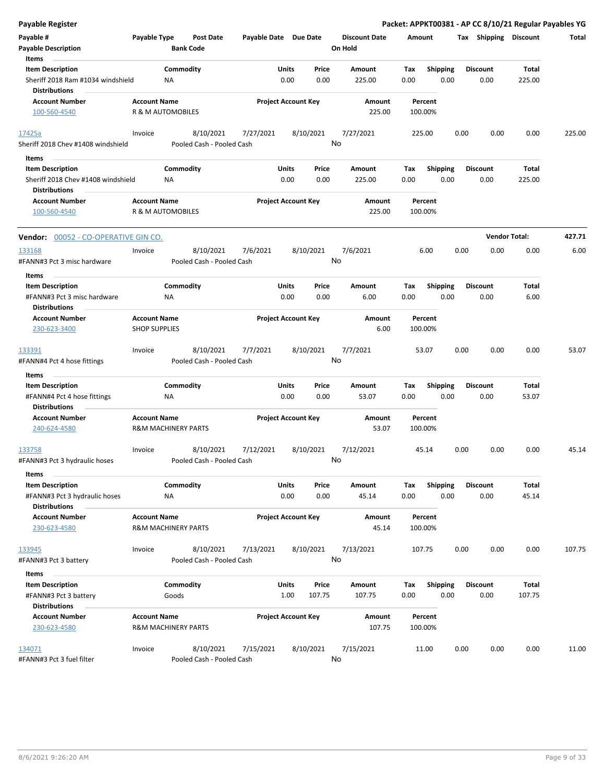| <b>Payable Register</b>                                                                       |                                                       |                    |                                        |                       |               |                            |                                 |             |                         |      |                         | Packet: APPKT00381 - AP CC 8/10/21 Regular Payables YG |        |
|-----------------------------------------------------------------------------------------------|-------------------------------------------------------|--------------------|----------------------------------------|-----------------------|---------------|----------------------------|---------------------------------|-------------|-------------------------|------|-------------------------|--------------------------------------------------------|--------|
| Payable #<br><b>Payable Description</b>                                                       | Payable Type                                          |                    | <b>Post Date</b><br><b>Bank Code</b>   | Payable Date Due Date |               |                            | <b>Discount Date</b><br>On Hold | Amount      |                         |      | Tax Shipping Discount   |                                                        | Total  |
| Items<br><b>Item Description</b><br>Sheriff 2018 Ram #1034 windshield<br><b>Distributions</b> |                                                       | Commodity<br>NA    |                                        |                       | Units<br>0.00 | Price<br>0.00              | Amount<br>225.00                | Tax<br>0.00 | <b>Shipping</b><br>0.00 |      | <b>Discount</b><br>0.00 | Total<br>225.00                                        |        |
| <b>Account Number</b><br>100-560-4540                                                         | <b>Account Name</b><br>R & M AUTOMOBILES              |                    |                                        |                       |               | <b>Project Account Key</b> | Amount<br>225.00                |             | Percent<br>100.00%      |      |                         |                                                        |        |
| 17425a<br>Sheriff 2018 Chev #1408 windshield                                                  | Invoice                                               |                    | 8/10/2021<br>Pooled Cash - Pooled Cash | 7/27/2021             |               | 8/10/2021<br>No            | 7/27/2021                       |             | 225.00                  | 0.00 | 0.00                    | 0.00                                                   | 225.00 |
| Items                                                                                         |                                                       |                    |                                        |                       |               |                            |                                 |             |                         |      |                         |                                                        |        |
| <b>Item Description</b><br>Sheriff 2018 Chev #1408 windshield<br><b>Distributions</b>         |                                                       | Commodity<br>ΝA    |                                        |                       | Units<br>0.00 | Price<br>0.00              | Amount<br>225.00                | Tax<br>0.00 | <b>Shipping</b><br>0.00 |      | <b>Discount</b><br>0.00 | <b>Total</b><br>225.00                                 |        |
| <b>Account Number</b>                                                                         | <b>Account Name</b>                                   |                    |                                        |                       |               | <b>Project Account Key</b> | Amount                          |             | Percent                 |      |                         |                                                        |        |
| 100-560-4540                                                                                  | <b>R &amp; M AUTOMOBILES</b>                          |                    |                                        |                       |               |                            | 225.00                          |             | 100.00%                 |      |                         |                                                        |        |
| Vendor: 00052 - CO-OPERATIVE GIN CO.                                                          |                                                       |                    |                                        |                       |               |                            |                                 |             |                         |      |                         | <b>Vendor Total:</b>                                   | 427.71 |
| 133168                                                                                        | Invoice                                               |                    | 8/10/2021                              | 7/6/2021              |               | 8/10/2021                  | 7/6/2021                        |             | 6.00                    | 0.00 | 0.00                    | 0.00                                                   | 6.00   |
| #FANN#3 Pct 3 misc hardware                                                                   |                                                       |                    | Pooled Cash - Pooled Cash              |                       |               | No                         |                                 |             |                         |      |                         |                                                        |        |
| Items                                                                                         |                                                       |                    |                                        |                       |               |                            |                                 |             |                         |      |                         |                                                        |        |
| <b>Item Description</b>                                                                       |                                                       | Commodity          |                                        |                       | Units         | Price                      | Amount                          | Tax         | Shipping                |      | <b>Discount</b>         | Total                                                  |        |
| #FANN#3 Pct 3 misc hardware<br><b>Distributions</b>                                           |                                                       | ΝA                 |                                        |                       | 0.00          | 0.00                       | 6.00                            | 0.00        | 0.00                    |      | 0.00                    | 6.00                                                   |        |
| <b>Account Number</b><br>230-623-3400                                                         | <b>Account Name</b><br><b>SHOP SUPPLIES</b>           |                    |                                        |                       |               | <b>Project Account Key</b> | Amount<br>6.00                  |             | Percent<br>100.00%      |      |                         |                                                        |        |
| 133391<br>#FANN#4 Pct 4 hose fittings                                                         | Invoice                                               |                    | 8/10/2021<br>Pooled Cash - Pooled Cash | 7/7/2021              |               | 8/10/2021<br>No            | 7/7/2021                        |             | 53.07                   | 0.00 | 0.00                    | 0.00                                                   | 53.07  |
| Items                                                                                         |                                                       |                    |                                        |                       |               |                            |                                 |             |                         |      |                         |                                                        |        |
| <b>Item Description</b>                                                                       |                                                       | Commodity          |                                        |                       | Units         | Price                      | Amount                          | Tax         | Shipping                |      | <b>Discount</b>         | Total                                                  |        |
| #FANN#4 Pct 4 hose fittings<br><b>Distributions</b>                                           |                                                       | ΝA                 |                                        |                       | 0.00          | 0.00                       | 53.07                           | 0.00        | 0.00                    |      | 0.00                    | 53.07                                                  |        |
| <b>Account Number</b>                                                                         | <b>Account Name</b>                                   |                    |                                        |                       |               | <b>Project Account Key</b> | Amount                          |             | Percent                 |      |                         |                                                        |        |
| 240-624-4580                                                                                  | <b>R&amp;M MACHINERY PARTS</b>                        |                    |                                        |                       |               |                            | 53.07                           |             | 100.00%                 |      |                         |                                                        |        |
| 133758<br>#FANN#3 Pct 3 hydraulic hoses                                                       | Invoice                                               |                    | 8/10/2021<br>Pooled Cash - Pooled Cash | 7/12/2021             |               | 8/10/2021<br>No            | 7/12/2021                       |             | 45.14                   | 0.00 | 0.00                    | 0.00                                                   | 45.14  |
| Items<br><b>Item Description</b>                                                              |                                                       | Commodity          |                                        |                       | Units         | Price                      | Amount                          | Tax         | <b>Shipping</b>         |      | <b>Discount</b>         | Total                                                  |        |
| #FANN#3 Pct 3 hydraulic hoses<br><b>Distributions</b>                                         |                                                       | ΝA                 |                                        |                       | 0.00          | 0.00                       | 45.14                           | 0.00        | 0.00                    |      | 0.00                    | 45.14                                                  |        |
| <b>Account Number</b><br>230-623-4580                                                         | <b>Account Name</b><br><b>R&amp;M MACHINERY PARTS</b> |                    |                                        |                       |               | <b>Project Account Key</b> | Amount<br>45.14                 |             | Percent<br>100.00%      |      |                         |                                                        |        |
| 133945<br>#FANN#3 Pct 3 battery                                                               | Invoice                                               |                    | 8/10/2021<br>Pooled Cash - Pooled Cash | 7/13/2021             |               | 8/10/2021<br>No            | 7/13/2021                       |             | 107.75                  | 0.00 | 0.00                    | 0.00                                                   | 107.75 |
| Items                                                                                         |                                                       |                    |                                        |                       |               |                            |                                 |             |                         |      |                         |                                                        |        |
| <b>Item Description</b><br>#FANN#3 Pct 3 battery<br><b>Distributions</b>                      |                                                       | Commodity<br>Goods |                                        |                       | Units<br>1.00 | Price<br>107.75            | Amount<br>107.75                | Tax<br>0.00 | <b>Shipping</b><br>0.00 |      | <b>Discount</b><br>0.00 | Total<br>107.75                                        |        |
| <b>Account Number</b><br>230-623-4580                                                         | <b>Account Name</b><br><b>R&amp;M MACHINERY PARTS</b> |                    |                                        |                       |               | <b>Project Account Key</b> | Amount<br>107.75                |             | Percent<br>100.00%      |      |                         |                                                        |        |
| 134071<br>#FANN#3 Pct 3 fuel filter                                                           | Invoice                                               |                    | 8/10/2021<br>Pooled Cash - Pooled Cash | 7/15/2021             |               | 8/10/2021                  | 7/15/2021<br>No                 |             | 11.00                   | 0.00 | 0.00                    | 0.00                                                   | 11.00  |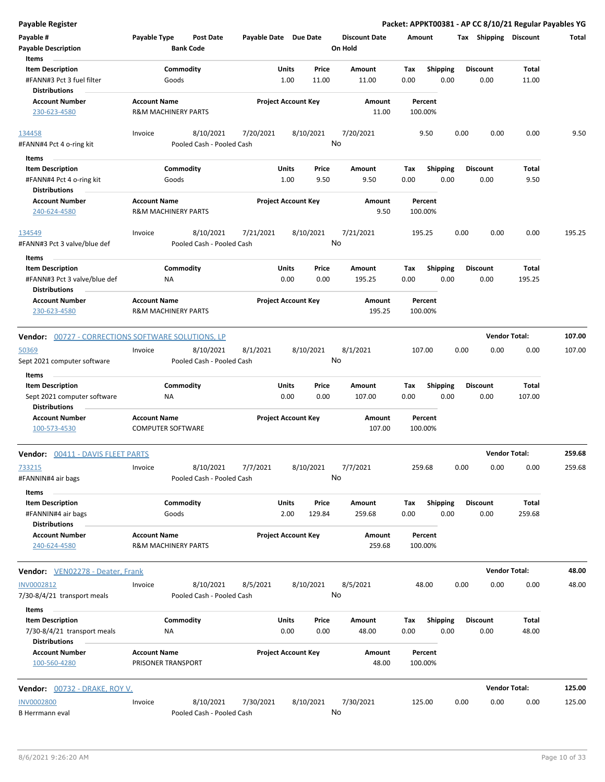| Payable #<br><b>Payable Description</b><br>Items                                                | Payable Type                                          | Post Date<br><b>Bank Code</b>          | Payable Date Due Date |                            |                 | <b>Discount Date</b><br>On Hold | Amount             |                         |      | Tax Shipping Discount   |                 | Total  |
|-------------------------------------------------------------------------------------------------|-------------------------------------------------------|----------------------------------------|-----------------------|----------------------------|-----------------|---------------------------------|--------------------|-------------------------|------|-------------------------|-----------------|--------|
| <b>Item Description</b><br>#FANN#3 Pct 3 fuel filter<br><b>Distributions</b>                    | Goods                                                 | Commodity                              |                       | Units<br>1.00              | Price<br>11.00  | Amount<br>11.00                 | Tax<br>0.00        | <b>Shipping</b><br>0.00 |      | <b>Discount</b><br>0.00 | Total<br>11.00  |        |
| <b>Account Number</b><br>230-623-4580                                                           | <b>Account Name</b><br><b>R&amp;M MACHINERY PARTS</b> |                                        |                       | <b>Project Account Key</b> |                 | Amount<br>11.00                 | Percent<br>100.00% |                         |      |                         |                 |        |
| 134458<br>#FANN#4 Pct 4 o-ring kit                                                              | Invoice                                               | 8/10/2021<br>Pooled Cash - Pooled Cash | 7/20/2021             |                            | 8/10/2021<br>No | 7/20/2021                       | 9.50               |                         | 0.00 | 0.00                    | 0.00            | 9.50   |
| Items                                                                                           |                                                       |                                        |                       |                            |                 |                                 |                    |                         |      |                         |                 |        |
| <b>Item Description</b><br>#FANN#4 Pct 4 o-ring kit<br><b>Distributions</b>                     | Goods                                                 | Commodity                              |                       | Units<br>1.00              | Price<br>9.50   | Amount<br>9.50                  | Tax<br>0.00        | <b>Shipping</b><br>0.00 |      | <b>Discount</b><br>0.00 | Total<br>9.50   |        |
| <b>Account Number</b><br>240-624-4580                                                           | <b>Account Name</b><br><b>R&amp;M MACHINERY PARTS</b> |                                        |                       | <b>Project Account Key</b> |                 | Amount<br>9.50                  | Percent<br>100.00% |                         |      |                         |                 |        |
| 134549<br>#FANN#3 Pct 3 valve/blue def                                                          | Invoice                                               | 8/10/2021<br>Pooled Cash - Pooled Cash | 7/21/2021             |                            | 8/10/2021<br>No | 7/21/2021                       | 195.25             |                         | 0.00 | 0.00                    | 0.00            | 195.25 |
| <b>Items</b><br><b>Item Description</b><br>#FANN#3 Pct 3 valve/blue def<br><b>Distributions</b> | ΝA                                                    | Commodity                              |                       | Units<br>0.00              | Price<br>0.00   | Amount<br>195.25                | Tax<br>0.00        | Shipping<br>0.00        |      | <b>Discount</b><br>0.00 | Total<br>195.25 |        |
| <b>Account Number</b><br>230-623-4580                                                           | <b>Account Name</b><br><b>R&amp;M MACHINERY PARTS</b> |                                        |                       | <b>Project Account Key</b> |                 | Amount<br>195.25                | Percent<br>100.00% |                         |      |                         |                 |        |
| <b>Vendor:</b> 00727 - CORRECTIONS SOFTWARE SOLUTIONS, LP                                       |                                                       |                                        |                       |                            |                 |                                 |                    |                         |      | <b>Vendor Total:</b>    |                 | 107.00 |
| 50369<br>Sept 2021 computer software                                                            | Invoice                                               | 8/10/2021<br>Pooled Cash - Pooled Cash | 8/1/2021              |                            | 8/10/2021<br>No | 8/1/2021                        | 107.00             |                         | 0.00 | 0.00                    | 0.00            | 107.00 |
| Items<br><b>Item Description</b>                                                                |                                                       | Commodity                              |                       | Units                      | Price           | Amount                          | Tax                | <b>Shipping</b>         |      | <b>Discount</b>         | Total           |        |
| Sept 2021 computer software<br><b>Distributions</b>                                             | ΝA                                                    |                                        |                       | 0.00                       | 0.00            | 107.00                          | 0.00               | 0.00                    |      | 0.00                    | 107.00          |        |
| <b>Account Number</b><br>100-573-4530                                                           | <b>Account Name</b><br><b>COMPUTER SOFTWARE</b>       |                                        |                       | <b>Project Account Key</b> |                 | Amount<br>107.00                | Percent<br>100.00% |                         |      |                         |                 |        |
| Vendor: 00411 - DAVIS FLEET PARTS                                                               |                                                       |                                        |                       |                            |                 |                                 |                    |                         |      | <b>Vendor Total:</b>    |                 | 259.68 |
| 733215<br>#FANNIN#4 air bags                                                                    | Invoice                                               | 8/10/2021<br>Pooled Cash - Pooled Cash | 7/7/2021              |                            | 8/10/2021<br>No | 7/7/2021                        | 259.68             |                         | 0.00 | 0.00                    | 0.00            | 259.68 |
| Items<br><b>Item Description</b><br>#FANNIN#4 air bags<br><b>Distributions</b>                  | Goods                                                 | Commodity                              |                       | Units<br>2.00              | Price<br>129.84 | Amount<br>259.68                | Tax<br>0.00        | Shipping<br>0.00        |      | <b>Discount</b><br>0.00 | Total<br>259.68 |        |
| <b>Account Number</b><br>240-624-4580                                                           | <b>Account Name</b><br><b>R&amp;M MACHINERY PARTS</b> |                                        |                       | <b>Project Account Key</b> |                 | Amount<br>259.68                | Percent<br>100.00% |                         |      |                         |                 |        |
| Vendor: VEN02278 - Deater, Frank                                                                |                                                       |                                        |                       |                            |                 |                                 |                    |                         |      | <b>Vendor Total:</b>    |                 | 48.00  |
| INV0002812<br>7/30-8/4/21 transport meals                                                       | Invoice                                               | 8/10/2021<br>Pooled Cash - Pooled Cash | 8/5/2021              |                            | 8/10/2021<br>No | 8/5/2021                        | 48.00              |                         | 0.00 | 0.00                    | 0.00            | 48.00  |
| Items<br><b>Item Description</b><br>7/30-8/4/21 transport meals<br><b>Distributions</b>         | ΝA                                                    | Commodity                              |                       | <b>Units</b><br>0.00       | Price<br>0.00   | Amount<br>48.00                 | Tax<br>0.00        | <b>Shipping</b><br>0.00 |      | <b>Discount</b><br>0.00 | Total<br>48.00  |        |
| <b>Account Number</b><br>100-560-4280                                                           | <b>Account Name</b><br>PRISONER TRANSPORT             |                                        |                       | <b>Project Account Key</b> |                 | Amount<br>48.00                 | Percent<br>100.00% |                         |      |                         |                 |        |
| <b>Vendor:</b> 00732 - DRAKE, ROY V.                                                            |                                                       |                                        |                       |                            |                 |                                 |                    |                         |      | <b>Vendor Total:</b>    |                 | 125.00 |
| <b>INV0002800</b><br>B Herrmann eval                                                            | Invoice                                               | 8/10/2021<br>Pooled Cash - Pooled Cash | 7/30/2021             |                            | 8/10/2021<br>No | 7/30/2021                       | 125.00             |                         | 0.00 | 0.00                    | 0.00            | 125.00 |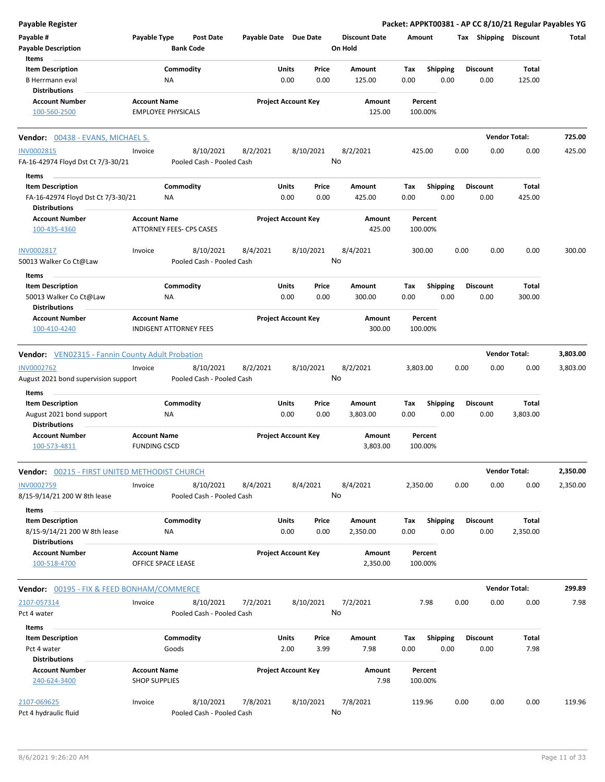| Payable Register                                              |                                                  |                                        |                       |                            |               |                                 |             |                         |      |                         | Packet: APPKT00381 - AP CC 8/10/21 Regular Payables YG |          |
|---------------------------------------------------------------|--------------------------------------------------|----------------------------------------|-----------------------|----------------------------|---------------|---------------------------------|-------------|-------------------------|------|-------------------------|--------------------------------------------------------|----------|
| Payable #<br><b>Payable Description</b>                       | Payable Type                                     | <b>Post Date</b><br><b>Bank Code</b>   | Payable Date Due Date |                            |               | <b>Discount Date</b><br>On Hold |             | Amount                  |      | Tax Shipping Discount   |                                                        | Total    |
| Items<br><b>Item Description</b><br><b>B</b> Herrmann eval    | ΝA                                               | Commodity                              |                       | Units<br>0.00              | Price<br>0.00 | Amount<br>125.00                | Tax<br>0.00 | <b>Shipping</b><br>0.00 |      | <b>Discount</b><br>0.00 | <b>Total</b><br>125.00                                 |          |
| <b>Distributions</b>                                          |                                                  |                                        |                       |                            |               |                                 |             |                         |      |                         |                                                        |          |
| <b>Account Number</b><br>100-560-2500                         | <b>Account Name</b><br><b>EMPLOYEE PHYSICALS</b> |                                        |                       | <b>Project Account Key</b> |               | Amount<br>125.00                |             | Percent<br>100.00%      |      |                         |                                                        |          |
|                                                               |                                                  |                                        |                       |                            |               |                                 |             |                         |      |                         |                                                        |          |
| <b>Vendor:</b> 00438 - EVANS, MICHAEL S.                      |                                                  |                                        |                       |                            |               |                                 |             |                         |      |                         | <b>Vendor Total:</b>                                   | 725.00   |
| <b>INV0002815</b><br>FA-16-42974 Floyd Dst Ct 7/3-30/21       | Invoice                                          | 8/10/2021<br>Pooled Cash - Pooled Cash | 8/2/2021              |                            | 8/10/2021     | 8/2/2021<br>No                  |             | 425.00                  | 0.00 | 0.00                    | 0.00                                                   | 425.00   |
| Items<br><b>Item Description</b>                              |                                                  | Commodity                              |                       | Units                      | Price         | Amount                          | Tax         | <b>Shipping</b>         |      | <b>Discount</b>         | Total                                                  |          |
| FA-16-42974 Floyd Dst Ct 7/3-30/21<br><b>Distributions</b>    | NA                                               |                                        |                       | 0.00                       | 0.00          | 425.00                          | 0.00        | 0.00                    |      | 0.00                    | 425.00                                                 |          |
| <b>Account Number</b><br>100-435-4360                         | <b>Account Name</b><br>ATTORNEY FEES- CPS CASES  |                                        |                       | <b>Project Account Key</b> |               | Amount<br>425.00                |             | Percent<br>100.00%      |      |                         |                                                        |          |
| INV0002817<br>50013 Walker Co Ct@Law                          | Invoice                                          | 8/10/2021<br>Pooled Cash - Pooled Cash | 8/4/2021              |                            | 8/10/2021     | 8/4/2021<br>No                  |             | 300.00                  | 0.00 | 0.00                    | 0.00                                                   | 300.00   |
| Items                                                         |                                                  |                                        |                       |                            |               |                                 |             |                         |      |                         |                                                        |          |
| <b>Item Description</b><br>50013 Walker Co Ct@Law             | ΝA                                               | Commodity                              |                       | Units<br>0.00              | Price<br>0.00 | Amount<br>300.00                | Tax<br>0.00 | <b>Shipping</b><br>0.00 |      | <b>Discount</b><br>0.00 | Total<br>300.00                                        |          |
| <b>Distributions</b><br><b>Account Number</b>                 | <b>Account Name</b>                              |                                        |                       | <b>Project Account Key</b> |               | Amount                          |             | Percent                 |      |                         |                                                        |          |
| 100-410-4240                                                  | <b>INDIGENT ATTORNEY FEES</b>                    |                                        |                       |                            |               | 300.00                          |             | 100.00%                 |      |                         |                                                        |          |
| <b>Vendor:</b> VEN02315 - Fannin County Adult Probation       |                                                  |                                        |                       |                            |               |                                 |             |                         |      |                         | <b>Vendor Total:</b>                                   | 3,803.00 |
| <b>INV0002762</b><br>August 2021 bond supervision support     | Invoice                                          | 8/10/2021<br>Pooled Cash - Pooled Cash | 8/2/2021              |                            | 8/10/2021     | 8/2/2021<br>No                  | 3,803.00    |                         | 0.00 | 0.00                    | 0.00                                                   | 3,803.00 |
| Items                                                         |                                                  |                                        |                       |                            |               |                                 |             |                         |      |                         |                                                        |          |
| <b>Item Description</b>                                       |                                                  | Commodity                              |                       | Units                      | Price         | Amount                          | Tax         | <b>Shipping</b>         |      | <b>Discount</b>         | Total                                                  |          |
| August 2021 bond support                                      | <b>NA</b>                                        |                                        |                       | 0.00                       | 0.00          | 3,803.00                        | 0.00        | 0.00                    |      | 0.00                    | 3,803.00                                               |          |
| <b>Distributions</b>                                          |                                                  |                                        |                       |                            |               |                                 |             |                         |      |                         |                                                        |          |
| <b>Account Number</b><br>100-573-4811                         | <b>Account Name</b><br><b>FUNDING CSCD</b>       |                                        |                       | <b>Project Account Key</b> |               | Amount<br>3,803.00              |             | Percent<br>100.00%      |      |                         |                                                        |          |
| <b>Vendor:</b> 00215 - FIRST UNITED METHODIST CHURCH          |                                                  |                                        |                       |                            |               |                                 |             |                         |      |                         | <b>Vendor Total:</b>                                   | 2,350.00 |
| INV0002759<br>8/15-9/14/21 200 W 8th lease                    | Invoice                                          | 8/10/2021<br>Pooled Cash - Pooled Cash | 8/4/2021              |                            | 8/4/2021      | 8/4/2021<br>No                  | 2,350.00    |                         | 0.00 | 0.00                    | 0.00                                                   | 2,350.00 |
| Items                                                         |                                                  |                                        |                       |                            |               |                                 |             |                         |      |                         |                                                        |          |
| <b>Item Description</b><br>8/15-9/14/21 200 W 8th lease       | NA                                               | Commodity                              |                       | Units<br>0.00              | Price<br>0.00 | Amount<br>2,350.00              | Tax<br>0.00 | <b>Shipping</b><br>0.00 |      | <b>Discount</b><br>0.00 | Total<br>2,350.00                                      |          |
| <b>Distributions</b><br><b>Account Number</b><br>100-518-4700 | <b>Account Name</b><br>OFFICE SPACE LEASE        |                                        |                       | <b>Project Account Key</b> |               | Amount<br>2,350.00              |             | Percent<br>100.00%      |      |                         |                                                        |          |
|                                                               |                                                  |                                        |                       |                            |               |                                 |             |                         |      |                         |                                                        |          |
| <b>Vendor: 00195 - FIX &amp; FEED BONHAM/COMMERCE</b>         |                                                  |                                        |                       |                            |               |                                 |             |                         |      |                         | <b>Vendor Total:</b>                                   | 299.89   |
| 2107-057314<br>Pct 4 water                                    | Invoice                                          | 8/10/2021<br>Pooled Cash - Pooled Cash | 7/2/2021              |                            | 8/10/2021     | 7/2/2021<br>No                  |             | 7.98                    | 0.00 | 0.00                    | 0.00                                                   | 7.98     |
| Items                                                         |                                                  |                                        |                       |                            |               |                                 |             |                         |      |                         |                                                        |          |
| <b>Item Description</b>                                       |                                                  | Commodity                              |                       | Units                      | Price         | Amount                          | Tax         | <b>Shipping</b>         |      | <b>Discount</b>         | Total                                                  |          |
| Pct 4 water<br><b>Distributions</b>                           | Goods                                            |                                        |                       | 2.00                       | 3.99          | 7.98                            | 0.00        | 0.00                    |      | 0.00                    | 7.98                                                   |          |
| <b>Account Number</b><br>240-624-3400                         | <b>Account Name</b><br><b>SHOP SUPPLIES</b>      |                                        |                       | <b>Project Account Key</b> |               | Amount<br>7.98                  |             | Percent<br>100.00%      |      |                         |                                                        |          |
|                                                               |                                                  |                                        |                       |                            |               |                                 |             |                         |      |                         |                                                        |          |
| 2107-069625<br>Pct 4 hydraulic fluid                          | Invoice                                          | 8/10/2021<br>Pooled Cash - Pooled Cash | 7/8/2021              |                            | 8/10/2021     | 7/8/2021<br>No                  |             | 119.96                  | 0.00 | 0.00                    | 0.00                                                   | 119.96   |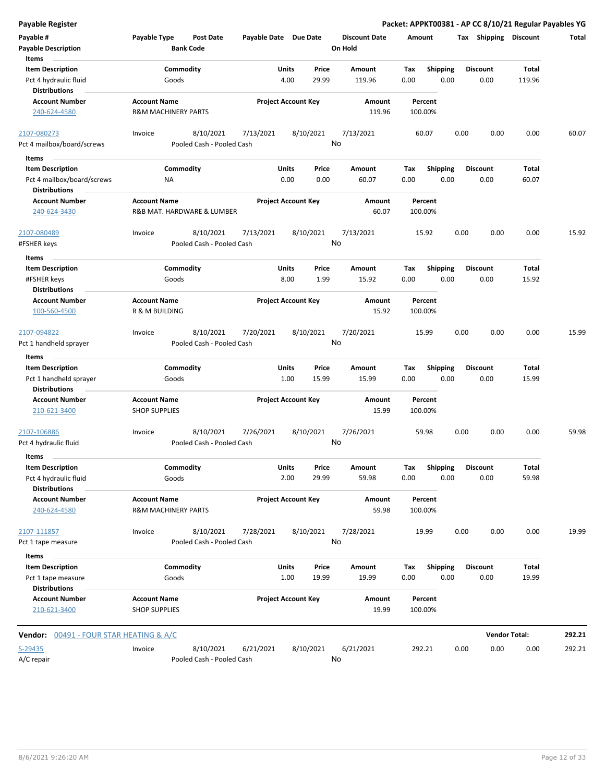| <b>Payable Register</b>                                                       |                                                       |                                        |                            |               |                 |                                 |             |                         |      |                         | Packet: APPKT00381 - AP CC 8/10/21 Regular Payables YG |        |
|-------------------------------------------------------------------------------|-------------------------------------------------------|----------------------------------------|----------------------------|---------------|-----------------|---------------------------------|-------------|-------------------------|------|-------------------------|--------------------------------------------------------|--------|
| Payable #<br><b>Payable Description</b>                                       | Payable Type                                          | <b>Post Date</b><br><b>Bank Code</b>   | Payable Date Due Date      |               |                 | <b>Discount Date</b><br>On Hold | Amount      |                         |      | Tax Shipping Discount   |                                                        | Total  |
| Items                                                                         |                                                       |                                        |                            |               |                 |                                 |             |                         |      |                         |                                                        |        |
| <b>Item Description</b>                                                       | Goods                                                 | Commodity                              |                            | Units<br>4.00 | Price<br>29.99  | Amount<br>119.96                | Tax<br>0.00 | Shipping<br>0.00        |      | <b>Discount</b><br>0.00 | Total<br>119.96                                        |        |
| Pct 4 hydraulic fluid<br><b>Distributions</b>                                 |                                                       |                                        |                            |               |                 |                                 |             |                         |      |                         |                                                        |        |
| <b>Account Number</b>                                                         | <b>Account Name</b>                                   |                                        | <b>Project Account Key</b> |               |                 | Amount                          |             | Percent                 |      |                         |                                                        |        |
| 240-624-4580                                                                  | <b>R&amp;M MACHINERY PARTS</b>                        |                                        |                            |               |                 | 119.96                          |             | 100.00%                 |      |                         |                                                        |        |
| 2107-080273                                                                   | Invoice                                               | 8/10/2021                              | 7/13/2021                  |               | 8/10/2021       | 7/13/2021                       |             | 60.07                   | 0.00 | 0.00                    | 0.00                                                   | 60.07  |
| Pct 4 mailbox/board/screws                                                    |                                                       | Pooled Cash - Pooled Cash              |                            |               |                 | No                              |             |                         |      |                         |                                                        |        |
| Items                                                                         |                                                       |                                        |                            |               |                 |                                 |             |                         |      |                         |                                                        |        |
| <b>Item Description</b><br>Pct 4 mailbox/board/screws<br><b>Distributions</b> | ΝA                                                    | Commodity                              |                            | Units<br>0.00 | Price<br>0.00   | Amount<br>60.07                 | Tax<br>0.00 | <b>Shipping</b><br>0.00 |      | <b>Discount</b><br>0.00 | Total<br>60.07                                         |        |
| <b>Account Number</b><br>240-624-3430                                         | <b>Account Name</b>                                   | R&B MAT. HARDWARE & LUMBER             | <b>Project Account Key</b> |               |                 | Amount<br>60.07                 |             | Percent<br>100.00%      |      |                         |                                                        |        |
| 2107-080489                                                                   | Invoice                                               | 8/10/2021                              | 7/13/2021                  |               | 8/10/2021       | 7/13/2021                       |             | 15.92                   | 0.00 | 0.00                    | 0.00                                                   | 15.92  |
| #FSHER keys                                                                   |                                                       | Pooled Cash - Pooled Cash              |                            |               | No              |                                 |             |                         |      |                         |                                                        |        |
| Items                                                                         |                                                       |                                        |                            |               |                 |                                 |             |                         |      |                         |                                                        |        |
| <b>Item Description</b>                                                       |                                                       | Commodity                              |                            | Units         | Price           | Amount                          | Tax         | <b>Shipping</b>         |      | <b>Discount</b>         | Total                                                  |        |
| #FSHER keys                                                                   | Goods                                                 |                                        |                            | 8.00          | 1.99            | 15.92                           | 0.00        | 0.00                    |      | 0.00                    | 15.92                                                  |        |
| <b>Distributions</b>                                                          |                                                       |                                        |                            |               |                 |                                 |             |                         |      |                         |                                                        |        |
| <b>Account Number</b><br>100-560-4500                                         | <b>Account Name</b><br>R & M BUILDING                 |                                        | <b>Project Account Key</b> |               |                 | <b>Amount</b><br>15.92          |             | Percent<br>100.00%      |      |                         |                                                        |        |
| 2107-094822<br>Pct 1 handheld sprayer                                         | Invoice                                               | 8/10/2021<br>Pooled Cash - Pooled Cash | 7/20/2021                  |               | 8/10/2021       | 7/20/2021<br>No                 |             | 15.99                   | 0.00 | 0.00                    | 0.00                                                   | 15.99  |
|                                                                               |                                                       |                                        |                            |               |                 |                                 |             |                         |      |                         |                                                        |        |
| Items<br><b>Item Description</b>                                              |                                                       | Commodity                              |                            | Units         | Price           | Amount                          | Tax         | <b>Shipping</b>         |      | <b>Discount</b>         | Total                                                  |        |
| Pct 1 handheld sprayer                                                        | Goods                                                 |                                        |                            | 1.00          | 15.99           | 15.99                           | 0.00        | 0.00                    |      | 0.00                    | 15.99                                                  |        |
| <b>Distributions</b>                                                          |                                                       |                                        |                            |               |                 |                                 |             |                         |      |                         |                                                        |        |
| <b>Account Number</b><br>210-621-3400                                         | <b>Account Name</b><br><b>SHOP SUPPLIES</b>           |                                        | <b>Project Account Key</b> |               |                 | Amount<br>15.99                 |             | Percent<br>100.00%      |      |                         |                                                        |        |
| 2107-106886<br>Pct 4 hydraulic fluid                                          | Invoice                                               | 8/10/2021<br>Pooled Cash - Pooled Cash | 7/26/2021                  |               | 8/10/2021<br>No | 7/26/2021                       |             | 59.98                   | 0.00 | 0.00                    | 0.00                                                   | 59.98  |
| Items                                                                         |                                                       |                                        |                            |               |                 |                                 |             |                         |      |                         |                                                        |        |
| <b>Item Description</b><br>Pct 4 hydraulic fluid<br><b>Distributions</b>      | Goods                                                 | Commodity                              |                            | Units<br>2.00 | Price<br>29.99  | Amount<br>59.98                 | Tax<br>0.00 | Shipping<br>0.00        |      | <b>Discount</b><br>0.00 | Total<br>59.98                                         |        |
| <b>Account Number</b><br>240-624-4580                                         | <b>Account Name</b><br><b>R&amp;M MACHINERY PARTS</b> |                                        | <b>Project Account Key</b> |               |                 | Amount<br>59.98                 |             | Percent<br>100.00%      |      |                         |                                                        |        |
| 2107-111857<br>Pct 1 tape measure                                             | Invoice                                               | 8/10/2021<br>Pooled Cash - Pooled Cash | 7/28/2021                  |               | 8/10/2021       | 7/28/2021<br>No                 |             | 19.99                   | 0.00 | 0.00                    | 0.00                                                   | 19.99  |
| Items                                                                         |                                                       |                                        |                            |               |                 |                                 |             |                         |      |                         |                                                        |        |
| <b>Item Description</b>                                                       |                                                       | Commodity                              |                            | Units         | Price           | Amount                          | Tax         | <b>Shipping</b>         |      | <b>Discount</b>         | Total                                                  |        |
| Pct 1 tape measure<br><b>Distributions</b>                                    | Goods                                                 |                                        |                            | 1.00          | 19.99           | 19.99                           | 0.00        | 0.00                    |      | 0.00                    | 19.99                                                  |        |
| <b>Account Number</b><br>210-621-3400                                         | <b>Account Name</b><br><b>SHOP SUPPLIES</b>           |                                        | <b>Project Account Key</b> |               |                 | Amount<br>19.99                 |             | Percent<br>100.00%      |      |                         |                                                        |        |
| 00491 - FOUR STAR HEATING & A/C<br>Vendor:                                    |                                                       |                                        |                            |               |                 |                                 |             |                         |      |                         | <b>Vendor Total:</b>                                   | 292.21 |
| S-29435                                                                       | Invoice                                               | 8/10/2021                              | 6/21/2021                  |               | 8/10/2021       | 6/21/2021                       |             | 292.21                  | 0.00 | 0.00                    | 0.00                                                   | 292.21 |
| A/C repair                                                                    |                                                       | Pooled Cash - Pooled Cash              |                            |               | No              |                                 |             |                         |      |                         |                                                        |        |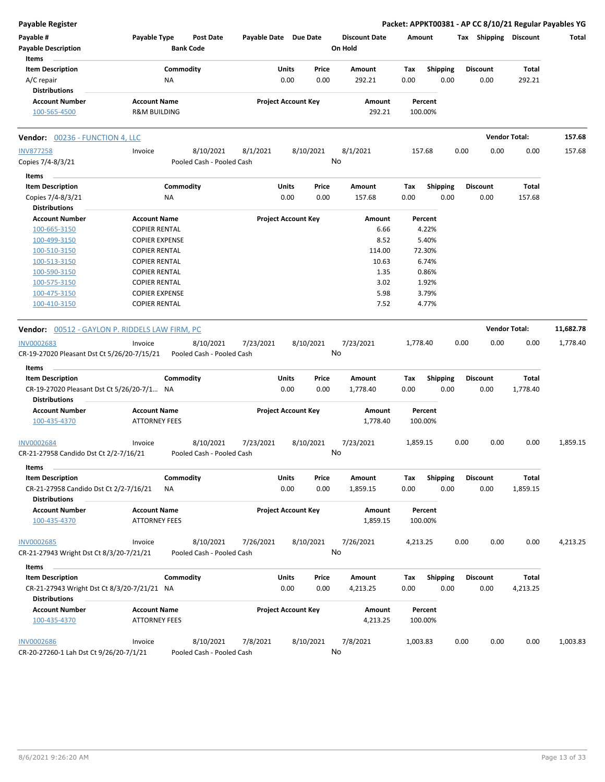| <b>Payable Register</b>                               |                         |                  |                           |                       |                            |           |                      |          |                         |      |                       |          | Packet: APPKT00381 - AP CC 8/10/21 Regular Payables YG |
|-------------------------------------------------------|-------------------------|------------------|---------------------------|-----------------------|----------------------------|-----------|----------------------|----------|-------------------------|------|-----------------------|----------|--------------------------------------------------------|
| Payable #                                             | Payable Type            |                  | <b>Post Date</b>          | Payable Date Due Date |                            |           | <b>Discount Date</b> | Amount   |                         |      | Tax Shipping Discount |          | Total                                                  |
| <b>Payable Description</b>                            |                         | <b>Bank Code</b> |                           |                       |                            |           | On Hold              |          |                         |      |                       |          |                                                        |
| Items                                                 |                         |                  |                           |                       |                            |           |                      |          |                         |      |                       |          |                                                        |
| <b>Item Description</b>                               |                         | Commodity        |                           |                       | Units                      | Price     | Amount               | Tax      | <b>Shipping</b>         |      | <b>Discount</b>       | Total    |                                                        |
| A/C repair                                            |                         | ΝA               |                           |                       | 0.00                       | 0.00      | 292.21               | 0.00     | 0.00                    |      | 0.00                  | 292.21   |                                                        |
| <b>Distributions</b>                                  |                         |                  |                           |                       |                            |           |                      |          |                         |      |                       |          |                                                        |
| <b>Account Number</b>                                 | <b>Account Name</b>     |                  |                           |                       | <b>Project Account Key</b> |           | Amount               |          | Percent                 |      |                       |          |                                                        |
| 100-565-4500                                          | <b>R&amp;M BUILDING</b> |                  |                           |                       |                            |           | 292.21               |          | 100.00%                 |      |                       |          |                                                        |
| <b>Vendor: 00236 - FUNCTION 4, LLC</b>                |                         |                  |                           |                       |                            |           |                      |          |                         |      | <b>Vendor Total:</b>  |          | 157.68                                                 |
| <b>INV877258</b>                                      | Invoice                 |                  | 8/10/2021                 | 8/1/2021              |                            | 8/10/2021 | 8/1/2021             |          | 157.68                  | 0.00 | 0.00                  | 0.00     | 157.68                                                 |
| Copies 7/4-8/3/21                                     |                         |                  | Pooled Cash - Pooled Cash |                       |                            |           | No                   |          |                         |      |                       |          |                                                        |
| Items                                                 |                         |                  |                           |                       |                            |           |                      |          |                         |      |                       |          |                                                        |
| <b>Item Description</b>                               |                         | Commodity        |                           |                       | <b>Units</b>               | Price     | Amount               | Tax      |                         |      | <b>Discount</b>       | Total    |                                                        |
|                                                       |                         |                  |                           |                       | 0.00                       | 0.00      | 157.68               | 0.00     | <b>Shipping</b><br>0.00 |      | 0.00                  | 157.68   |                                                        |
| Copies 7/4-8/3/21<br><b>Distributions</b>             |                         | ΝA               |                           |                       |                            |           |                      |          |                         |      |                       |          |                                                        |
| <b>Account Number</b>                                 | <b>Account Name</b>     |                  |                           |                       | <b>Project Account Key</b> |           | Amount               |          | Percent                 |      |                       |          |                                                        |
| 100-665-3150                                          | <b>COPIER RENTAL</b>    |                  |                           |                       |                            |           | 6.66                 |          | 4.22%                   |      |                       |          |                                                        |
| 100-499-3150                                          | <b>COPIER EXPENSE</b>   |                  |                           |                       |                            |           | 8.52                 |          | 5.40%                   |      |                       |          |                                                        |
| 100-510-3150                                          | <b>COPIER RENTAL</b>    |                  |                           |                       |                            |           | 114.00               |          | 72.30%                  |      |                       |          |                                                        |
| 100-513-3150                                          | <b>COPIER RENTAL</b>    |                  |                           |                       |                            |           | 10.63                |          | 6.74%                   |      |                       |          |                                                        |
| 100-590-3150                                          | <b>COPIER RENTAL</b>    |                  |                           |                       |                            |           | 1.35                 |          | 0.86%                   |      |                       |          |                                                        |
| 100-575-3150                                          | <b>COPIER RENTAL</b>    |                  |                           |                       |                            |           | 3.02                 |          | 1.92%                   |      |                       |          |                                                        |
| 100-475-3150                                          | <b>COPIER EXPENSE</b>   |                  |                           |                       |                            |           | 5.98                 |          | 3.79%                   |      |                       |          |                                                        |
| 100-410-3150                                          | <b>COPIER RENTAL</b>    |                  |                           |                       |                            |           | 7.52                 |          | 4.77%                   |      |                       |          |                                                        |
|                                                       |                         |                  |                           |                       |                            |           |                      |          |                         |      |                       |          |                                                        |
| <b>Vendor:</b> 00512 - GAYLON P. RIDDELS LAW FIRM, PC |                         |                  |                           |                       |                            |           |                      |          |                         |      | <b>Vendor Total:</b>  |          | 11,682.78                                              |
| INV0002683                                            | Invoice                 |                  | 8/10/2021                 | 7/23/2021             |                            | 8/10/2021 | 7/23/2021            | 1,778.40 |                         | 0.00 | 0.00                  | 0.00     | 1,778.40                                               |
| CR-19-27020 Pleasant Dst Ct 5/26/20-7/15/21           |                         |                  | Pooled Cash - Pooled Cash |                       |                            |           | No                   |          |                         |      |                       |          |                                                        |
| Items                                                 |                         |                  |                           |                       |                            |           |                      |          |                         |      |                       |          |                                                        |
| <b>Item Description</b>                               |                         | Commodity        |                           |                       | Units                      | Price     | Amount               | Tax      | <b>Shipping</b>         |      | <b>Discount</b>       | Total    |                                                        |
| CR-19-27020 Pleasant Dst Ct 5/26/20-7/1 NA            |                         |                  |                           |                       | 0.00                       | 0.00      | 1,778.40             | 0.00     | 0.00                    |      | 0.00                  | 1,778.40 |                                                        |
| <b>Distributions</b>                                  |                         |                  |                           |                       |                            |           |                      |          |                         |      |                       |          |                                                        |
| <b>Account Number</b>                                 | <b>Account Name</b>     |                  |                           |                       | <b>Project Account Key</b> |           | Amount               |          | Percent                 |      |                       |          |                                                        |
| 100-435-4370                                          | <b>ATTORNEY FEES</b>    |                  |                           |                       |                            |           | 1,778.40             |          | 100.00%                 |      |                       |          |                                                        |
|                                                       |                         |                  |                           |                       |                            |           |                      |          |                         |      |                       |          |                                                        |
| <b>INV0002684</b>                                     | Invoice                 |                  | 8/10/2021                 | 7/23/2021             |                            | 8/10/2021 | 7/23/2021            | 1,859.15 |                         | 0.00 | 0.00                  | 0.00     | 1,859.15                                               |
| CR-21-27958 Candido Dst Ct 2/2-7/16/21                |                         |                  | Pooled Cash - Pooled Cash |                       |                            |           | No                   |          |                         |      |                       |          |                                                        |
| Items                                                 |                         |                  |                           |                       |                            |           |                      |          |                         |      |                       |          |                                                        |
| <b>Item Description</b>                               |                         | Commodity        |                           |                       | <b>Units</b>               | Price     | Amount               | Tax      | Shipping                |      | <b>Discount</b>       | Total    |                                                        |
| CR-21-27958 Candido Dst Ct 2/2-7/16/21                |                         | ΝA               |                           |                       | 0.00                       | 0.00      | 1,859.15             | 0.00     | 0.00                    |      | 0.00                  | 1,859.15 |                                                        |
| <b>Distributions</b>                                  |                         |                  |                           |                       |                            |           |                      |          |                         |      |                       |          |                                                        |
| <b>Account Number</b>                                 | <b>Account Name</b>     |                  |                           |                       | <b>Project Account Key</b> |           | Amount               |          | Percent                 |      |                       |          |                                                        |
| 100-435-4370                                          | <b>ATTORNEY FEES</b>    |                  |                           |                       |                            |           | 1,859.15             |          | 100.00%                 |      |                       |          |                                                        |
|                                                       |                         |                  |                           |                       |                            |           |                      |          |                         |      |                       |          |                                                        |
| <b>INV0002685</b>                                     | Invoice                 |                  | 8/10/2021                 | 7/26/2021             |                            | 8/10/2021 | 7/26/2021            | 4,213.25 |                         | 0.00 | 0.00                  | 0.00     | 4,213.25                                               |
| CR-21-27943 Wright Dst Ct 8/3/20-7/21/21              |                         |                  | Pooled Cash - Pooled Cash |                       |                            |           | No                   |          |                         |      |                       |          |                                                        |
| Items                                                 |                         |                  |                           |                       |                            |           |                      |          |                         |      |                       |          |                                                        |
| <b>Item Description</b>                               |                         | Commodity        |                           |                       | <b>Units</b>               | Price     | Amount               | Tax      | <b>Shipping</b>         |      | <b>Discount</b>       | Total    |                                                        |
| CR-21-27943 Wright Dst Ct 8/3/20-7/21/21 NA           |                         |                  |                           |                       | 0.00                       | 0.00      | 4,213.25             | 0.00     | 0.00                    |      | 0.00                  | 4,213.25 |                                                        |
| <b>Distributions</b>                                  |                         |                  |                           |                       |                            |           |                      |          |                         |      |                       |          |                                                        |
| <b>Account Number</b>                                 | <b>Account Name</b>     |                  |                           |                       | <b>Project Account Key</b> |           | Amount               |          | Percent                 |      |                       |          |                                                        |
| 100-435-4370                                          | <b>ATTORNEY FEES</b>    |                  |                           |                       |                            |           | 4,213.25             |          | 100.00%                 |      |                       |          |                                                        |
|                                                       |                         |                  |                           |                       |                            |           |                      |          |                         |      |                       |          |                                                        |
| <b>INV0002686</b>                                     | Invoice                 |                  | 8/10/2021                 | 7/8/2021              |                            | 8/10/2021 | 7/8/2021             | 1,003.83 |                         | 0.00 | 0.00                  | 0.00     | 1,003.83                                               |
| CR-20-27260-1 Lah Dst Ct 9/26/20-7/1/21               |                         |                  | Pooled Cash - Pooled Cash |                       |                            |           | No                   |          |                         |      |                       |          |                                                        |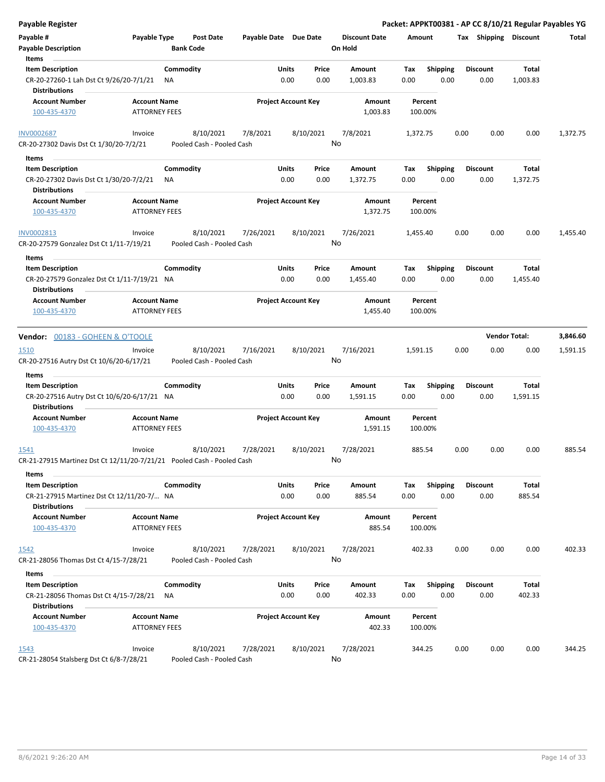| Payable Register                                                       |                                                     |                  |                                        |                       |                            |               |                                 |             |                         |      |                         |                      | Packet: APPKT00381 - AP CC 8/10/21 Regular Payables YG |
|------------------------------------------------------------------------|-----------------------------------------------------|------------------|----------------------------------------|-----------------------|----------------------------|---------------|---------------------------------|-------------|-------------------------|------|-------------------------|----------------------|--------------------------------------------------------|
| Payable #<br>Payable Description                                       | Payable Type                                        | <b>Bank Code</b> | <b>Post Date</b>                       | Payable Date Due Date |                            |               | <b>Discount Date</b><br>On Hold | Amount      |                         |      | Tax Shipping Discount   |                      | Total                                                  |
| Items<br><b>Item Description</b>                                       |                                                     |                  |                                        |                       |                            |               |                                 |             |                         |      |                         |                      |                                                        |
| CR-20-27260-1 Lah Dst Ct 9/26/20-7/1/21                                |                                                     | Commodity<br>ΝA  |                                        |                       | Units<br>0.00              | Price<br>0.00 | Amount<br>1,003.83              | Tax<br>0.00 | <b>Shipping</b><br>0.00 |      | <b>Discount</b><br>0.00 | Total<br>1,003.83    |                                                        |
| <b>Distributions</b>                                                   |                                                     |                  |                                        |                       |                            |               |                                 |             |                         |      |                         |                      |                                                        |
| <b>Account Number</b>                                                  | <b>Account Name</b>                                 |                  |                                        |                       | <b>Project Account Key</b> |               | Amount                          |             | Percent                 |      |                         |                      |                                                        |
| 100-435-4370                                                           | <b>ATTORNEY FEES</b>                                |                  |                                        |                       |                            |               | 1,003.83                        |             | 100.00%                 |      |                         |                      |                                                        |
| <b>INV0002687</b>                                                      | Invoice                                             |                  | 8/10/2021                              | 7/8/2021              |                            | 8/10/2021     | 7/8/2021                        | 1,372.75    |                         | 0.00 | 0.00                    | 0.00                 | 1,372.75                                               |
| CR-20-27302 Davis Dst Ct 1/30/20-7/2/21                                |                                                     |                  | Pooled Cash - Pooled Cash              |                       |                            |               | No                              |             |                         |      |                         |                      |                                                        |
| Items                                                                  |                                                     |                  |                                        |                       |                            |               |                                 |             |                         |      |                         |                      |                                                        |
| <b>Item Description</b>                                                |                                                     | Commodity        |                                        |                       | Units                      | Price         | Amount                          | Tax         | Shipping                |      | <b>Discount</b>         | Total                |                                                        |
| CR-20-27302 Davis Dst Ct 1/30/20-7/2/21                                |                                                     | NA.              |                                        |                       | 0.00                       | 0.00          | 1,372.75                        | 0.00        | 0.00                    |      | 0.00                    | 1,372.75             |                                                        |
| <b>Distributions</b>                                                   |                                                     |                  |                                        |                       |                            |               |                                 |             |                         |      |                         |                      |                                                        |
| <b>Account Number</b><br>100-435-4370                                  | <b>Account Name</b><br><b>ATTORNEY FEES</b>         |                  |                                        |                       | <b>Project Account Key</b> |               | Amount<br>1,372.75              |             | Percent<br>100.00%      |      |                         |                      |                                                        |
| INV0002813                                                             | Invoice                                             |                  | 8/10/2021                              | 7/26/2021             |                            | 8/10/2021     | 7/26/2021                       | 1,455.40    |                         | 0.00 | 0.00                    | 0.00                 | 1,455.40                                               |
| CR-20-27579 Gonzalez Dst Ct 1/11-7/19/21                               |                                                     |                  | Pooled Cash - Pooled Cash              |                       |                            |               | No                              |             |                         |      |                         |                      |                                                        |
| Items                                                                  |                                                     |                  |                                        |                       |                            |               |                                 |             |                         |      |                         |                      |                                                        |
| <b>Item Description</b>                                                |                                                     | Commodity        |                                        |                       | Units                      | Price         | Amount                          | Tax         | <b>Shipping</b>         |      | <b>Discount</b>         | Total                |                                                        |
| CR-20-27579 Gonzalez Dst Ct 1/11-7/19/21 NA                            |                                                     |                  |                                        |                       | 0.00                       | 0.00          | 1,455.40                        | 0.00        | 0.00                    |      | 0.00                    | 1,455.40             |                                                        |
| <b>Distributions</b>                                                   |                                                     |                  |                                        |                       |                            |               |                                 |             |                         |      |                         |                      |                                                        |
| <b>Account Number</b>                                                  | <b>Account Name</b>                                 |                  |                                        |                       | <b>Project Account Key</b> |               | Amount                          |             | Percent                 |      |                         |                      |                                                        |
| 100-435-4370                                                           | <b>ATTORNEY FEES</b>                                |                  |                                        |                       |                            |               | 1,455.40                        |             | 100.00%                 |      |                         |                      |                                                        |
|                                                                        |                                                     |                  |                                        |                       |                            |               |                                 |             |                         |      |                         |                      |                                                        |
| <b>Vendor: 00183 - GOHEEN &amp; O'TOOLE</b>                            |                                                     |                  |                                        |                       |                            |               |                                 |             |                         |      |                         | <b>Vendor Total:</b> | 3,846.60                                               |
| 1510<br>CR-20-27516 Autry Dst Ct 10/6/20-6/17/21                       | Invoice                                             |                  | 8/10/2021<br>Pooled Cash - Pooled Cash | 7/16/2021             |                            | 8/10/2021     | 7/16/2021<br>No                 | 1,591.15    |                         | 0.00 | 0.00                    | 0.00                 | 1,591.15                                               |
| Items                                                                  |                                                     |                  |                                        |                       |                            |               |                                 |             |                         |      |                         |                      |                                                        |
| <b>Item Description</b>                                                |                                                     | Commodity        |                                        |                       | Units                      | Price         | Amount                          | Tax         | <b>Shipping</b>         |      | <b>Discount</b>         | Total                |                                                        |
| CR-20-27516 Autry Dst Ct 10/6/20-6/17/21 NA<br><b>Distributions</b>    |                                                     |                  |                                        |                       | 0.00                       | 0.00          | 1,591.15                        | 0.00        | 0.00                    |      | 0.00                    | 1,591.15             |                                                        |
| <b>Account Number</b>                                                  | <b>Account Name</b>                                 |                  |                                        |                       | <b>Project Account Key</b> |               | Amount                          |             | Percent                 |      |                         |                      |                                                        |
| 100-435-4370                                                           | <b>ATTORNEY FEES</b>                                |                  |                                        |                       |                            |               | 1,591.15                        |             | 100.00%                 |      |                         |                      |                                                        |
| <u> 1541</u>                                                           | Invoice                                             |                  | 8/10/2021                              | 7/28/2021             |                            | 8/10/2021     | 7/28/2021                       |             | 885.54                  | 0.00 | 0.00                    | 0.00                 | 885.54                                                 |
| CR-21-27915 Martinez Dst Ct 12/11/20-7/21/21 Pooled Cash - Pooled Cash |                                                     |                  |                                        |                       |                            | No            |                                 |             |                         |      |                         |                      |                                                        |
| Items                                                                  |                                                     |                  |                                        |                       |                            |               |                                 |             |                         |      |                         |                      |                                                        |
| <b>Item Description</b>                                                |                                                     | Commodity        |                                        |                       | Units                      | Price         | Amount                          | Tax         | <b>Shipping</b>         |      | <b>Discount</b>         | Total                |                                                        |
| CR-21-27915 Martinez Dst Ct 12/11/20-7/ NA                             |                                                     |                  |                                        |                       | 0.00                       | 0.00          | 885.54                          | 0.00        | 0.00                    |      | 0.00                    | 885.54               |                                                        |
| <b>Distributions</b><br><b>Account Number</b>                          | <b>Account Name</b>                                 |                  |                                        |                       | <b>Project Account Key</b> |               | Amount                          |             | Percent                 |      |                         |                      |                                                        |
| 100-435-4370                                                           | <b>ATTORNEY FEES</b>                                |                  |                                        |                       |                            |               | 885.54                          |             | 100.00%                 |      |                         |                      |                                                        |
| 1542                                                                   | Invoice                                             |                  | 8/10/2021                              | 7/28/2021             |                            | 8/10/2021     | 7/28/2021                       |             | 402.33                  | 0.00 | 0.00                    | 0.00                 | 402.33                                                 |
| CR-21-28056 Thomas Dst Ct 4/15-7/28/21                                 |                                                     |                  | Pooled Cash - Pooled Cash              |                       |                            |               | No                              |             |                         |      |                         |                      |                                                        |
| Items                                                                  |                                                     |                  |                                        |                       |                            |               |                                 |             |                         |      |                         |                      |                                                        |
| <b>Item Description</b>                                                |                                                     | Commodity        |                                        |                       | Units                      | Price         | Amount                          | Tax         | <b>Shipping</b>         |      | <b>Discount</b>         | Total                |                                                        |
| CR-21-28056 Thomas Dst Ct 4/15-7/28/21<br><b>Distributions</b>         |                                                     | ΝA               |                                        |                       | 0.00                       | 0.00          | 402.33                          | 0.00        | 0.00                    |      | 0.00                    | 402.33               |                                                        |
| <b>Account Number</b>                                                  | <b>Account Name</b>                                 |                  |                                        |                       | <b>Project Account Key</b> |               | Amount                          |             | Percent                 |      |                         |                      |                                                        |
| 100-435-4370                                                           | ATTORNEY FEES                                       |                  |                                        |                       |                            |               | 402.33                          |             | 100.00%                 |      |                         |                      |                                                        |
|                                                                        |                                                     |                  |                                        |                       |                            |               |                                 |             |                         | 0.00 | 0.00                    | 0.00                 | 344.25                                                 |
| 1543                                                                   | Invoice<br>CR-21-28054 Stalsberg Dst Ct 6/8-7/28/21 |                  | 8/10/2021<br>Pooled Cash - Pooled Cash | 7/28/2021             |                            | 8/10/2021     | 7/28/2021<br>No                 |             | 344.25                  |      |                         |                      |                                                        |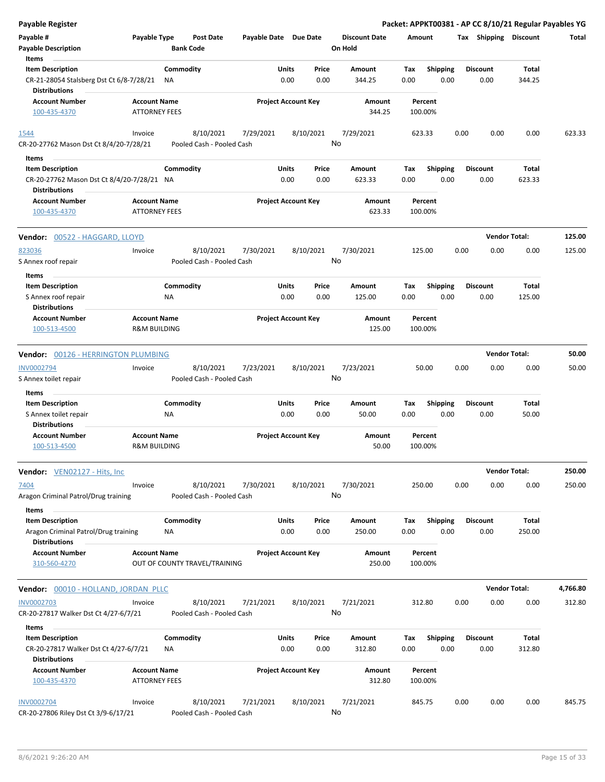| Payable Register                                                   |                                             |                  |                                        |                       |                            |           |                                 |        |                    |      |                       | Packet: APPKT00381 - AP CC 8/10/21 Regular Payables YG |          |
|--------------------------------------------------------------------|---------------------------------------------|------------------|----------------------------------------|-----------------------|----------------------------|-----------|---------------------------------|--------|--------------------|------|-----------------------|--------------------------------------------------------|----------|
| Payable #<br><b>Payable Description</b>                            | Payable Type                                | <b>Bank Code</b> | <b>Post Date</b>                       | Payable Date Due Date |                            |           | <b>Discount Date</b><br>On Hold | Amount |                    |      | Tax Shipping Discount |                                                        | Total    |
| Items<br><b>Item Description</b>                                   |                                             | Commodity        |                                        |                       | <b>Units</b>               | Price     | <b>Amount</b>                   | Tax    | <b>Shipping</b>    |      | <b>Discount</b>       | <b>Total</b>                                           |          |
| CR-21-28054 Stalsberg Dst Ct 6/8-7/28/21<br><b>Distributions</b>   |                                             | ΝA               |                                        |                       | 0.00                       | 0.00      | 344.25                          | 0.00   | 0.00               |      | 0.00                  | 344.25                                                 |          |
| <b>Account Number</b><br>100-435-4370                              | <b>Account Name</b><br><b>ATTORNEY FEES</b> |                  |                                        |                       | <b>Project Account Key</b> |           | Amount<br>344.25                |        | Percent<br>100.00% |      |                       |                                                        |          |
| 1544                                                               | Invoice                                     |                  | 8/10/2021                              | 7/29/2021             |                            | 8/10/2021 | 7/29/2021                       |        | 623.33             | 0.00 | 0.00                  | 0.00                                                   | 623.33   |
| CR-20-27762 Mason Dst Ct 8/4/20-7/28/21<br>Items                   |                                             |                  | Pooled Cash - Pooled Cash              |                       |                            |           | No                              |        |                    |      |                       |                                                        |          |
| <b>Item Description</b>                                            |                                             | Commodity        |                                        |                       | Units                      | Price     | Amount                          | Tax    | <b>Shipping</b>    |      | <b>Discount</b>       | Total                                                  |          |
| CR-20-27762 Mason Dst Ct 8/4/20-7/28/21 NA<br><b>Distributions</b> |                                             |                  |                                        |                       | 0.00                       | 0.00      | 623.33                          | 0.00   | 0.00               |      | 0.00                  | 623.33                                                 |          |
| <b>Account Number</b>                                              | <b>Account Name</b>                         |                  |                                        |                       | <b>Project Account Key</b> |           | Amount                          |        | Percent            |      |                       |                                                        |          |
| 100-435-4370                                                       | <b>ATTORNEY FEES</b>                        |                  |                                        |                       |                            |           | 623.33                          |        | 100.00%            |      |                       |                                                        |          |
| <b>Vendor: 00522 - HAGGARD, LLOYD</b>                              |                                             |                  |                                        |                       |                            |           |                                 |        |                    |      | <b>Vendor Total:</b>  |                                                        | 125.00   |
| 823036                                                             | Invoice                                     |                  | 8/10/2021                              | 7/30/2021             |                            | 8/10/2021 | 7/30/2021                       | 125.00 |                    | 0.00 | 0.00                  | 0.00                                                   | 125.00   |
| S Annex roof repair                                                |                                             |                  | Pooled Cash - Pooled Cash              |                       |                            |           | No                              |        |                    |      |                       |                                                        |          |
| Items<br><b>Item Description</b>                                   |                                             | Commodity        |                                        |                       | Units                      | Price     | Amount                          | Tax    | <b>Shipping</b>    |      | <b>Discount</b>       | Total                                                  |          |
| S Annex roof repair<br><b>Distributions</b>                        |                                             | ΝA               |                                        |                       | 0.00                       | 0.00      | 125.00                          | 0.00   | 0.00               |      | 0.00                  | 125.00                                                 |          |
| <b>Account Number</b>                                              | <b>Account Name</b>                         |                  |                                        |                       | <b>Project Account Key</b> |           | Amount                          |        | Percent            |      |                       |                                                        |          |
| 100-513-4500                                                       | <b>R&amp;M BUILDING</b>                     |                  |                                        |                       |                            |           | 125.00                          |        | 100.00%            |      |                       |                                                        |          |
| Vendor: 00126 - HERRINGTON PLUMBING                                |                                             |                  |                                        |                       |                            |           |                                 |        |                    |      | <b>Vendor Total:</b>  |                                                        | 50.00    |
| <b>INV0002794</b>                                                  | Invoice                                     |                  | 8/10/2021                              | 7/23/2021             |                            | 8/10/2021 | 7/23/2021                       |        | 50.00              | 0.00 | 0.00                  | 0.00                                                   | 50.00    |
| S Annex toilet repair                                              |                                             |                  | Pooled Cash - Pooled Cash              |                       |                            |           | No                              |        |                    |      |                       |                                                        |          |
| Items                                                              |                                             |                  |                                        |                       |                            |           |                                 |        |                    |      |                       |                                                        |          |
| <b>Item Description</b>                                            |                                             | Commodity        |                                        |                       | Units                      | Price     | Amount                          | Tax    | Shipping           |      | <b>Discount</b>       | Total                                                  |          |
| S Annex toilet repair                                              |                                             | ΝA               |                                        |                       | 0.00                       | 0.00      | 50.00                           | 0.00   | 0.00               |      | 0.00                  | 50.00                                                  |          |
| <b>Distributions</b>                                               |                                             |                  |                                        |                       |                            |           |                                 |        |                    |      |                       |                                                        |          |
| <b>Account Number</b>                                              | <b>Account Name</b>                         |                  |                                        |                       | <b>Project Account Key</b> |           | Amount                          |        | Percent            |      |                       |                                                        |          |
| 100-513-4500                                                       | <b>R&amp;M BUILDING</b>                     |                  |                                        |                       |                            |           | 50.00                           |        | 100.00%            |      |                       |                                                        |          |
| Vendor: VEN02127 - Hits, Inc.                                      |                                             |                  |                                        |                       |                            |           |                                 |        |                    |      | <b>Vendor Total:</b>  |                                                        | 250.00   |
| 7404<br>Aragon Criminal Patrol/Drug training                       | Invoice                                     |                  | 8/10/2021<br>Pooled Cash - Pooled Cash | 7/30/2021             |                            | 8/10/2021 | 7/30/2021<br>No                 |        | 250.00             | 0.00 | 0.00                  | 0.00                                                   | 250.00   |
| Items<br><b>Item Description</b>                                   |                                             | Commodity        |                                        |                       | Units                      | Price     | Amount                          | Tax    | <b>Shipping</b>    |      | <b>Discount</b>       | Total                                                  |          |
| Aragon Criminal Patrol/Drug training<br><b>Distributions</b>       |                                             | ΝA               |                                        |                       | 0.00                       | 0.00      | 250.00                          | 0.00   | 0.00               |      | 0.00                  | 250.00                                                 |          |
| <b>Account Number</b>                                              | <b>Account Name</b>                         |                  |                                        |                       | <b>Project Account Key</b> |           | Amount                          |        | Percent            |      |                       |                                                        |          |
| 310-560-4270                                                       |                                             |                  | OUT OF COUNTY TRAVEL/TRAINING          |                       |                            |           | 250.00                          |        | 100.00%            |      |                       |                                                        |          |
| Vendor: 00010 - HOLLAND, JORDAN PLLC                               |                                             |                  |                                        |                       |                            |           |                                 |        |                    |      | <b>Vendor Total:</b>  |                                                        | 4,766.80 |
| <b>INV0002703</b><br>CR-20-27817 Walker Dst Ct 4/27-6/7/21         | Invoice                                     |                  | 8/10/2021<br>Pooled Cash - Pooled Cash | 7/21/2021             |                            | 8/10/2021 | 7/21/2021<br>No                 |        | 312.80             | 0.00 | 0.00                  | 0.00                                                   | 312.80   |
| Items                                                              |                                             |                  |                                        |                       |                            |           |                                 |        |                    |      |                       |                                                        |          |
| <b>Item Description</b>                                            |                                             | Commodity        |                                        |                       | Units                      | Price     | Amount                          | Tax    | <b>Shipping</b>    |      | <b>Discount</b>       | Total                                                  |          |
| CR-20-27817 Walker Dst Ct 4/27-6/7/21<br><b>Distributions</b>      |                                             | NA               |                                        |                       | 0.00                       | 0.00      | 312.80                          | 0.00   | 0.00               |      | 0.00                  | 312.80                                                 |          |
| <b>Account Number</b>                                              | <b>Account Name</b>                         |                  |                                        |                       | <b>Project Account Key</b> |           | Amount                          |        | Percent            |      |                       |                                                        |          |
| 100-435-4370                                                       | <b>ATTORNEY FEES</b>                        |                  |                                        |                       |                            |           | 312.80                          |        | 100.00%            |      |                       |                                                        |          |
| <b>INV0002704</b><br>CR-20-27806 Riley Dst Ct 3/9-6/17/21          | Invoice                                     |                  | 8/10/2021<br>Pooled Cash - Pooled Cash | 7/21/2021             |                            | 8/10/2021 | 7/21/2021<br>No                 | 845.75 |                    | 0.00 | 0.00                  | 0.00                                                   | 845.75   |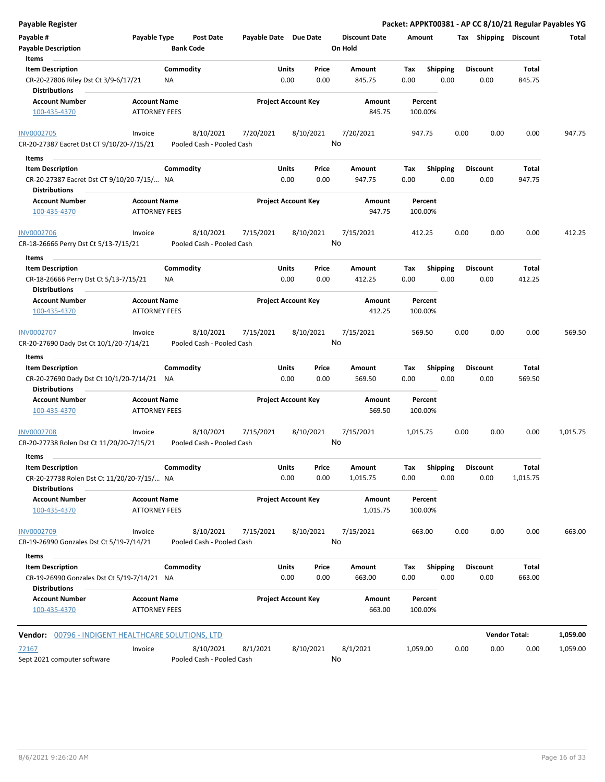| Payable Register                                                                              |                                             |                                        |                       |                            |               |                                 |                    |                         |      |                         |                 | Packet: APPKT00381 - AP CC 8/10/21 Regular Payables YG |
|-----------------------------------------------------------------------------------------------|---------------------------------------------|----------------------------------------|-----------------------|----------------------------|---------------|---------------------------------|--------------------|-------------------------|------|-------------------------|-----------------|--------------------------------------------------------|
| Payable #<br><b>Payable Description</b>                                                       | Payable Type                                | Post Date<br><b>Bank Code</b>          | Payable Date Due Date |                            |               | <b>Discount Date</b><br>On Hold | Amount             |                         |      | Tax Shipping Discount   |                 | Total                                                  |
| Items                                                                                         |                                             |                                        |                       |                            |               |                                 |                    |                         |      |                         |                 |                                                        |
| <b>Item Description</b>                                                                       |                                             | Commodity                              |                       | Units                      | Price         | Amount                          | Tax                | Shipping                |      | <b>Discount</b>         | Total           |                                                        |
| CR-20-27806 Riley Dst Ct 3/9-6/17/21<br><b>Distributions</b>                                  |                                             | ΝA                                     |                       | 0.00                       | 0.00          | 845.75                          | 0.00               | 0.00                    |      | 0.00                    | 845.75          |                                                        |
| <b>Account Number</b>                                                                         | <b>Account Name</b>                         |                                        |                       | <b>Project Account Key</b> |               | Amount                          | Percent            |                         |      |                         |                 |                                                        |
| 100-435-4370                                                                                  | <b>ATTORNEY FEES</b>                        |                                        |                       |                            |               | 845.75                          | 100.00%            |                         |      |                         |                 |                                                        |
| <b>INV0002705</b>                                                                             | Invoice                                     | 8/10/2021                              | 7/20/2021             | 8/10/2021                  |               | 7/20/2021                       | 947.75             |                         | 0.00 | 0.00                    | 0.00            | 947.75                                                 |
| CR-20-27387 Eacret Dst CT 9/10/20-7/15/21                                                     |                                             | Pooled Cash - Pooled Cash              |                       |                            |               | No                              |                    |                         |      |                         |                 |                                                        |
| Items                                                                                         |                                             |                                        |                       |                            |               |                                 |                    |                         |      |                         |                 |                                                        |
| <b>Item Description</b><br>CR-20-27387 Eacret Dst CT 9/10/20-7/15/ NA<br><b>Distributions</b> |                                             | Commodity                              |                       | Units<br>0.00              | Price<br>0.00 | Amount<br>947.75                | Tax<br>0.00        | <b>Shipping</b><br>0.00 |      | <b>Discount</b><br>0.00 | Total<br>947.75 |                                                        |
| <b>Account Number</b><br>100-435-4370                                                         | <b>Account Name</b><br><b>ATTORNEY FEES</b> |                                        |                       | <b>Project Account Key</b> |               | Amount<br>947.75                | Percent<br>100.00% |                         |      |                         |                 |                                                        |
| <b>INV0002706</b>                                                                             | Invoice                                     | 8/10/2021                              | 7/15/2021             | 8/10/2021                  |               | 7/15/2021                       | 412.25             |                         | 0.00 | 0.00                    | 0.00            | 412.25                                                 |
| CR-18-26666 Perry Dst Ct 5/13-7/15/21                                                         |                                             | Pooled Cash - Pooled Cash              |                       |                            |               | No                              |                    |                         |      |                         |                 |                                                        |
| Items<br><b>Item Description</b>                                                              |                                             |                                        |                       | Units                      | Price         | <b>Amount</b>                   | Tax                |                         |      | <b>Discount</b>         | Total           |                                                        |
|                                                                                               |                                             | Commodity                              |                       |                            |               |                                 |                    | <b>Shipping</b>         |      |                         |                 |                                                        |
| CR-18-26666 Perry Dst Ct 5/13-7/15/21<br><b>Distributions</b>                                 |                                             | ΝA                                     |                       | 0.00                       | 0.00          | 412.25                          | 0.00               | 0.00                    |      | 0.00                    | 412.25          |                                                        |
| <b>Account Number</b>                                                                         | <b>Account Name</b>                         |                                        |                       | <b>Project Account Key</b> |               | Amount                          | Percent            |                         |      |                         |                 |                                                        |
| 100-435-4370                                                                                  | <b>ATTORNEY FEES</b>                        |                                        |                       |                            |               | 412.25                          | 100.00%            |                         |      |                         |                 |                                                        |
| <b>INV0002707</b>                                                                             | Invoice                                     | 8/10/2021                              | 7/15/2021             | 8/10/2021                  |               | 7/15/2021                       | 569.50             |                         | 0.00 | 0.00                    | 0.00            | 569.50                                                 |
| CR-20-27690 Dady Dst Ct 10/1/20-7/14/21                                                       |                                             | Pooled Cash - Pooled Cash              |                       |                            |               | No                              |                    |                         |      |                         |                 |                                                        |
| Items                                                                                         |                                             |                                        |                       |                            |               |                                 |                    |                         |      |                         |                 |                                                        |
| <b>Item Description</b>                                                                       |                                             | Commodity                              |                       | Units                      | Price         | Amount                          | Tax                | <b>Shipping</b>         |      | <b>Discount</b>         | Total           |                                                        |
| CR-20-27690 Dady Dst Ct 10/1/20-7/14/21 NA<br><b>Distributions</b>                            |                                             |                                        |                       | 0.00                       | 0.00          | 569.50                          | 0.00               | 0.00                    |      | 0.00                    | 569.50          |                                                        |
|                                                                                               |                                             |                                        |                       | <b>Project Account Key</b> |               |                                 |                    |                         |      |                         |                 |                                                        |
| <b>Account Number</b><br>100-435-4370                                                         | <b>Account Name</b><br><b>ATTORNEY FEES</b> |                                        |                       |                            |               | Amount<br>569.50                | Percent<br>100.00% |                         |      |                         |                 |                                                        |
| <b>INV0002708</b><br>CR-20-27738 Rolen Dst Ct 11/20/20-7/15/21                                | Invoice                                     | 8/10/2021<br>Pooled Cash - Pooled Cash | 7/15/2021             | 8/10/2021                  |               | 7/15/2021<br>No                 | 1,015.75           |                         | 0.00 | 0.00                    | 0.00            | 1,015.75                                               |
|                                                                                               |                                             |                                        |                       |                            |               |                                 |                    |                         |      |                         |                 |                                                        |
| Items<br><b>Item Description</b>                                                              |                                             | Commodity                              |                       | Units                      | Price         | Amount                          | Tax                | Shipping                |      | <b>Discount</b>         | Total           |                                                        |
| CR-20-27738 Rolen Dst Ct 11/20/20-7/15/ NA                                                    |                                             |                                        |                       | 0.00                       | 0.00          | 1,015.75                        | 0.00               | 0.00                    |      | 0.00                    | 1,015.75        |                                                        |
| <b>Distributions</b>                                                                          |                                             |                                        |                       |                            |               |                                 |                    |                         |      |                         |                 |                                                        |
| <b>Account Number</b><br>100-435-4370                                                         | <b>Account Name</b><br><b>ATTORNEY FEES</b> |                                        |                       | <b>Project Account Key</b> |               | Amount<br>1,015.75              | Percent<br>100.00% |                         |      |                         |                 |                                                        |
| <b>INV0002709</b>                                                                             | Invoice                                     | 8/10/2021                              | 7/15/2021             | 8/10/2021                  |               | 7/15/2021                       | 663.00             |                         | 0.00 | 0.00                    | 0.00            | 663.00                                                 |
| CR-19-26990 Gonzales Dst Ct 5/19-7/14/21                                                      |                                             | Pooled Cash - Pooled Cash              |                       |                            | No            |                                 |                    |                         |      |                         |                 |                                                        |
| Items                                                                                         |                                             |                                        |                       |                            |               |                                 |                    |                         |      |                         |                 |                                                        |
| <b>Item Description</b>                                                                       |                                             | Commodity                              |                       | Units                      | Price         | Amount                          | Тах                | <b>Shipping</b>         |      | <b>Discount</b>         | Total           |                                                        |
| CR-19-26990 Gonzales Dst Ct 5/19-7/14/21 NA<br><b>Distributions</b>                           |                                             |                                        |                       | 0.00                       | 0.00          | 663.00                          | 0.00               | 0.00                    |      | 0.00                    | 663.00          |                                                        |
| <b>Account Number</b><br>100-435-4370                                                         | <b>Account Name</b><br><b>ATTORNEY FEES</b> |                                        |                       | <b>Project Account Key</b> |               | Amount<br>663.00                | Percent<br>100.00% |                         |      |                         |                 |                                                        |
| Vendor: 00796 - INDIGENT HEALTHCARE SOLUTIONS, LTD                                            |                                             |                                        |                       |                            |               |                                 |                    |                         |      | <b>Vendor Total:</b>    |                 | 1,059.00                                               |
| <u>72167</u>                                                                                  | Invoice                                     | 8/10/2021                              | 8/1/2021              | 8/10/2021                  |               | 8/1/2021                        | 1,059.00           |                         | 0.00 | 0.00                    | 0.00            | 1,059.00                                               |
| Sept 2021 computer software                                                                   |                                             | Pooled Cash - Pooled Cash              |                       |                            |               | No                              |                    |                         |      |                         |                 |                                                        |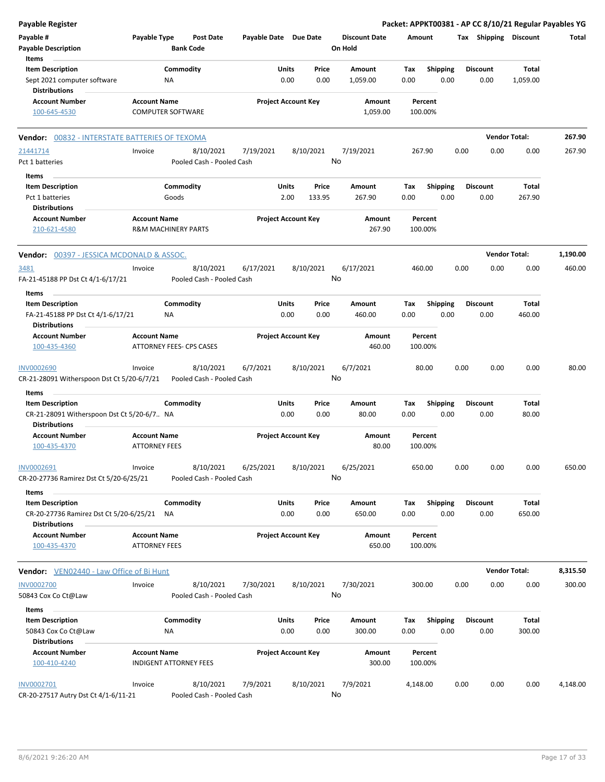| <b>Payable Register</b>                                                              |                                             |                                        |                       |                            |                 |                                 |             |                         |      |                         | Packet: APPKT00381 - AP CC 8/10/21 Regular Payables YG |          |
|--------------------------------------------------------------------------------------|---------------------------------------------|----------------------------------------|-----------------------|----------------------------|-----------------|---------------------------------|-------------|-------------------------|------|-------------------------|--------------------------------------------------------|----------|
| Payable #<br><b>Payable Description</b>                                              | Payable Type                                | Post Date<br><b>Bank Code</b>          | Payable Date Due Date |                            |                 | <b>Discount Date</b><br>On Hold | Amount      |                         |      | Tax Shipping Discount   |                                                        | Total    |
| Items                                                                                |                                             |                                        |                       |                            |                 |                                 |             |                         |      |                         |                                                        |          |
| <b>Item Description</b><br>Sept 2021 computer software<br><b>Distributions</b>       |                                             | Commodity<br>NA                        |                       | Units<br>0.00              | Price<br>0.00   | Amount<br>1,059.00              | Tax<br>0.00 | <b>Shipping</b><br>0.00 |      | <b>Discount</b><br>0.00 | Total<br>1,059.00                                      |          |
| <b>Account Number</b><br>100-645-4530                                                | <b>Account Name</b>                         | <b>COMPUTER SOFTWARE</b>               |                       | <b>Project Account Key</b> |                 | Amount<br>1,059.00              | 100.00%     | Percent                 |      |                         |                                                        |          |
| Vendor: 00832 - INTERSTATE BATTERIES OF TEXOMA                                       |                                             |                                        |                       |                            |                 |                                 |             |                         |      |                         | <b>Vendor Total:</b>                                   | 267.90   |
| 21441714                                                                             | Invoice                                     | 8/10/2021                              | 7/19/2021             |                            | 8/10/2021       | 7/19/2021                       | 267.90      |                         | 0.00 | 0.00                    | 0.00                                                   | 267.90   |
| Pct 1 batteries                                                                      |                                             | Pooled Cash - Pooled Cash              |                       |                            |                 | No                              |             |                         |      |                         |                                                        |          |
| Items                                                                                |                                             |                                        |                       |                            |                 |                                 |             |                         |      |                         |                                                        |          |
| <b>Item Description</b><br>Pct 1 batteries                                           |                                             | Commodity<br>Goods                     |                       | Units<br>2.00              | Price<br>133.95 | Amount<br>267.90                | Tax<br>0.00 | <b>Shipping</b><br>0.00 |      | <b>Discount</b><br>0.00 | <b>Total</b><br>267.90                                 |          |
| <b>Distributions</b><br><b>Account Number</b><br>210-621-4580                        | <b>Account Name</b>                         | <b>R&amp;M MACHINERY PARTS</b>         |                       | <b>Project Account Key</b> |                 | Amount<br>267.90                | 100.00%     | Percent                 |      |                         |                                                        |          |
| <b>Vendor:</b> 00397 - JESSICA MCDONALD & ASSOC.                                     |                                             |                                        |                       |                            |                 |                                 |             |                         |      |                         | <b>Vendor Total:</b>                                   | 1,190.00 |
| 3481<br>FA-21-45188 PP Dst Ct 4/1-6/17/21                                            | Invoice                                     | 8/10/2021<br>Pooled Cash - Pooled Cash | 6/17/2021             |                            | 8/10/2021       | 6/17/2021<br>No                 | 460.00      |                         | 0.00 | 0.00                    | 0.00                                                   | 460.00   |
| Items                                                                                |                                             |                                        |                       |                            |                 |                                 |             |                         |      |                         |                                                        |          |
| <b>Item Description</b><br>FA-21-45188 PP Dst Ct 4/1-6/17/21<br><b>Distributions</b> |                                             | Commodity<br>NA                        |                       | Units<br>0.00              | Price<br>0.00   | Amount<br>460.00                | Tax<br>0.00 | Shipping<br>0.00        |      | <b>Discount</b><br>0.00 | Total<br>460.00                                        |          |
| Account Number<br>100-435-4360                                                       | <b>Account Name</b>                         | ATTORNEY FEES- CPS CASES               |                       | <b>Project Account Key</b> |                 | Amount<br>460.00                | 100.00%     | Percent                 |      |                         |                                                        |          |
| <b>INV0002690</b><br>CR-21-28091 Witherspoon Dst Ct 5/20-6/7/21                      | Invoice                                     | 8/10/2021<br>Pooled Cash - Pooled Cash | 6/7/2021              |                            | 8/10/2021       | 6/7/2021<br>No                  |             | 80.00                   | 0.00 | 0.00                    | 0.00                                                   | 80.00    |
| Items<br><b>Item Description</b><br>CR-21-28091 Witherspoon Dst Ct 5/20-6/7 NA       |                                             | Commodity                              |                       | Units<br>0.00              | Price<br>0.00   | Amount<br>80.00                 | Tax<br>0.00 | <b>Shipping</b><br>0.00 |      | <b>Discount</b><br>0.00 | <b>Total</b><br>80.00                                  |          |
| <b>Distributions</b><br><b>Account Number</b><br>100-435-4370                        | <b>Account Name</b><br><b>ATTORNEY FEES</b> |                                        |                       | <b>Project Account Key</b> |                 | Amount<br>80.00                 | 100.00%     | Percent                 |      |                         |                                                        |          |
| INV0002691<br>CR-20-27736 Ramirez Dst Ct 5/20-6/25/21                                | Invoice                                     | 8/10/2021<br>Pooled Cash - Pooled Cash | 6/25/2021             |                            | 8/10/2021       | 6/25/2021<br>No                 | 650.00      |                         | 0.00 | 0.00                    | 0.00                                                   | 650.00   |
| Items                                                                                |                                             |                                        |                       |                            |                 |                                 |             |                         |      |                         |                                                        |          |
| <b>Item Description</b><br>CR-20-27736 Ramirez Dst Ct 5/20-6/25/21                   |                                             | Commodity<br>ΝA                        |                       | Units<br>0.00              | Price<br>0.00   | Amount<br>650.00                | Tax<br>0.00 | <b>Shipping</b><br>0.00 |      | <b>Discount</b><br>0.00 | Total<br>650.00                                        |          |
| <b>Distributions</b><br><b>Account Number</b><br>100-435-4370                        | <b>Account Name</b><br><b>ATTORNEY FEES</b> |                                        |                       | <b>Project Account Key</b> |                 | Amount<br>650.00                |             | Percent<br>100.00%      |      |                         |                                                        |          |
| Vendor: VEN02440 - Law Office of Bi Hunt                                             |                                             |                                        |                       |                            |                 |                                 |             |                         |      |                         | <b>Vendor Total:</b>                                   | 8,315.50 |
| <b>INV0002700</b><br>50843 Cox Co Ct@Law                                             | Invoice                                     | 8/10/2021<br>Pooled Cash - Pooled Cash | 7/30/2021             |                            | 8/10/2021       | 7/30/2021<br>No                 | 300.00      |                         | 0.00 | 0.00                    | 0.00                                                   | 300.00   |
| Items<br><b>Item Description</b><br>50843 Cox Co Ct@Law<br>Distributions             |                                             | Commodity<br>ΝA                        |                       | Units<br>0.00              | Price<br>0.00   | Amount<br>300.00                | Tax<br>0.00 | <b>Shipping</b><br>0.00 |      | <b>Discount</b><br>0.00 | Total<br>300.00                                        |          |
| <b>Account Number</b><br>100-410-4240                                                | <b>Account Name</b>                         | <b>INDIGENT ATTORNEY FEES</b>          |                       | <b>Project Account Key</b> |                 | Amount<br>300.00                | 100.00%     | Percent                 |      |                         |                                                        |          |
| INV0002701<br>CR-20-27517 Autry Dst Ct 4/1-6/11-21                                   | Invoice                                     | 8/10/2021<br>Pooled Cash - Pooled Cash | 7/9/2021              |                            | 8/10/2021       | 7/9/2021<br>No                  | 4,148.00    |                         | 0.00 | 0.00                    | 0.00                                                   | 4,148.00 |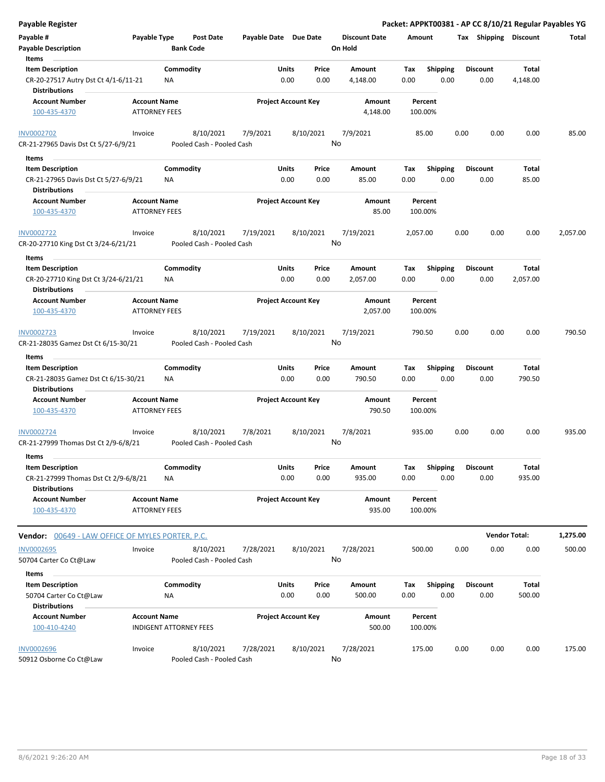| Payable #<br>Payable Type<br>Post Date<br>Payable Date Due Date<br><b>Discount Date</b><br>Tax Shipping Discount<br>Amount<br><b>Payable Description</b><br><b>Bank Code</b><br>On Hold                                               | Total            |
|---------------------------------------------------------------------------------------------------------------------------------------------------------------------------------------------------------------------------------------|------------------|
| Items                                                                                                                                                                                                                                 |                  |
| <b>Item Description</b><br>Commodity<br>Units<br>Price<br>Shipping<br><b>Discount</b><br>Amount<br>Tax                                                                                                                                | Total            |
| 0.00<br>CR-20-27517 Autry Dst Ct 4/1-6/11-21<br>0.00<br>0.00<br>0.00<br>0.00<br>ΝA<br>4,148.00<br><b>Distributions</b>                                                                                                                | 4,148.00         |
| <b>Account Number</b><br><b>Account Name</b><br><b>Project Account Key</b><br>Amount<br>Percent                                                                                                                                       |                  |
| 100-435-4370<br><b>ATTORNEY FEES</b><br>4,148.00<br>100.00%                                                                                                                                                                           |                  |
| 7/9/2021<br><b>INV0002702</b><br>8/10/2021<br>7/9/2021<br>8/10/2021<br>0.00<br>0.00<br>Invoice<br>85.00                                                                                                                               | 0.00<br>85.00    |
| No<br>CR-21-27965 Davis Dst Ct 5/27-6/9/21<br>Pooled Cash - Pooled Cash                                                                                                                                                               |                  |
| Items<br>$\sim$                                                                                                                                                                                                                       |                  |
| Commodity<br><b>Item Description</b><br>Units<br>Price<br>Amount<br>Tax<br><b>Shipping</b><br><b>Discount</b><br>0.00<br>CR-21-27965 Davis Dst Ct 5/27-6/9/21<br>0.00<br>0.00<br>85.00<br>0.00<br>0.00<br>ΝA<br>Distributions         | Total<br>85.00   |
| <b>Account Name</b><br><b>Project Account Key</b><br><b>Account Number</b><br>Amount<br>Percent<br>85.00<br><b>ATTORNEY FEES</b><br>100.00%<br>100-435-4370                                                                           |                  |
| 8/10/2021<br>8/10/2021<br>7/19/2021<br>7/19/2021<br>2,057.00<br>0.00<br>0.00<br>INV0002722<br>Invoice<br>No<br>CR-20-27710 King Dst Ct 3/24-6/21/21<br>Pooled Cash - Pooled Cash                                                      | 0.00<br>2,057.00 |
| Items                                                                                                                                                                                                                                 |                  |
| Commodity<br>Units<br>Price<br><b>Item Description</b><br>Amount<br>Tax<br><b>Shipping</b><br><b>Discount</b>                                                                                                                         | Total            |
| 0.00<br>CR-20-27710 King Dst Ct 3/24-6/21/21<br>0.00<br>0.00<br>2,057.00<br>0.00<br>0.00<br>ΝA<br><b>Distributions</b>                                                                                                                | 2,057.00         |
| <b>Project Account Key</b><br><b>Account Number</b><br><b>Account Name</b><br>Amount<br>Percent                                                                                                                                       |                  |
| 2,057.00<br>100-435-4370<br><b>ATTORNEY FEES</b><br>100.00%                                                                                                                                                                           |                  |
| 8/10/2021<br>7/19/2021<br>8/10/2021<br>7/19/2021<br>790.50<br>0.00<br>0.00<br>INV0002723<br>Invoice                                                                                                                                   | 0.00<br>790.50   |
| No<br>Pooled Cash - Pooled Cash<br>CR-21-28035 Gamez Dst Ct 6/15-30/21                                                                                                                                                                |                  |
| Items                                                                                                                                                                                                                                 |                  |
| Commodity<br><b>Item Description</b><br>Units<br>Price<br><b>Shipping</b><br><b>Discount</b><br>Amount<br>Tax                                                                                                                         | Total            |
| 0.00<br>0.00<br>0.00<br>790.50<br>0.00<br>0.00<br>CR-21-28035 Gamez Dst Ct 6/15-30/21<br>NA<br><b>Distributions</b>                                                                                                                   | 790.50           |
| <b>Project Account Key</b><br><b>Account Number</b><br><b>Account Name</b><br>Amount<br>Percent<br><b>ATTORNEY FEES</b><br>790.50<br>100.00%<br>100-435-4370                                                                          |                  |
| 8/10/2021<br>8/10/2021<br>7/8/2021<br>0.00<br>0.00<br>7/8/2021<br>935.00<br>INV0002724<br>Invoice<br>No<br>CR-21-27999 Thomas Dst Ct 2/9-6/8/21<br>Pooled Cash - Pooled Cash                                                          | 0.00<br>935.00   |
| Items                                                                                                                                                                                                                                 |                  |
| <b>Item Description</b><br>Commodity<br>Units<br>Price<br>Shipping<br><b>Discount</b><br>Amount<br>Tax<br>0.00<br>0.00<br>0.00<br>0.00<br>CR-21-27999 Thomas Dst Ct 2/9-6/8/21<br><b>NA</b><br>935.00<br>0.00<br><b>Distributions</b> | Total<br>935.00  |
| <b>Account Number</b><br><b>Account Name</b><br><b>Project Account Key</b><br>Amount<br>Percent                                                                                                                                       |                  |
| <b>ATTORNEY FEES</b><br>935.00<br>100.00%<br>100-435-4370                                                                                                                                                                             |                  |
| <b>Vendor Total:</b><br>Vendor: 00649 - LAW OFFICE OF MYLES PORTER, P.C.                                                                                                                                                              | 1,275.00         |
| <b>INV0002695</b><br>8/10/2021<br>7/28/2021<br>8/10/2021<br>7/28/2021<br>500.00<br>0.00<br>0.00<br>Invoice                                                                                                                            | 0.00<br>500.00   |
| No<br>Pooled Cash - Pooled Cash<br>50704 Carter Co Ct@Law                                                                                                                                                                             |                  |
| Items                                                                                                                                                                                                                                 |                  |
| <b>Item Description</b><br>Commodity<br>Units<br>Price<br>Shipping<br>Amount<br>Tax<br>Discount                                                                                                                                       | Total            |
| 0.00<br>0.00<br>500.00<br>0.00<br>0.00<br>50704 Carter Co Ct@Law<br>ΝA<br>0.00<br><b>Distributions</b>                                                                                                                                | 500.00           |
| <b>Account Name</b><br><b>Project Account Key</b><br>Account Number<br>Amount<br>Percent                                                                                                                                              |                  |
| 100-410-4240<br><b>INDIGENT ATTORNEY FEES</b><br>500.00<br>100.00%                                                                                                                                                                    |                  |
| <b>INV0002696</b><br>8/10/2021<br>7/28/2021<br>8/10/2021<br>7/28/2021<br>0.00<br>Invoice<br>175.00<br>0.00<br>No<br>50912 Osborne Co Ct@Law<br>Pooled Cash - Pooled Cash                                                              | 0.00<br>175.00   |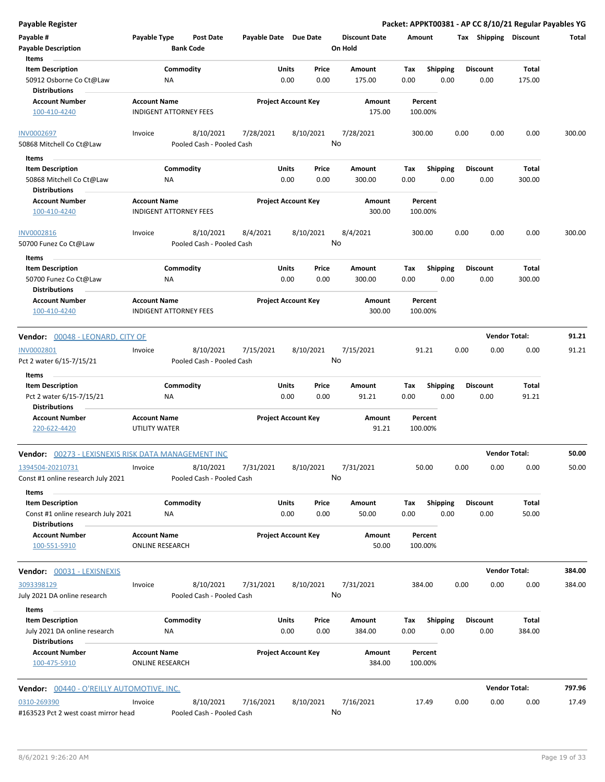| <b>Payable Description</b><br><b>Bank Code</b><br>On Hold<br>Items<br><b>Item Description</b><br>Commodity<br>Units<br>Price<br><b>Shipping</b><br><b>Discount</b><br>Total<br>Amount<br>Tax<br>0.00<br>0.00<br>175.00<br>0.00<br>0.00<br>0.00<br>175.00<br>50912 Osborne Co Ct@Law<br>ΝA<br><b>Distributions</b><br><b>Account Number</b><br><b>Project Account Key</b><br><b>Account Name</b><br>Amount<br>Percent<br><b>INDIGENT ATTORNEY FEES</b><br>175.00<br>100.00%<br>100-410-4240<br>8/10/2021<br>7/28/2021<br>8/10/2021<br>7/28/2021<br>0.00<br>0.00<br>0.00<br>300.00<br>Invoice<br>300.00<br>No<br>Pooled Cash - Pooled Cash<br>50868 Mitchell Co Ct@Law<br>Items<br>Commodity<br><b>Item Description</b><br>Units<br>Price<br>Amount<br><b>Shipping</b><br><b>Discount</b><br>Tax<br>Total<br>0.00<br>0.00<br>0.00<br>0.00<br>50868 Mitchell Co Ct@Law<br>NA<br>300.00<br>0.00<br>300.00<br><b>Distributions</b><br><b>Account Number</b><br><b>Account Name</b><br><b>Project Account Key</b><br>Amount<br>Percent<br>100-410-4240<br><b>INDIGENT ATTORNEY FEES</b><br>300.00<br>100.00%<br>8/4/2021<br>Invoice<br>8/10/2021<br>8/4/2021<br>8/10/2021<br>300.00<br>0.00<br>0.00<br>0.00<br>300.00<br>INV0002816<br>No<br>50700 Funez Co Ct@Law<br>Pooled Cash - Pooled Cash<br>Items<br>Commodity<br>Units<br>Price<br><b>Shipping</b><br>Total<br><b>Item Description</b><br>Amount<br>Tax<br><b>Discount</b><br>0.00<br>50700 Funez Co Ct@Law<br>0.00<br>0.00<br>300.00<br>0.00<br>0.00<br>300.00<br>ΝA<br><b>Distributions</b><br><b>Account Number</b><br><b>Account Name</b><br><b>Project Account Key</b><br>Amount<br>Percent<br>300.00<br><b>INDIGENT ATTORNEY FEES</b><br>100.00%<br>100-410-4240<br><b>Vendor Total:</b><br>91.21<br>Vendor: 00048 - LEONARD, CITY OF<br>8/10/2021<br>91.21<br>Invoice<br>7/15/2021<br>8/10/2021<br>7/15/2021<br>91.21<br>0.00<br>0.00<br>0.00<br>No<br>Pooled Cash - Pooled Cash<br>Pct 2 water 6/15-7/15/21<br>Items<br>Commodity<br>Units<br>Shipping<br><b>Item Description</b><br>Price<br>Amount<br>Tax<br><b>Discount</b><br>Total<br>0.00<br>0.00<br>91.21<br>0.00<br>0.00<br>0.00<br>91.21<br>Pct 2 water 6/15-7/15/21<br><b>NA</b><br><b>Distributions</b><br><b>Project Account Key</b><br><b>Account Number</b><br><b>Account Name</b><br>Amount<br>Percent<br>UTILITY WATER<br>91.21<br>100.00%<br>220-622-4420<br><b>Vendor Total:</b><br>50.00<br><b>Vendor:</b> 00273 - LEXISNEXIS RISK DATA MANAGEMENT INC<br>50.00<br>8/10/2021<br>7/31/2021<br>50.00<br>0.00<br>0.00<br>0.00<br>1394504-20210731<br>7/31/2021<br>8/10/2021<br>Invoice<br>Const #1 online research July 2021<br>Pooled Cash - Pooled Cash<br>No<br><b>Items</b><br>Commodity<br><b>Item Description</b><br>Units<br>Price<br>Amount<br>Shipping<br><b>Discount</b><br><b>Total</b><br>Tax<br>0.00<br>50.00<br>Const #1 online research July 2021<br>0.00<br>50.00<br>0.00<br>0.00<br>0.00<br>ΝA<br><b>Distributions</b><br><b>Account Number</b><br><b>Account Name</b><br><b>Project Account Key</b><br>Amount<br>Percent<br>100-551-5910<br><b>ONLINE RESEARCH</b><br>50.00<br>100.00%<br><b>Vendor Total:</b><br>Vendor: 00031 - LEXISNEXIS<br>384.00<br>8/10/2021<br>7/31/2021<br>8/10/2021<br>7/31/2021<br>384.00<br>0.00<br>0.00<br>0.00<br>384.00<br>3093398129<br>Invoice<br>No<br>July 2021 DA online research<br>Pooled Cash - Pooled Cash<br>Items<br><b>Item Description</b><br>Commodity<br>Units<br>Price<br><b>Shipping</b><br><b>Discount</b><br>Total<br>Amount<br>Tax<br>0.00<br>0.00<br>0.00<br>July 2021 DA online research<br>384.00<br>0.00<br>0.00<br>384.00<br>ΝA<br><b>Distributions</b><br><b>Account Number</b><br><b>Account Name</b><br><b>Project Account Key</b><br>Amount<br>Percent<br><b>ONLINE RESEARCH</b><br>384.00<br>100.00%<br>100-475-5910<br><b>Vendor Total:</b><br>797.96<br><b>Vendor:</b> 00440 - O'REILLY AUTOMOTIVE, INC.<br>8/10/2021<br>7/16/2021<br>8/10/2021<br>7/16/2021<br>17.49<br>0.00<br>0.00<br>0.00<br>17.49<br>0310-269390<br>Invoice<br>No<br>#163523 Pct 2 west coast mirror head<br>Pooled Cash - Pooled Cash | Payable #         | Payable Type | Post Date | Payable Date Due Date |  | <b>Discount Date</b> | Amount | Tax | Shipping | Discount | Total |
|------------------------------------------------------------------------------------------------------------------------------------------------------------------------------------------------------------------------------------------------------------------------------------------------------------------------------------------------------------------------------------------------------------------------------------------------------------------------------------------------------------------------------------------------------------------------------------------------------------------------------------------------------------------------------------------------------------------------------------------------------------------------------------------------------------------------------------------------------------------------------------------------------------------------------------------------------------------------------------------------------------------------------------------------------------------------------------------------------------------------------------------------------------------------------------------------------------------------------------------------------------------------------------------------------------------------------------------------------------------------------------------------------------------------------------------------------------------------------------------------------------------------------------------------------------------------------------------------------------------------------------------------------------------------------------------------------------------------------------------------------------------------------------------------------------------------------------------------------------------------------------------------------------------------------------------------------------------------------------------------------------------------------------------------------------------------------------------------------------------------------------------------------------------------------------------------------------------------------------------------------------------------------------------------------------------------------------------------------------------------------------------------------------------------------------------------------------------------------------------------------------------------------------------------------------------------------------------------------------------------------------------------------------------------------------------------------------------------------------------------------------------------------------------------------------------------------------------------------------------------------------------------------------------------------------------------------------------------------------------------------------------------------------------------------------------------------------------------------------------------------------------------------------------------------------------------------------------------------------------------------------------------------------------------------------------------------------------------------------------------------------------------------------------------------------------------------------------------------------------------------------------------------------------------------------------------------------------------------------------------------------------------------------------------------------------------------------------------------------------------------------------------------------------------------------------------------------------------------------------------------------------------------------------------------------------------------------------------------------------------------------------------------------------------------------------------------------------------------------------------|-------------------|--------------|-----------|-----------------------|--|----------------------|--------|-----|----------|----------|-------|
|                                                                                                                                                                                                                                                                                                                                                                                                                                                                                                                                                                                                                                                                                                                                                                                                                                                                                                                                                                                                                                                                                                                                                                                                                                                                                                                                                                                                                                                                                                                                                                                                                                                                                                                                                                                                                                                                                                                                                                                                                                                                                                                                                                                                                                                                                                                                                                                                                                                                                                                                                                                                                                                                                                                                                                                                                                                                                                                                                                                                                                                                                                                                                                                                                                                                                                                                                                                                                                                                                                                                                                                                                                                                                                                                                                                                                                                                                                                                                                                                                                                                                                                        |                   |              |           |                       |  |                      |        |     |          |          |       |
|                                                                                                                                                                                                                                                                                                                                                                                                                                                                                                                                                                                                                                                                                                                                                                                                                                                                                                                                                                                                                                                                                                                                                                                                                                                                                                                                                                                                                                                                                                                                                                                                                                                                                                                                                                                                                                                                                                                                                                                                                                                                                                                                                                                                                                                                                                                                                                                                                                                                                                                                                                                                                                                                                                                                                                                                                                                                                                                                                                                                                                                                                                                                                                                                                                                                                                                                                                                                                                                                                                                                                                                                                                                                                                                                                                                                                                                                                                                                                                                                                                                                                                                        |                   |              |           |                       |  |                      |        |     |          |          |       |
|                                                                                                                                                                                                                                                                                                                                                                                                                                                                                                                                                                                                                                                                                                                                                                                                                                                                                                                                                                                                                                                                                                                                                                                                                                                                                                                                                                                                                                                                                                                                                                                                                                                                                                                                                                                                                                                                                                                                                                                                                                                                                                                                                                                                                                                                                                                                                                                                                                                                                                                                                                                                                                                                                                                                                                                                                                                                                                                                                                                                                                                                                                                                                                                                                                                                                                                                                                                                                                                                                                                                                                                                                                                                                                                                                                                                                                                                                                                                                                                                                                                                                                                        |                   |              |           |                       |  |                      |        |     |          |          |       |
|                                                                                                                                                                                                                                                                                                                                                                                                                                                                                                                                                                                                                                                                                                                                                                                                                                                                                                                                                                                                                                                                                                                                                                                                                                                                                                                                                                                                                                                                                                                                                                                                                                                                                                                                                                                                                                                                                                                                                                                                                                                                                                                                                                                                                                                                                                                                                                                                                                                                                                                                                                                                                                                                                                                                                                                                                                                                                                                                                                                                                                                                                                                                                                                                                                                                                                                                                                                                                                                                                                                                                                                                                                                                                                                                                                                                                                                                                                                                                                                                                                                                                                                        |                   |              |           |                       |  |                      |        |     |          |          |       |
|                                                                                                                                                                                                                                                                                                                                                                                                                                                                                                                                                                                                                                                                                                                                                                                                                                                                                                                                                                                                                                                                                                                                                                                                                                                                                                                                                                                                                                                                                                                                                                                                                                                                                                                                                                                                                                                                                                                                                                                                                                                                                                                                                                                                                                                                                                                                                                                                                                                                                                                                                                                                                                                                                                                                                                                                                                                                                                                                                                                                                                                                                                                                                                                                                                                                                                                                                                                                                                                                                                                                                                                                                                                                                                                                                                                                                                                                                                                                                                                                                                                                                                                        |                   |              |           |                       |  |                      |        |     |          |          |       |
|                                                                                                                                                                                                                                                                                                                                                                                                                                                                                                                                                                                                                                                                                                                                                                                                                                                                                                                                                                                                                                                                                                                                                                                                                                                                                                                                                                                                                                                                                                                                                                                                                                                                                                                                                                                                                                                                                                                                                                                                                                                                                                                                                                                                                                                                                                                                                                                                                                                                                                                                                                                                                                                                                                                                                                                                                                                                                                                                                                                                                                                                                                                                                                                                                                                                                                                                                                                                                                                                                                                                                                                                                                                                                                                                                                                                                                                                                                                                                                                                                                                                                                                        |                   |              |           |                       |  |                      |        |     |          |          |       |
|                                                                                                                                                                                                                                                                                                                                                                                                                                                                                                                                                                                                                                                                                                                                                                                                                                                                                                                                                                                                                                                                                                                                                                                                                                                                                                                                                                                                                                                                                                                                                                                                                                                                                                                                                                                                                                                                                                                                                                                                                                                                                                                                                                                                                                                                                                                                                                                                                                                                                                                                                                                                                                                                                                                                                                                                                                                                                                                                                                                                                                                                                                                                                                                                                                                                                                                                                                                                                                                                                                                                                                                                                                                                                                                                                                                                                                                                                                                                                                                                                                                                                                                        |                   |              |           |                       |  |                      |        |     |          |          |       |
|                                                                                                                                                                                                                                                                                                                                                                                                                                                                                                                                                                                                                                                                                                                                                                                                                                                                                                                                                                                                                                                                                                                                                                                                                                                                                                                                                                                                                                                                                                                                                                                                                                                                                                                                                                                                                                                                                                                                                                                                                                                                                                                                                                                                                                                                                                                                                                                                                                                                                                                                                                                                                                                                                                                                                                                                                                                                                                                                                                                                                                                                                                                                                                                                                                                                                                                                                                                                                                                                                                                                                                                                                                                                                                                                                                                                                                                                                                                                                                                                                                                                                                                        | <b>INV0002697</b> |              |           |                       |  |                      |        |     |          |          |       |
|                                                                                                                                                                                                                                                                                                                                                                                                                                                                                                                                                                                                                                                                                                                                                                                                                                                                                                                                                                                                                                                                                                                                                                                                                                                                                                                                                                                                                                                                                                                                                                                                                                                                                                                                                                                                                                                                                                                                                                                                                                                                                                                                                                                                                                                                                                                                                                                                                                                                                                                                                                                                                                                                                                                                                                                                                                                                                                                                                                                                                                                                                                                                                                                                                                                                                                                                                                                                                                                                                                                                                                                                                                                                                                                                                                                                                                                                                                                                                                                                                                                                                                                        |                   |              |           |                       |  |                      |        |     |          |          |       |
|                                                                                                                                                                                                                                                                                                                                                                                                                                                                                                                                                                                                                                                                                                                                                                                                                                                                                                                                                                                                                                                                                                                                                                                                                                                                                                                                                                                                                                                                                                                                                                                                                                                                                                                                                                                                                                                                                                                                                                                                                                                                                                                                                                                                                                                                                                                                                                                                                                                                                                                                                                                                                                                                                                                                                                                                                                                                                                                                                                                                                                                                                                                                                                                                                                                                                                                                                                                                                                                                                                                                                                                                                                                                                                                                                                                                                                                                                                                                                                                                                                                                                                                        |                   |              |           |                       |  |                      |        |     |          |          |       |
|                                                                                                                                                                                                                                                                                                                                                                                                                                                                                                                                                                                                                                                                                                                                                                                                                                                                                                                                                                                                                                                                                                                                                                                                                                                                                                                                                                                                                                                                                                                                                                                                                                                                                                                                                                                                                                                                                                                                                                                                                                                                                                                                                                                                                                                                                                                                                                                                                                                                                                                                                                                                                                                                                                                                                                                                                                                                                                                                                                                                                                                                                                                                                                                                                                                                                                                                                                                                                                                                                                                                                                                                                                                                                                                                                                                                                                                                                                                                                                                                                                                                                                                        |                   |              |           |                       |  |                      |        |     |          |          |       |
|                                                                                                                                                                                                                                                                                                                                                                                                                                                                                                                                                                                                                                                                                                                                                                                                                                                                                                                                                                                                                                                                                                                                                                                                                                                                                                                                                                                                                                                                                                                                                                                                                                                                                                                                                                                                                                                                                                                                                                                                                                                                                                                                                                                                                                                                                                                                                                                                                                                                                                                                                                                                                                                                                                                                                                                                                                                                                                                                                                                                                                                                                                                                                                                                                                                                                                                                                                                                                                                                                                                                                                                                                                                                                                                                                                                                                                                                                                                                                                                                                                                                                                                        |                   |              |           |                       |  |                      |        |     |          |          |       |
|                                                                                                                                                                                                                                                                                                                                                                                                                                                                                                                                                                                                                                                                                                                                                                                                                                                                                                                                                                                                                                                                                                                                                                                                                                                                                                                                                                                                                                                                                                                                                                                                                                                                                                                                                                                                                                                                                                                                                                                                                                                                                                                                                                                                                                                                                                                                                                                                                                                                                                                                                                                                                                                                                                                                                                                                                                                                                                                                                                                                                                                                                                                                                                                                                                                                                                                                                                                                                                                                                                                                                                                                                                                                                                                                                                                                                                                                                                                                                                                                                                                                                                                        |                   |              |           |                       |  |                      |        |     |          |          |       |
|                                                                                                                                                                                                                                                                                                                                                                                                                                                                                                                                                                                                                                                                                                                                                                                                                                                                                                                                                                                                                                                                                                                                                                                                                                                                                                                                                                                                                                                                                                                                                                                                                                                                                                                                                                                                                                                                                                                                                                                                                                                                                                                                                                                                                                                                                                                                                                                                                                                                                                                                                                                                                                                                                                                                                                                                                                                                                                                                                                                                                                                                                                                                                                                                                                                                                                                                                                                                                                                                                                                                                                                                                                                                                                                                                                                                                                                                                                                                                                                                                                                                                                                        |                   |              |           |                       |  |                      |        |     |          |          |       |
|                                                                                                                                                                                                                                                                                                                                                                                                                                                                                                                                                                                                                                                                                                                                                                                                                                                                                                                                                                                                                                                                                                                                                                                                                                                                                                                                                                                                                                                                                                                                                                                                                                                                                                                                                                                                                                                                                                                                                                                                                                                                                                                                                                                                                                                                                                                                                                                                                                                                                                                                                                                                                                                                                                                                                                                                                                                                                                                                                                                                                                                                                                                                                                                                                                                                                                                                                                                                                                                                                                                                                                                                                                                                                                                                                                                                                                                                                                                                                                                                                                                                                                                        |                   |              |           |                       |  |                      |        |     |          |          |       |
|                                                                                                                                                                                                                                                                                                                                                                                                                                                                                                                                                                                                                                                                                                                                                                                                                                                                                                                                                                                                                                                                                                                                                                                                                                                                                                                                                                                                                                                                                                                                                                                                                                                                                                                                                                                                                                                                                                                                                                                                                                                                                                                                                                                                                                                                                                                                                                                                                                                                                                                                                                                                                                                                                                                                                                                                                                                                                                                                                                                                                                                                                                                                                                                                                                                                                                                                                                                                                                                                                                                                                                                                                                                                                                                                                                                                                                                                                                                                                                                                                                                                                                                        |                   |              |           |                       |  |                      |        |     |          |          |       |
|                                                                                                                                                                                                                                                                                                                                                                                                                                                                                                                                                                                                                                                                                                                                                                                                                                                                                                                                                                                                                                                                                                                                                                                                                                                                                                                                                                                                                                                                                                                                                                                                                                                                                                                                                                                                                                                                                                                                                                                                                                                                                                                                                                                                                                                                                                                                                                                                                                                                                                                                                                                                                                                                                                                                                                                                                                                                                                                                                                                                                                                                                                                                                                                                                                                                                                                                                                                                                                                                                                                                                                                                                                                                                                                                                                                                                                                                                                                                                                                                                                                                                                                        |                   |              |           |                       |  |                      |        |     |          |          |       |
|                                                                                                                                                                                                                                                                                                                                                                                                                                                                                                                                                                                                                                                                                                                                                                                                                                                                                                                                                                                                                                                                                                                                                                                                                                                                                                                                                                                                                                                                                                                                                                                                                                                                                                                                                                                                                                                                                                                                                                                                                                                                                                                                                                                                                                                                                                                                                                                                                                                                                                                                                                                                                                                                                                                                                                                                                                                                                                                                                                                                                                                                                                                                                                                                                                                                                                                                                                                                                                                                                                                                                                                                                                                                                                                                                                                                                                                                                                                                                                                                                                                                                                                        |                   |              |           |                       |  |                      |        |     |          |          |       |
|                                                                                                                                                                                                                                                                                                                                                                                                                                                                                                                                                                                                                                                                                                                                                                                                                                                                                                                                                                                                                                                                                                                                                                                                                                                                                                                                                                                                                                                                                                                                                                                                                                                                                                                                                                                                                                                                                                                                                                                                                                                                                                                                                                                                                                                                                                                                                                                                                                                                                                                                                                                                                                                                                                                                                                                                                                                                                                                                                                                                                                                                                                                                                                                                                                                                                                                                                                                                                                                                                                                                                                                                                                                                                                                                                                                                                                                                                                                                                                                                                                                                                                                        |                   |              |           |                       |  |                      |        |     |          |          |       |
|                                                                                                                                                                                                                                                                                                                                                                                                                                                                                                                                                                                                                                                                                                                                                                                                                                                                                                                                                                                                                                                                                                                                                                                                                                                                                                                                                                                                                                                                                                                                                                                                                                                                                                                                                                                                                                                                                                                                                                                                                                                                                                                                                                                                                                                                                                                                                                                                                                                                                                                                                                                                                                                                                                                                                                                                                                                                                                                                                                                                                                                                                                                                                                                                                                                                                                                                                                                                                                                                                                                                                                                                                                                                                                                                                                                                                                                                                                                                                                                                                                                                                                                        |                   |              |           |                       |  |                      |        |     |          |          |       |
|                                                                                                                                                                                                                                                                                                                                                                                                                                                                                                                                                                                                                                                                                                                                                                                                                                                                                                                                                                                                                                                                                                                                                                                                                                                                                                                                                                                                                                                                                                                                                                                                                                                                                                                                                                                                                                                                                                                                                                                                                                                                                                                                                                                                                                                                                                                                                                                                                                                                                                                                                                                                                                                                                                                                                                                                                                                                                                                                                                                                                                                                                                                                                                                                                                                                                                                                                                                                                                                                                                                                                                                                                                                                                                                                                                                                                                                                                                                                                                                                                                                                                                                        |                   |              |           |                       |  |                      |        |     |          |          |       |
|                                                                                                                                                                                                                                                                                                                                                                                                                                                                                                                                                                                                                                                                                                                                                                                                                                                                                                                                                                                                                                                                                                                                                                                                                                                                                                                                                                                                                                                                                                                                                                                                                                                                                                                                                                                                                                                                                                                                                                                                                                                                                                                                                                                                                                                                                                                                                                                                                                                                                                                                                                                                                                                                                                                                                                                                                                                                                                                                                                                                                                                                                                                                                                                                                                                                                                                                                                                                                                                                                                                                                                                                                                                                                                                                                                                                                                                                                                                                                                                                                                                                                                                        |                   |              |           |                       |  |                      |        |     |          |          |       |
|                                                                                                                                                                                                                                                                                                                                                                                                                                                                                                                                                                                                                                                                                                                                                                                                                                                                                                                                                                                                                                                                                                                                                                                                                                                                                                                                                                                                                                                                                                                                                                                                                                                                                                                                                                                                                                                                                                                                                                                                                                                                                                                                                                                                                                                                                                                                                                                                                                                                                                                                                                                                                                                                                                                                                                                                                                                                                                                                                                                                                                                                                                                                                                                                                                                                                                                                                                                                                                                                                                                                                                                                                                                                                                                                                                                                                                                                                                                                                                                                                                                                                                                        |                   |              |           |                       |  |                      |        |     |          |          |       |
|                                                                                                                                                                                                                                                                                                                                                                                                                                                                                                                                                                                                                                                                                                                                                                                                                                                                                                                                                                                                                                                                                                                                                                                                                                                                                                                                                                                                                                                                                                                                                                                                                                                                                                                                                                                                                                                                                                                                                                                                                                                                                                                                                                                                                                                                                                                                                                                                                                                                                                                                                                                                                                                                                                                                                                                                                                                                                                                                                                                                                                                                                                                                                                                                                                                                                                                                                                                                                                                                                                                                                                                                                                                                                                                                                                                                                                                                                                                                                                                                                                                                                                                        |                   |              |           |                       |  |                      |        |     |          |          |       |
|                                                                                                                                                                                                                                                                                                                                                                                                                                                                                                                                                                                                                                                                                                                                                                                                                                                                                                                                                                                                                                                                                                                                                                                                                                                                                                                                                                                                                                                                                                                                                                                                                                                                                                                                                                                                                                                                                                                                                                                                                                                                                                                                                                                                                                                                                                                                                                                                                                                                                                                                                                                                                                                                                                                                                                                                                                                                                                                                                                                                                                                                                                                                                                                                                                                                                                                                                                                                                                                                                                                                                                                                                                                                                                                                                                                                                                                                                                                                                                                                                                                                                                                        |                   |              |           |                       |  |                      |        |     |          |          |       |
|                                                                                                                                                                                                                                                                                                                                                                                                                                                                                                                                                                                                                                                                                                                                                                                                                                                                                                                                                                                                                                                                                                                                                                                                                                                                                                                                                                                                                                                                                                                                                                                                                                                                                                                                                                                                                                                                                                                                                                                                                                                                                                                                                                                                                                                                                                                                                                                                                                                                                                                                                                                                                                                                                                                                                                                                                                                                                                                                                                                                                                                                                                                                                                                                                                                                                                                                                                                                                                                                                                                                                                                                                                                                                                                                                                                                                                                                                                                                                                                                                                                                                                                        | INV0002801        |              |           |                       |  |                      |        |     |          |          |       |
|                                                                                                                                                                                                                                                                                                                                                                                                                                                                                                                                                                                                                                                                                                                                                                                                                                                                                                                                                                                                                                                                                                                                                                                                                                                                                                                                                                                                                                                                                                                                                                                                                                                                                                                                                                                                                                                                                                                                                                                                                                                                                                                                                                                                                                                                                                                                                                                                                                                                                                                                                                                                                                                                                                                                                                                                                                                                                                                                                                                                                                                                                                                                                                                                                                                                                                                                                                                                                                                                                                                                                                                                                                                                                                                                                                                                                                                                                                                                                                                                                                                                                                                        |                   |              |           |                       |  |                      |        |     |          |          |       |
|                                                                                                                                                                                                                                                                                                                                                                                                                                                                                                                                                                                                                                                                                                                                                                                                                                                                                                                                                                                                                                                                                                                                                                                                                                                                                                                                                                                                                                                                                                                                                                                                                                                                                                                                                                                                                                                                                                                                                                                                                                                                                                                                                                                                                                                                                                                                                                                                                                                                                                                                                                                                                                                                                                                                                                                                                                                                                                                                                                                                                                                                                                                                                                                                                                                                                                                                                                                                                                                                                                                                                                                                                                                                                                                                                                                                                                                                                                                                                                                                                                                                                                                        |                   |              |           |                       |  |                      |        |     |          |          |       |
|                                                                                                                                                                                                                                                                                                                                                                                                                                                                                                                                                                                                                                                                                                                                                                                                                                                                                                                                                                                                                                                                                                                                                                                                                                                                                                                                                                                                                                                                                                                                                                                                                                                                                                                                                                                                                                                                                                                                                                                                                                                                                                                                                                                                                                                                                                                                                                                                                                                                                                                                                                                                                                                                                                                                                                                                                                                                                                                                                                                                                                                                                                                                                                                                                                                                                                                                                                                                                                                                                                                                                                                                                                                                                                                                                                                                                                                                                                                                                                                                                                                                                                                        |                   |              |           |                       |  |                      |        |     |          |          |       |
|                                                                                                                                                                                                                                                                                                                                                                                                                                                                                                                                                                                                                                                                                                                                                                                                                                                                                                                                                                                                                                                                                                                                                                                                                                                                                                                                                                                                                                                                                                                                                                                                                                                                                                                                                                                                                                                                                                                                                                                                                                                                                                                                                                                                                                                                                                                                                                                                                                                                                                                                                                                                                                                                                                                                                                                                                                                                                                                                                                                                                                                                                                                                                                                                                                                                                                                                                                                                                                                                                                                                                                                                                                                                                                                                                                                                                                                                                                                                                                                                                                                                                                                        |                   |              |           |                       |  |                      |        |     |          |          |       |
|                                                                                                                                                                                                                                                                                                                                                                                                                                                                                                                                                                                                                                                                                                                                                                                                                                                                                                                                                                                                                                                                                                                                                                                                                                                                                                                                                                                                                                                                                                                                                                                                                                                                                                                                                                                                                                                                                                                                                                                                                                                                                                                                                                                                                                                                                                                                                                                                                                                                                                                                                                                                                                                                                                                                                                                                                                                                                                                                                                                                                                                                                                                                                                                                                                                                                                                                                                                                                                                                                                                                                                                                                                                                                                                                                                                                                                                                                                                                                                                                                                                                                                                        |                   |              |           |                       |  |                      |        |     |          |          |       |
|                                                                                                                                                                                                                                                                                                                                                                                                                                                                                                                                                                                                                                                                                                                                                                                                                                                                                                                                                                                                                                                                                                                                                                                                                                                                                                                                                                                                                                                                                                                                                                                                                                                                                                                                                                                                                                                                                                                                                                                                                                                                                                                                                                                                                                                                                                                                                                                                                                                                                                                                                                                                                                                                                                                                                                                                                                                                                                                                                                                                                                                                                                                                                                                                                                                                                                                                                                                                                                                                                                                                                                                                                                                                                                                                                                                                                                                                                                                                                                                                                                                                                                                        |                   |              |           |                       |  |                      |        |     |          |          |       |
|                                                                                                                                                                                                                                                                                                                                                                                                                                                                                                                                                                                                                                                                                                                                                                                                                                                                                                                                                                                                                                                                                                                                                                                                                                                                                                                                                                                                                                                                                                                                                                                                                                                                                                                                                                                                                                                                                                                                                                                                                                                                                                                                                                                                                                                                                                                                                                                                                                                                                                                                                                                                                                                                                                                                                                                                                                                                                                                                                                                                                                                                                                                                                                                                                                                                                                                                                                                                                                                                                                                                                                                                                                                                                                                                                                                                                                                                                                                                                                                                                                                                                                                        |                   |              |           |                       |  |                      |        |     |          |          |       |
|                                                                                                                                                                                                                                                                                                                                                                                                                                                                                                                                                                                                                                                                                                                                                                                                                                                                                                                                                                                                                                                                                                                                                                                                                                                                                                                                                                                                                                                                                                                                                                                                                                                                                                                                                                                                                                                                                                                                                                                                                                                                                                                                                                                                                                                                                                                                                                                                                                                                                                                                                                                                                                                                                                                                                                                                                                                                                                                                                                                                                                                                                                                                                                                                                                                                                                                                                                                                                                                                                                                                                                                                                                                                                                                                                                                                                                                                                                                                                                                                                                                                                                                        |                   |              |           |                       |  |                      |        |     |          |          |       |
|                                                                                                                                                                                                                                                                                                                                                                                                                                                                                                                                                                                                                                                                                                                                                                                                                                                                                                                                                                                                                                                                                                                                                                                                                                                                                                                                                                                                                                                                                                                                                                                                                                                                                                                                                                                                                                                                                                                                                                                                                                                                                                                                                                                                                                                                                                                                                                                                                                                                                                                                                                                                                                                                                                                                                                                                                                                                                                                                                                                                                                                                                                                                                                                                                                                                                                                                                                                                                                                                                                                                                                                                                                                                                                                                                                                                                                                                                                                                                                                                                                                                                                                        |                   |              |           |                       |  |                      |        |     |          |          |       |
|                                                                                                                                                                                                                                                                                                                                                                                                                                                                                                                                                                                                                                                                                                                                                                                                                                                                                                                                                                                                                                                                                                                                                                                                                                                                                                                                                                                                                                                                                                                                                                                                                                                                                                                                                                                                                                                                                                                                                                                                                                                                                                                                                                                                                                                                                                                                                                                                                                                                                                                                                                                                                                                                                                                                                                                                                                                                                                                                                                                                                                                                                                                                                                                                                                                                                                                                                                                                                                                                                                                                                                                                                                                                                                                                                                                                                                                                                                                                                                                                                                                                                                                        |                   |              |           |                       |  |                      |        |     |          |          |       |
|                                                                                                                                                                                                                                                                                                                                                                                                                                                                                                                                                                                                                                                                                                                                                                                                                                                                                                                                                                                                                                                                                                                                                                                                                                                                                                                                                                                                                                                                                                                                                                                                                                                                                                                                                                                                                                                                                                                                                                                                                                                                                                                                                                                                                                                                                                                                                                                                                                                                                                                                                                                                                                                                                                                                                                                                                                                                                                                                                                                                                                                                                                                                                                                                                                                                                                                                                                                                                                                                                                                                                                                                                                                                                                                                                                                                                                                                                                                                                                                                                                                                                                                        |                   |              |           |                       |  |                      |        |     |          |          |       |
|                                                                                                                                                                                                                                                                                                                                                                                                                                                                                                                                                                                                                                                                                                                                                                                                                                                                                                                                                                                                                                                                                                                                                                                                                                                                                                                                                                                                                                                                                                                                                                                                                                                                                                                                                                                                                                                                                                                                                                                                                                                                                                                                                                                                                                                                                                                                                                                                                                                                                                                                                                                                                                                                                                                                                                                                                                                                                                                                                                                                                                                                                                                                                                                                                                                                                                                                                                                                                                                                                                                                                                                                                                                                                                                                                                                                                                                                                                                                                                                                                                                                                                                        |                   |              |           |                       |  |                      |        |     |          |          |       |
|                                                                                                                                                                                                                                                                                                                                                                                                                                                                                                                                                                                                                                                                                                                                                                                                                                                                                                                                                                                                                                                                                                                                                                                                                                                                                                                                                                                                                                                                                                                                                                                                                                                                                                                                                                                                                                                                                                                                                                                                                                                                                                                                                                                                                                                                                                                                                                                                                                                                                                                                                                                                                                                                                                                                                                                                                                                                                                                                                                                                                                                                                                                                                                                                                                                                                                                                                                                                                                                                                                                                                                                                                                                                                                                                                                                                                                                                                                                                                                                                                                                                                                                        |                   |              |           |                       |  |                      |        |     |          |          |       |
|                                                                                                                                                                                                                                                                                                                                                                                                                                                                                                                                                                                                                                                                                                                                                                                                                                                                                                                                                                                                                                                                                                                                                                                                                                                                                                                                                                                                                                                                                                                                                                                                                                                                                                                                                                                                                                                                                                                                                                                                                                                                                                                                                                                                                                                                                                                                                                                                                                                                                                                                                                                                                                                                                                                                                                                                                                                                                                                                                                                                                                                                                                                                                                                                                                                                                                                                                                                                                                                                                                                                                                                                                                                                                                                                                                                                                                                                                                                                                                                                                                                                                                                        |                   |              |           |                       |  |                      |        |     |          |          |       |
|                                                                                                                                                                                                                                                                                                                                                                                                                                                                                                                                                                                                                                                                                                                                                                                                                                                                                                                                                                                                                                                                                                                                                                                                                                                                                                                                                                                                                                                                                                                                                                                                                                                                                                                                                                                                                                                                                                                                                                                                                                                                                                                                                                                                                                                                                                                                                                                                                                                                                                                                                                                                                                                                                                                                                                                                                                                                                                                                                                                                                                                                                                                                                                                                                                                                                                                                                                                                                                                                                                                                                                                                                                                                                                                                                                                                                                                                                                                                                                                                                                                                                                                        |                   |              |           |                       |  |                      |        |     |          |          |       |
|                                                                                                                                                                                                                                                                                                                                                                                                                                                                                                                                                                                                                                                                                                                                                                                                                                                                                                                                                                                                                                                                                                                                                                                                                                                                                                                                                                                                                                                                                                                                                                                                                                                                                                                                                                                                                                                                                                                                                                                                                                                                                                                                                                                                                                                                                                                                                                                                                                                                                                                                                                                                                                                                                                                                                                                                                                                                                                                                                                                                                                                                                                                                                                                                                                                                                                                                                                                                                                                                                                                                                                                                                                                                                                                                                                                                                                                                                                                                                                                                                                                                                                                        |                   |              |           |                       |  |                      |        |     |          |          |       |
|                                                                                                                                                                                                                                                                                                                                                                                                                                                                                                                                                                                                                                                                                                                                                                                                                                                                                                                                                                                                                                                                                                                                                                                                                                                                                                                                                                                                                                                                                                                                                                                                                                                                                                                                                                                                                                                                                                                                                                                                                                                                                                                                                                                                                                                                                                                                                                                                                                                                                                                                                                                                                                                                                                                                                                                                                                                                                                                                                                                                                                                                                                                                                                                                                                                                                                                                                                                                                                                                                                                                                                                                                                                                                                                                                                                                                                                                                                                                                                                                                                                                                                                        |                   |              |           |                       |  |                      |        |     |          |          |       |
|                                                                                                                                                                                                                                                                                                                                                                                                                                                                                                                                                                                                                                                                                                                                                                                                                                                                                                                                                                                                                                                                                                                                                                                                                                                                                                                                                                                                                                                                                                                                                                                                                                                                                                                                                                                                                                                                                                                                                                                                                                                                                                                                                                                                                                                                                                                                                                                                                                                                                                                                                                                                                                                                                                                                                                                                                                                                                                                                                                                                                                                                                                                                                                                                                                                                                                                                                                                                                                                                                                                                                                                                                                                                                                                                                                                                                                                                                                                                                                                                                                                                                                                        |                   |              |           |                       |  |                      |        |     |          |          |       |
|                                                                                                                                                                                                                                                                                                                                                                                                                                                                                                                                                                                                                                                                                                                                                                                                                                                                                                                                                                                                                                                                                                                                                                                                                                                                                                                                                                                                                                                                                                                                                                                                                                                                                                                                                                                                                                                                                                                                                                                                                                                                                                                                                                                                                                                                                                                                                                                                                                                                                                                                                                                                                                                                                                                                                                                                                                                                                                                                                                                                                                                                                                                                                                                                                                                                                                                                                                                                                                                                                                                                                                                                                                                                                                                                                                                                                                                                                                                                                                                                                                                                                                                        |                   |              |           |                       |  |                      |        |     |          |          |       |
|                                                                                                                                                                                                                                                                                                                                                                                                                                                                                                                                                                                                                                                                                                                                                                                                                                                                                                                                                                                                                                                                                                                                                                                                                                                                                                                                                                                                                                                                                                                                                                                                                                                                                                                                                                                                                                                                                                                                                                                                                                                                                                                                                                                                                                                                                                                                                                                                                                                                                                                                                                                                                                                                                                                                                                                                                                                                                                                                                                                                                                                                                                                                                                                                                                                                                                                                                                                                                                                                                                                                                                                                                                                                                                                                                                                                                                                                                                                                                                                                                                                                                                                        |                   |              |           |                       |  |                      |        |     |          |          |       |
|                                                                                                                                                                                                                                                                                                                                                                                                                                                                                                                                                                                                                                                                                                                                                                                                                                                                                                                                                                                                                                                                                                                                                                                                                                                                                                                                                                                                                                                                                                                                                                                                                                                                                                                                                                                                                                                                                                                                                                                                                                                                                                                                                                                                                                                                                                                                                                                                                                                                                                                                                                                                                                                                                                                                                                                                                                                                                                                                                                                                                                                                                                                                                                                                                                                                                                                                                                                                                                                                                                                                                                                                                                                                                                                                                                                                                                                                                                                                                                                                                                                                                                                        |                   |              |           |                       |  |                      |        |     |          |          |       |
|                                                                                                                                                                                                                                                                                                                                                                                                                                                                                                                                                                                                                                                                                                                                                                                                                                                                                                                                                                                                                                                                                                                                                                                                                                                                                                                                                                                                                                                                                                                                                                                                                                                                                                                                                                                                                                                                                                                                                                                                                                                                                                                                                                                                                                                                                                                                                                                                                                                                                                                                                                                                                                                                                                                                                                                                                                                                                                                                                                                                                                                                                                                                                                                                                                                                                                                                                                                                                                                                                                                                                                                                                                                                                                                                                                                                                                                                                                                                                                                                                                                                                                                        |                   |              |           |                       |  |                      |        |     |          |          |       |
|                                                                                                                                                                                                                                                                                                                                                                                                                                                                                                                                                                                                                                                                                                                                                                                                                                                                                                                                                                                                                                                                                                                                                                                                                                                                                                                                                                                                                                                                                                                                                                                                                                                                                                                                                                                                                                                                                                                                                                                                                                                                                                                                                                                                                                                                                                                                                                                                                                                                                                                                                                                                                                                                                                                                                                                                                                                                                                                                                                                                                                                                                                                                                                                                                                                                                                                                                                                                                                                                                                                                                                                                                                                                                                                                                                                                                                                                                                                                                                                                                                                                                                                        |                   |              |           |                       |  |                      |        |     |          |          |       |
|                                                                                                                                                                                                                                                                                                                                                                                                                                                                                                                                                                                                                                                                                                                                                                                                                                                                                                                                                                                                                                                                                                                                                                                                                                                                                                                                                                                                                                                                                                                                                                                                                                                                                                                                                                                                                                                                                                                                                                                                                                                                                                                                                                                                                                                                                                                                                                                                                                                                                                                                                                                                                                                                                                                                                                                                                                                                                                                                                                                                                                                                                                                                                                                                                                                                                                                                                                                                                                                                                                                                                                                                                                                                                                                                                                                                                                                                                                                                                                                                                                                                                                                        |                   |              |           |                       |  |                      |        |     |          |          |       |
|                                                                                                                                                                                                                                                                                                                                                                                                                                                                                                                                                                                                                                                                                                                                                                                                                                                                                                                                                                                                                                                                                                                                                                                                                                                                                                                                                                                                                                                                                                                                                                                                                                                                                                                                                                                                                                                                                                                                                                                                                                                                                                                                                                                                                                                                                                                                                                                                                                                                                                                                                                                                                                                                                                                                                                                                                                                                                                                                                                                                                                                                                                                                                                                                                                                                                                                                                                                                                                                                                                                                                                                                                                                                                                                                                                                                                                                                                                                                                                                                                                                                                                                        |                   |              |           |                       |  |                      |        |     |          |          |       |
|                                                                                                                                                                                                                                                                                                                                                                                                                                                                                                                                                                                                                                                                                                                                                                                                                                                                                                                                                                                                                                                                                                                                                                                                                                                                                                                                                                                                                                                                                                                                                                                                                                                                                                                                                                                                                                                                                                                                                                                                                                                                                                                                                                                                                                                                                                                                                                                                                                                                                                                                                                                                                                                                                                                                                                                                                                                                                                                                                                                                                                                                                                                                                                                                                                                                                                                                                                                                                                                                                                                                                                                                                                                                                                                                                                                                                                                                                                                                                                                                                                                                                                                        |                   |              |           |                       |  |                      |        |     |          |          |       |
|                                                                                                                                                                                                                                                                                                                                                                                                                                                                                                                                                                                                                                                                                                                                                                                                                                                                                                                                                                                                                                                                                                                                                                                                                                                                                                                                                                                                                                                                                                                                                                                                                                                                                                                                                                                                                                                                                                                                                                                                                                                                                                                                                                                                                                                                                                                                                                                                                                                                                                                                                                                                                                                                                                                                                                                                                                                                                                                                                                                                                                                                                                                                                                                                                                                                                                                                                                                                                                                                                                                                                                                                                                                                                                                                                                                                                                                                                                                                                                                                                                                                                                                        |                   |              |           |                       |  |                      |        |     |          |          |       |
|                                                                                                                                                                                                                                                                                                                                                                                                                                                                                                                                                                                                                                                                                                                                                                                                                                                                                                                                                                                                                                                                                                                                                                                                                                                                                                                                                                                                                                                                                                                                                                                                                                                                                                                                                                                                                                                                                                                                                                                                                                                                                                                                                                                                                                                                                                                                                                                                                                                                                                                                                                                                                                                                                                                                                                                                                                                                                                                                                                                                                                                                                                                                                                                                                                                                                                                                                                                                                                                                                                                                                                                                                                                                                                                                                                                                                                                                                                                                                                                                                                                                                                                        |                   |              |           |                       |  |                      |        |     |          |          |       |
|                                                                                                                                                                                                                                                                                                                                                                                                                                                                                                                                                                                                                                                                                                                                                                                                                                                                                                                                                                                                                                                                                                                                                                                                                                                                                                                                                                                                                                                                                                                                                                                                                                                                                                                                                                                                                                                                                                                                                                                                                                                                                                                                                                                                                                                                                                                                                                                                                                                                                                                                                                                                                                                                                                                                                                                                                                                                                                                                                                                                                                                                                                                                                                                                                                                                                                                                                                                                                                                                                                                                                                                                                                                                                                                                                                                                                                                                                                                                                                                                                                                                                                                        |                   |              |           |                       |  |                      |        |     |          |          |       |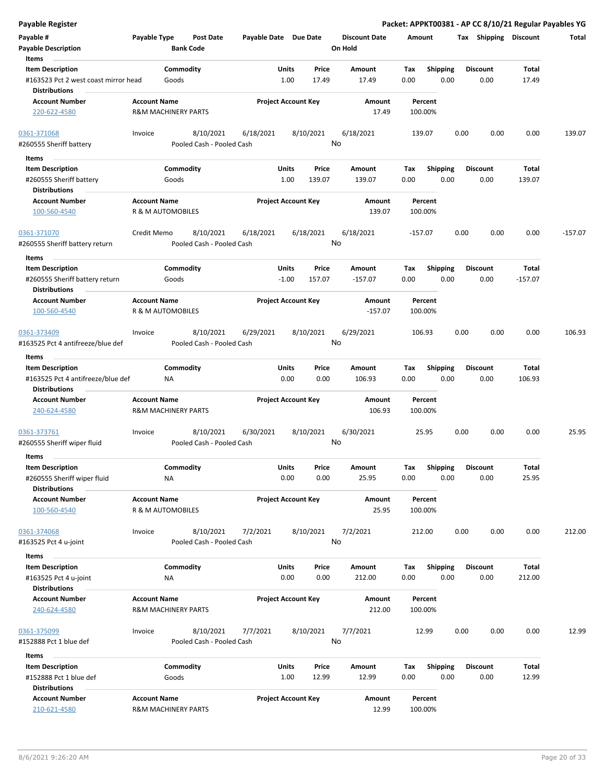| Payable #<br><b>Payable Description</b>                      | Payable Type                                          | <b>Post Date</b><br><b>Bank Code</b>   | Payable Date Due Date |                            |           | <b>Discount Date</b><br>On Hold | Amount      |                         | Tax  | Shipping        | <b>Discount</b> | Total     |
|--------------------------------------------------------------|-------------------------------------------------------|----------------------------------------|-----------------------|----------------------------|-----------|---------------------------------|-------------|-------------------------|------|-----------------|-----------------|-----------|
| Items                                                        |                                                       |                                        |                       |                            |           |                                 |             |                         |      |                 |                 |           |
| <b>Item Description</b>                                      |                                                       | Commodity                              |                       | Units                      | Price     | Amount                          | Tax         | <b>Shipping</b>         |      | <b>Discount</b> | Total           |           |
| #163523 Pct 2 west coast mirror head<br><b>Distributions</b> |                                                       | Goods                                  |                       | 1.00                       | 17.49     | 17.49                           | 0.00        | 0.00                    |      | 0.00            | 17.49           |           |
| <b>Account Number</b>                                        | <b>Account Name</b>                                   |                                        |                       | <b>Project Account Key</b> |           | Amount                          |             | Percent                 |      |                 |                 |           |
| 220-622-4580                                                 | <b>R&amp;M MACHINERY PARTS</b>                        |                                        |                       |                            |           | 17.49                           |             | 100.00%                 |      |                 |                 |           |
| 0361-371068                                                  | Invoice                                               | 8/10/2021                              | 6/18/2021             |                            | 8/10/2021 | 6/18/2021                       | 139.07      |                         | 0.00 | 0.00            | 0.00            | 139.07    |
| #260555 Sheriff battery                                      |                                                       | Pooled Cash - Pooled Cash              |                       |                            |           | No                              |             |                         |      |                 |                 |           |
| Items                                                        |                                                       |                                        |                       |                            |           |                                 |             |                         |      |                 |                 |           |
| <b>Item Description</b>                                      |                                                       | Commodity                              |                       | Units                      | Price     | Amount                          | Tax         | <b>Shipping</b>         |      | Discount        | Total           |           |
| #260555 Sheriff battery                                      |                                                       | Goods                                  |                       | 1.00                       | 139.07    | 139.07                          | 0.00        | 0.00                    |      | 0.00            | 139.07          |           |
| <b>Distributions</b>                                         |                                                       |                                        |                       |                            |           |                                 |             |                         |      |                 |                 |           |
| <b>Account Number</b><br>100-560-4540                        | <b>Account Name</b><br>R & M AUTOMOBILES              |                                        |                       | <b>Project Account Key</b> |           | Amount<br>139.07                |             | Percent<br>100.00%      |      |                 |                 |           |
|                                                              |                                                       |                                        |                       |                            |           |                                 |             |                         | 0.00 | 0.00            |                 |           |
| 0361-371070<br>#260555 Sheriff battery return                | Credit Memo                                           | 8/10/2021<br>Pooled Cash - Pooled Cash | 6/18/2021             |                            | 6/18/2021 | 6/18/2021<br>No                 | -157.07     |                         |      |                 | 0.00            | $-157.07$ |
|                                                              |                                                       |                                        |                       |                            |           |                                 |             |                         |      |                 |                 |           |
| Items                                                        |                                                       |                                        |                       |                            |           |                                 |             |                         |      |                 |                 |           |
| <b>Item Description</b>                                      |                                                       | Commodity                              |                       | Units                      | Price     | Amount                          | Tax         | Shipping                |      | <b>Discount</b> | Total           |           |
| #260555 Sheriff battery return<br><b>Distributions</b>       |                                                       | Goods                                  |                       | $-1.00$                    | 157.07    | $-157.07$                       | 0.00        | 0.00                    |      | 0.00            | $-157.07$       |           |
|                                                              | <b>Account Name</b>                                   |                                        |                       |                            |           |                                 |             | Percent                 |      |                 |                 |           |
| <b>Account Number</b><br>100-560-4540                        | R & M AUTOMOBILES                                     |                                        |                       | <b>Project Account Key</b> |           | Amount<br>$-157.07$             |             | 100.00%                 |      |                 |                 |           |
| 0361-373409                                                  | Invoice                                               | 8/10/2021                              | 6/29/2021             |                            | 8/10/2021 | 6/29/2021                       | 106.93      |                         | 0.00 | 0.00            | 0.00            | 106.93    |
| #163525 Pct 4 antifreeze/blue def                            |                                                       | Pooled Cash - Pooled Cash              |                       |                            |           | No                              |             |                         |      |                 |                 |           |
|                                                              |                                                       |                                        |                       |                            |           |                                 |             |                         |      |                 |                 |           |
| Items<br><b>Item Description</b>                             |                                                       | Commodity                              |                       | Units                      | Price     |                                 |             |                         |      | <b>Discount</b> | Total           |           |
| #163525 Pct 4 antifreeze/blue def                            | ΝA                                                    |                                        |                       | 0.00                       | 0.00      | Amount<br>106.93                | Tax<br>0.00 | <b>Shipping</b><br>0.00 |      | 0.00            | 106.93          |           |
| <b>Distributions</b>                                         |                                                       |                                        |                       |                            |           |                                 |             |                         |      |                 |                 |           |
| <b>Account Number</b>                                        | <b>Account Name</b>                                   |                                        |                       | <b>Project Account Key</b> |           | Amount                          |             | Percent                 |      |                 |                 |           |
| 240-624-4580                                                 | <b>R&amp;M MACHINERY PARTS</b>                        |                                        |                       |                            |           | 106.93                          |             | 100.00%                 |      |                 |                 |           |
| 0361-373761                                                  | Invoice                                               | 8/10/2021                              | 6/30/2021             |                            | 8/10/2021 | 6/30/2021                       |             | 25.95                   | 0.00 | 0.00            | 0.00            | 25.95     |
| #260555 Sheriff wiper fluid                                  |                                                       | Pooled Cash - Pooled Cash              |                       |                            |           | No                              |             |                         |      |                 |                 |           |
| Items                                                        |                                                       |                                        |                       |                            |           |                                 |             |                         |      |                 |                 |           |
| <b>Item Description</b>                                      |                                                       | Commodity                              |                       | Units                      | Price     | Amount                          | Tax         | Shipping                |      | <b>Discount</b> | Total           |           |
| #260555 Sheriff wiper fluid                                  | NА                                                    |                                        |                       | 0.00                       | 0.00      | 25.95                           | 0.00        | 0.00                    |      | 0.00            | 25.95           |           |
| <b>Distributions</b>                                         |                                                       |                                        |                       |                            |           |                                 |             |                         |      |                 |                 |           |
| <b>Account Number</b><br>100-560-4540                        | <b>Account Name</b><br>R & M AUTOMOBILES              |                                        |                       | <b>Project Account Key</b> |           | Amount<br>25.95                 |             | Percent<br>100.00%      |      |                 |                 |           |
|                                                              |                                                       |                                        |                       |                            |           |                                 |             |                         |      |                 |                 |           |
| 0361-374068                                                  | Invoice                                               | 8/10/2021<br>Pooled Cash - Pooled Cash | 7/2/2021              |                            | 8/10/2021 | 7/2/2021<br>No                  | 212.00      |                         | 0.00 | 0.00            | 0.00            | 212.00    |
| #163525 Pct 4 u-joint                                        |                                                       |                                        |                       |                            |           |                                 |             |                         |      |                 |                 |           |
| Items                                                        |                                                       |                                        |                       |                            |           |                                 |             |                         |      |                 |                 |           |
| <b>Item Description</b>                                      |                                                       | Commodity                              |                       | Units                      | Price     | Amount                          | Tax         | Shipping                |      | <b>Discount</b> | Total           |           |
| #163525 Pct 4 u-joint                                        | NA                                                    |                                        |                       | 0.00                       | 0.00      | 212.00                          | 0.00        | 0.00                    |      | 0.00            | 212.00          |           |
| <b>Distributions</b>                                         |                                                       |                                        |                       |                            |           |                                 |             |                         |      |                 |                 |           |
| <b>Account Number</b><br>240-624-4580                        | <b>Account Name</b><br><b>R&amp;M MACHINERY PARTS</b> |                                        |                       | <b>Project Account Key</b> |           | Amount<br>212.00                |             | Percent<br>100.00%      |      |                 |                 |           |
| 0361-375099                                                  | Invoice                                               | 8/10/2021                              | 7/7/2021              |                            | 8/10/2021 | 7/7/2021                        |             | 12.99                   | 0.00 | 0.00            | 0.00            | 12.99     |
| #152888 Pct 1 blue def                                       |                                                       | Pooled Cash - Pooled Cash              |                       |                            |           | No                              |             |                         |      |                 |                 |           |
| Items                                                        |                                                       |                                        |                       |                            |           |                                 |             |                         |      |                 |                 |           |
| <b>Item Description</b>                                      |                                                       | Commodity                              |                       | Units                      | Price     | Amount                          | Тах         | <b>Shipping</b>         |      | Discount        | Total           |           |
| #152888 Pct 1 blue def                                       |                                                       | Goods                                  |                       | 1.00                       | 12.99     | 12.99                           | 0.00        | 0.00                    |      | 0.00            | 12.99           |           |
| <b>Distributions</b>                                         |                                                       |                                        |                       |                            |           |                                 |             |                         |      |                 |                 |           |
| <b>Account Number</b>                                        | <b>Account Name</b>                                   |                                        |                       | <b>Project Account Key</b> |           | Amount                          |             | Percent                 |      |                 |                 |           |

210-621-4580 R&M MACHINERY PARTS 12.99 100.00%

**Payable Register Packet: APPKT00381 - AP CC 8/10/21 Regular Payables YG**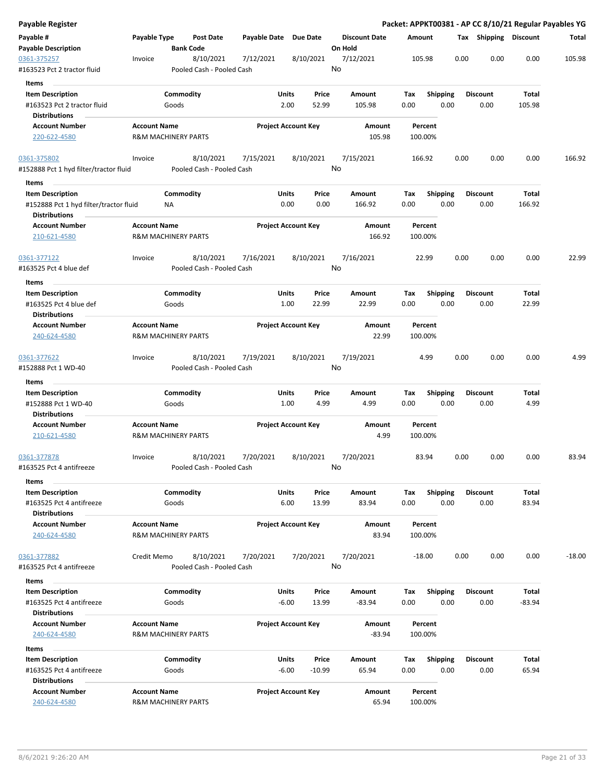| Payable Register                                 |                     |                                        |                       |                            |           |                      |             |                         |      |                       |                | Packet: APPKT00381 - AP CC 8/10/21 Regular Payables YG |
|--------------------------------------------------|---------------------|----------------------------------------|-----------------------|----------------------------|-----------|----------------------|-------------|-------------------------|------|-----------------------|----------------|--------------------------------------------------------|
| Payable #                                        | Payable Type        | <b>Post Date</b>                       | Payable Date Due Date |                            |           | <b>Discount Date</b> | Amount      |                         |      | Tax Shipping Discount |                | Total                                                  |
| <b>Payable Description</b>                       |                     | <b>Bank Code</b>                       |                       |                            |           | On Hold              |             |                         |      |                       |                |                                                        |
| 0361-375257                                      | Invoice             | 8/10/2021                              | 7/12/2021             |                            | 8/10/2021 | 7/12/2021            |             | 105.98                  | 0.00 | 0.00                  | 0.00           | 105.98                                                 |
| #163523 Pct 2 tractor fluid                      |                     | Pooled Cash - Pooled Cash              |                       |                            |           | No                   |             |                         |      |                       |                |                                                        |
| <b>Items</b>                                     |                     |                                        |                       |                            |           |                      |             |                         |      |                       |                |                                                        |
| <b>Item Description</b>                          |                     | Commodity                              |                       | <b>Units</b>               | Price     | Amount               | Tax         | <b>Shipping</b>         |      | <b>Discount</b>       | Total          |                                                        |
| #163523 Pct 2 tractor fluid                      |                     | Goods                                  |                       | 2.00                       | 52.99     | 105.98               | 0.00        | 0.00                    |      | 0.00                  | 105.98         |                                                        |
| <b>Distributions</b><br><b>Account Number</b>    | <b>Account Name</b> |                                        |                       | <b>Project Account Key</b> |           | Amount               |             | Percent                 |      |                       |                |                                                        |
| 220-622-4580                                     |                     | <b>R&amp;M MACHINERY PARTS</b>         |                       |                            |           | 105.98               |             | 100.00%                 |      |                       |                |                                                        |
|                                                  |                     |                                        |                       |                            |           |                      |             |                         |      |                       |                |                                                        |
| 0361-375802                                      | Invoice             | 8/10/2021                              | 7/15/2021             |                            | 8/10/2021 | 7/15/2021            |             | 166.92                  | 0.00 | 0.00                  | 0.00           | 166.92                                                 |
| #152888 Pct 1 hyd filter/tractor fluid           |                     | Pooled Cash - Pooled Cash              |                       |                            |           | No                   |             |                         |      |                       |                |                                                        |
| Items                                            |                     |                                        |                       |                            |           |                      |             |                         |      |                       |                |                                                        |
| <b>Item Description</b>                          |                     | Commodity                              |                       | Units                      | Price     | Amount               | Tax         | <b>Shipping</b>         |      | <b>Discount</b>       | Total          |                                                        |
| #152888 Pct 1 hyd filter/tractor fluid           |                     | NA                                     |                       | 0.00                       | 0.00      | 166.92               | 0.00        | 0.00                    |      | 0.00                  | 166.92         |                                                        |
| <b>Distributions</b>                             |                     |                                        |                       |                            |           |                      |             |                         |      |                       |                |                                                        |
| <b>Account Number</b>                            | <b>Account Name</b> |                                        |                       | <b>Project Account Key</b> |           | Amount               |             | Percent                 |      |                       |                |                                                        |
| 210-621-4580                                     |                     | <b>R&amp;M MACHINERY PARTS</b>         |                       |                            |           | 166.92               |             | 100.00%                 |      |                       |                |                                                        |
| 0361-377122                                      | Invoice             | 8/10/2021                              | 7/16/2021             |                            | 8/10/2021 | 7/16/2021            |             | 22.99                   | 0.00 | 0.00                  | 0.00           | 22.99                                                  |
| #163525 Pct 4 blue def                           |                     | Pooled Cash - Pooled Cash              |                       |                            |           | No                   |             |                         |      |                       |                |                                                        |
| Items                                            |                     |                                        |                       |                            |           |                      |             |                         |      |                       |                |                                                        |
| <b>Item Description</b>                          |                     | Commodity                              |                       | Units                      | Price     | Amount               | Tax         | <b>Shipping</b>         |      | <b>Discount</b>       | Total          |                                                        |
| #163525 Pct 4 blue def                           |                     | Goods                                  |                       | 1.00                       | 22.99     | 22.99                | 0.00        | 0.00                    |      | 0.00                  | 22.99          |                                                        |
| <b>Distributions</b>                             |                     |                                        |                       |                            |           |                      |             |                         |      |                       |                |                                                        |
| <b>Account Number</b>                            | <b>Account Name</b> |                                        |                       | <b>Project Account Key</b> |           | Amount               |             | Percent                 |      |                       |                |                                                        |
| 240-624-4580                                     |                     | <b>R&amp;M MACHINERY PARTS</b>         |                       |                            |           | 22.99                |             | 100.00%                 |      |                       |                |                                                        |
|                                                  |                     |                                        |                       |                            |           |                      |             |                         |      |                       |                |                                                        |
| 0361-377622<br>#152888 Pct 1 WD-40               | Invoice             | 8/10/2021<br>Pooled Cash - Pooled Cash | 7/19/2021             |                            | 8/10/2021 | 7/19/2021<br>No      |             | 4.99                    | 0.00 | 0.00                  | 0.00           | 4.99                                                   |
|                                                  |                     |                                        |                       |                            |           |                      |             |                         |      |                       |                |                                                        |
| Items                                            |                     | Commodity                              |                       | Units                      | Price     | Amount               |             |                         |      | <b>Discount</b>       | Total          |                                                        |
| <b>Item Description</b><br>#152888 Pct 1 WD-40   |                     | Goods                                  |                       | 1.00                       | 4.99      | 4.99                 | Tax<br>0.00 | <b>Shipping</b><br>0.00 |      | 0.00                  | 4.99           |                                                        |
| <b>Distributions</b>                             |                     |                                        |                       |                            |           |                      |             |                         |      |                       |                |                                                        |
| <b>Account Number</b>                            | <b>Account Name</b> |                                        |                       | <b>Project Account Key</b> |           | Amount               |             | Percent                 |      |                       |                |                                                        |
| 210-621-4580                                     |                     | <b>R&amp;M MACHINERY PARTS</b>         |                       |                            |           | 4.99                 |             | 100.00%                 |      |                       |                |                                                        |
|                                                  |                     |                                        |                       |                            |           |                      |             |                         |      |                       |                |                                                        |
| 0361-377878                                      | Invoice             | 8/10/2021                              | 7/20/2021             |                            | 8/10/2021 | 7/20/2021            |             | 83.94                   | 0.00 | 0.00                  | 0.00           | 83.94                                                  |
| #163525 Pct 4 antifreeze                         |                     | Pooled Cash - Pooled Cash              |                       |                            |           | No                   |             |                         |      |                       |                |                                                        |
| Items                                            |                     |                                        |                       |                            |           |                      |             |                         |      |                       |                |                                                        |
| <b>Item Description</b>                          |                     | Commodity                              |                       | Units                      | Price     | Amount<br>83.94      | Tax         | Shipping                |      | Discount              | Total<br>83.94 |                                                        |
| #163525 Pct 4 antifreeze<br><b>Distributions</b> |                     | Goods                                  |                       | 6.00                       | 13.99     |                      | 0.00        | 0.00                    |      | 0.00                  |                |                                                        |
| <b>Account Number</b>                            | <b>Account Name</b> |                                        |                       | <b>Project Account Key</b> |           | Amount               |             | Percent                 |      |                       |                |                                                        |
| 240-624-4580                                     |                     | <b>R&amp;M MACHINERY PARTS</b>         |                       |                            |           | 83.94                |             | 100.00%                 |      |                       |                |                                                        |
|                                                  |                     |                                        |                       |                            |           |                      |             |                         |      |                       |                |                                                        |
| 0361-377882                                      | Credit Memo         | 8/10/2021                              | 7/20/2021             |                            | 7/20/2021 | 7/20/2021            |             | $-18.00$                | 0.00 | 0.00                  | 0.00           | $-18.00$                                               |
| #163525 Pct 4 antifreeze                         |                     | Pooled Cash - Pooled Cash              |                       |                            |           | No                   |             |                         |      |                       |                |                                                        |
| Items                                            |                     |                                        |                       |                            |           |                      |             |                         |      |                       |                |                                                        |
| <b>Item Description</b>                          |                     | Commodity                              |                       | Units                      | Price     | Amount               | Tax         | <b>Shipping</b>         |      | <b>Discount</b>       | Total          |                                                        |
| #163525 Pct 4 antifreeze                         |                     | Goods                                  |                       | $-6.00$                    | 13.99     | $-83.94$             | 0.00        | 0.00                    |      | 0.00                  | $-83.94$       |                                                        |
| <b>Distributions</b>                             |                     |                                        |                       |                            |           |                      |             |                         |      |                       |                |                                                        |
| <b>Account Number</b>                            | <b>Account Name</b> |                                        |                       | <b>Project Account Key</b> |           | Amount               |             | Percent                 |      |                       |                |                                                        |
| 240-624-4580                                     |                     | R&M MACHINERY PARTS                    |                       |                            |           | $-83.94$             |             | 100.00%                 |      |                       |                |                                                        |
| Items<br><b>Item Description</b>                 |                     | Commodity                              |                       | Units                      | Price     |                      |             | Shipping                |      | Discount              | Total          |                                                        |
| #163525 Pct 4 antifreeze                         |                     | Goods                                  |                       | $-6.00$                    | $-10.99$  | Amount<br>65.94      | Tax<br>0.00 | 0.00                    |      | 0.00                  | 65.94          |                                                        |
| <b>Distributions</b>                             |                     |                                        |                       |                            |           |                      |             |                         |      |                       |                |                                                        |
| <b>Account Number</b>                            | <b>Account Name</b> |                                        |                       | <b>Project Account Key</b> |           | Amount               |             | Percent                 |      |                       |                |                                                        |
| 240-624-4580                                     |                     | R&M MACHINERY PARTS                    |                       |                            |           | 65.94                |             | 100.00%                 |      |                       |                |                                                        |
|                                                  |                     |                                        |                       |                            |           |                      |             |                         |      |                       |                |                                                        |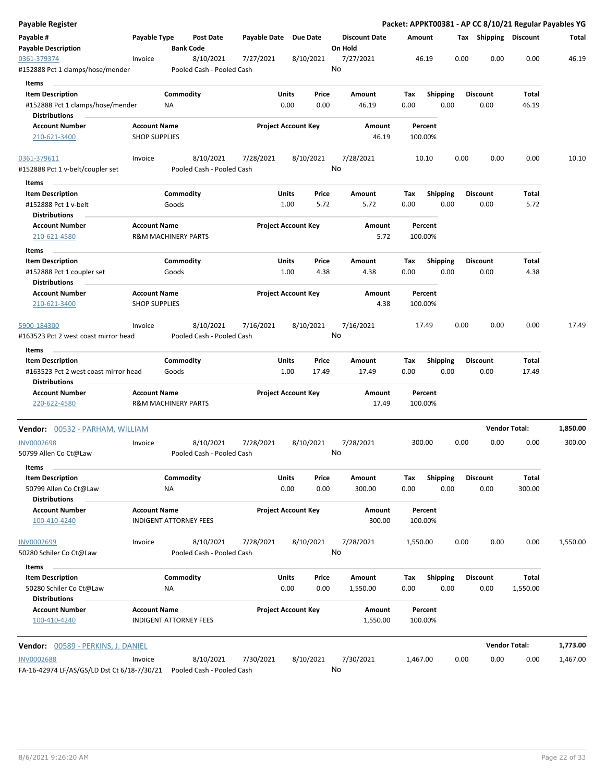| <b>Payable Register</b>                         |                                             |           |                                        |                       |                            |       |                      |          |                    |      |      |                       | Packet: APPKT00381 - AP CC 8/10/21 Regular Payables YG |          |
|-------------------------------------------------|---------------------------------------------|-----------|----------------------------------------|-----------------------|----------------------------|-------|----------------------|----------|--------------------|------|------|-----------------------|--------------------------------------------------------|----------|
| Payable #                                       | Payable Type                                |           | <b>Post Date</b>                       | Payable Date Due Date |                            |       | <b>Discount Date</b> | Amount   |                    |      |      | Tax Shipping Discount |                                                        | Total    |
| <b>Payable Description</b>                      |                                             |           | <b>Bank Code</b>                       |                       |                            |       | On Hold              |          |                    |      |      |                       |                                                        |          |
| 0361-379374<br>#152888 Pct 1 clamps/hose/mender | Invoice                                     |           | 8/10/2021<br>Pooled Cash - Pooled Cash | 7/27/2021             | 8/10/2021                  |       | 7/27/2021<br>No      |          | 46.19              |      | 0.00 | 0.00                  | 0.00                                                   | 46.19    |
| Items                                           |                                             |           |                                        |                       |                            |       |                      |          |                    |      |      |                       |                                                        |          |
| <b>Item Description</b>                         |                                             | Commodity |                                        |                       | Units                      | Price | Amount               | Tax      | <b>Shipping</b>    |      |      | <b>Discount</b>       | Total                                                  |          |
| #152888 Pct 1 clamps/hose/mender                |                                             | ΝA        |                                        |                       | 0.00                       | 0.00  | 46.19                | 0.00     |                    | 0.00 |      | 0.00                  | 46.19                                                  |          |
| <b>Distributions</b>                            |                                             |           |                                        |                       |                            |       |                      |          |                    |      |      |                       |                                                        |          |
| <b>Account Number</b>                           | <b>Account Name</b>                         |           |                                        |                       | <b>Project Account Key</b> |       | Amount               |          | Percent            |      |      |                       |                                                        |          |
| 210-621-3400                                    | <b>SHOP SUPPLIES</b>                        |           |                                        |                       |                            |       | 46.19                |          | 100.00%            |      |      |                       |                                                        |          |
|                                                 |                                             |           |                                        |                       |                            |       |                      |          |                    |      |      |                       |                                                        |          |
| 0361-379611                                     | Invoice                                     |           | 8/10/2021                              | 7/28/2021             | 8/10/2021                  |       | 7/28/2021            |          | 10.10              |      | 0.00 | 0.00                  | 0.00                                                   | 10.10    |
| #152888 Pct 1 v-belt/coupler set                |                                             |           | Pooled Cash - Pooled Cash              |                       |                            |       | No                   |          |                    |      |      |                       |                                                        |          |
| Items                                           |                                             |           |                                        |                       |                            |       |                      |          |                    |      |      |                       |                                                        |          |
| <b>Item Description</b>                         |                                             | Commodity |                                        |                       | Units                      | Price | Amount               | Tax      | <b>Shipping</b>    |      |      | <b>Discount</b>       | Total                                                  |          |
| #152888 Pct 1 v-belt                            |                                             | Goods     |                                        |                       | 1.00                       | 5.72  | 5.72                 | 0.00     |                    | 0.00 |      | 0.00                  | 5.72                                                   |          |
| <b>Distributions</b>                            |                                             |           |                                        |                       |                            |       |                      |          |                    |      |      |                       |                                                        |          |
| <b>Account Number</b>                           | <b>Account Name</b>                         |           |                                        |                       | <b>Project Account Key</b> |       | Amount               |          | Percent            |      |      |                       |                                                        |          |
| 210-621-4580                                    | <b>R&amp;M MACHINERY PARTS</b>              |           |                                        |                       |                            |       | 5.72                 |          | 100.00%            |      |      |                       |                                                        |          |
|                                                 |                                             |           |                                        |                       |                            |       |                      |          |                    |      |      |                       |                                                        |          |
| Items                                           |                                             |           |                                        |                       |                            |       |                      |          |                    |      |      | <b>Discount</b>       |                                                        |          |
| <b>Item Description</b>                         |                                             | Commodity |                                        |                       | Units                      | Price | Amount               | Tax      | <b>Shipping</b>    |      |      |                       | Total                                                  |          |
| #152888 Pct 1 coupler set                       |                                             | Goods     |                                        |                       | 1.00                       | 4.38  | 4.38                 | 0.00     |                    | 0.00 |      | 0.00                  | 4.38                                                   |          |
| <b>Distributions</b>                            |                                             |           |                                        |                       | <b>Project Account Key</b> |       |                      |          |                    |      |      |                       |                                                        |          |
| <b>Account Number</b>                           | <b>Account Name</b><br><b>SHOP SUPPLIES</b> |           |                                        |                       |                            |       | Amount<br>4.38       |          | Percent<br>100.00% |      |      |                       |                                                        |          |
| 210-621-3400                                    |                                             |           |                                        |                       |                            |       |                      |          |                    |      |      |                       |                                                        |          |
| 5900-184300                                     | Invoice                                     |           | 8/10/2021                              | 7/16/2021             | 8/10/2021                  |       | 7/16/2021            |          | 17.49              |      | 0.00 | 0.00                  | 0.00                                                   | 17.49    |
| #163523 Pct 2 west coast mirror head            |                                             |           | Pooled Cash - Pooled Cash              |                       |                            |       | No                   |          |                    |      |      |                       |                                                        |          |
|                                                 |                                             |           |                                        |                       |                            |       |                      |          |                    |      |      |                       |                                                        |          |
| Items                                           |                                             |           |                                        |                       |                            |       |                      |          |                    |      |      |                       |                                                        |          |
| <b>Item Description</b>                         |                                             | Commodity |                                        |                       | Units                      | Price | Amount               | Tax      | <b>Shipping</b>    |      |      | <b>Discount</b>       | Total                                                  |          |
| #163523 Pct 2 west coast mirror head            |                                             | Goods     |                                        |                       | 1.00                       | 17.49 | 17.49                | 0.00     |                    | 0.00 |      | 0.00                  | 17.49                                                  |          |
| <b>Distributions</b>                            |                                             |           |                                        |                       |                            |       |                      |          |                    |      |      |                       |                                                        |          |
| <b>Account Number</b>                           | <b>Account Name</b>                         |           |                                        |                       | <b>Project Account Key</b> |       | Amount               |          | Percent            |      |      |                       |                                                        |          |
| 220-622-4580                                    | <b>R&amp;M MACHINERY PARTS</b>              |           |                                        |                       |                            |       | 17.49                |          | 100.00%            |      |      |                       |                                                        |          |
| Vendor: 00532 - PARHAM, WILLIAM                 |                                             |           |                                        |                       |                            |       |                      |          |                    |      |      |                       | <b>Vendor Total:</b>                                   | 1,850.00 |
|                                                 |                                             |           |                                        |                       |                            |       |                      |          |                    |      |      |                       |                                                        |          |
| <b>INV0002698</b>                               | Invoice                                     |           | 8/10/2021                              | 7/28/2021             | 8/10/2021                  |       | 7/28/2021            |          | 300.00             |      | 0.00 | 0.00                  | 0.00                                                   | 300.00   |
| 50799 Allen Co Ct@Law                           |                                             |           | Pooled Cash - Pooled Cash              |                       |                            |       | No                   |          |                    |      |      |                       |                                                        |          |
| Items                                           |                                             |           |                                        |                       |                            |       |                      |          |                    |      |      |                       |                                                        |          |
| <b>Item Description</b>                         |                                             | Commodity |                                        |                       | Units                      | Price | Amount               | Tax      | <b>Shipping</b>    |      |      | <b>Discount</b>       | Total                                                  |          |
| 50799 Allen Co Ct@Law                           |                                             | NA        |                                        |                       | 0.00                       | 0.00  | 300.00               | 0.00     |                    | 0.00 |      | 0.00                  | 300.00                                                 |          |
| <b>Distributions</b>                            |                                             |           |                                        |                       |                            |       |                      |          |                    |      |      |                       |                                                        |          |
| <b>Account Number</b>                           | <b>Account Name</b>                         |           |                                        |                       | <b>Project Account Key</b> |       | Amount               |          | Percent            |      |      |                       |                                                        |          |
| 100-410-4240                                    | <b>INDIGENT ATTORNEY FEES</b>               |           |                                        |                       |                            |       | 300.00               |          | 100.00%            |      |      |                       |                                                        |          |
|                                                 |                                             |           |                                        |                       |                            |       |                      |          |                    |      |      |                       |                                                        |          |
| <b>INV0002699</b>                               | Invoice                                     |           | 8/10/2021                              | 7/28/2021             | 8/10/2021                  |       | 7/28/2021            | 1,550.00 |                    |      | 0.00 | 0.00                  | 0.00                                                   | 1,550.00 |
| 50280 Schiler Co Ct@Law                         |                                             |           | Pooled Cash - Pooled Cash              |                       |                            |       | No                   |          |                    |      |      |                       |                                                        |          |
| Items                                           |                                             |           |                                        |                       |                            |       |                      |          |                    |      |      |                       |                                                        |          |
| <b>Item Description</b>                         |                                             | Commodity |                                        |                       | Units                      | Price | Amount               | Tax      | Shipping           |      |      | <b>Discount</b>       | Total                                                  |          |
| 50280 Schiler Co Ct@Law                         |                                             | ΝA        |                                        |                       | 0.00                       | 0.00  | 1,550.00             | 0.00     |                    | 0.00 |      | 0.00                  | 1,550.00                                               |          |
| <b>Distributions</b>                            |                                             |           |                                        |                       |                            |       |                      |          |                    |      |      |                       |                                                        |          |
| <b>Account Number</b>                           | <b>Account Name</b>                         |           |                                        |                       | <b>Project Account Key</b> |       | Amount               |          | Percent            |      |      |                       |                                                        |          |
| 100-410-4240                                    | <b>INDIGENT ATTORNEY FEES</b>               |           |                                        |                       |                            |       | 1,550.00             |          | 100.00%            |      |      |                       |                                                        |          |
|                                                 |                                             |           |                                        |                       |                            |       |                      |          |                    |      |      |                       |                                                        |          |
| Vendor: 00589 - PERKINS, J. DANIEL              |                                             |           |                                        |                       |                            |       |                      |          |                    |      |      |                       | <b>Vendor Total:</b>                                   | 1,773.00 |
| <b>INV0002688</b>                               | Invoice                                     |           | 8/10/2021                              | 7/30/2021             | 8/10/2021                  |       | 7/30/2021            | 1,467.00 |                    |      | 0.00 | 0.00                  | 0.00                                                   | 1,467.00 |
| FA-16-42974 LF/AS/GS/LD Dst Ct 6/18-7/30/21     |                                             |           | Pooled Cash - Pooled Cash              |                       |                            |       | No                   |          |                    |      |      |                       |                                                        |          |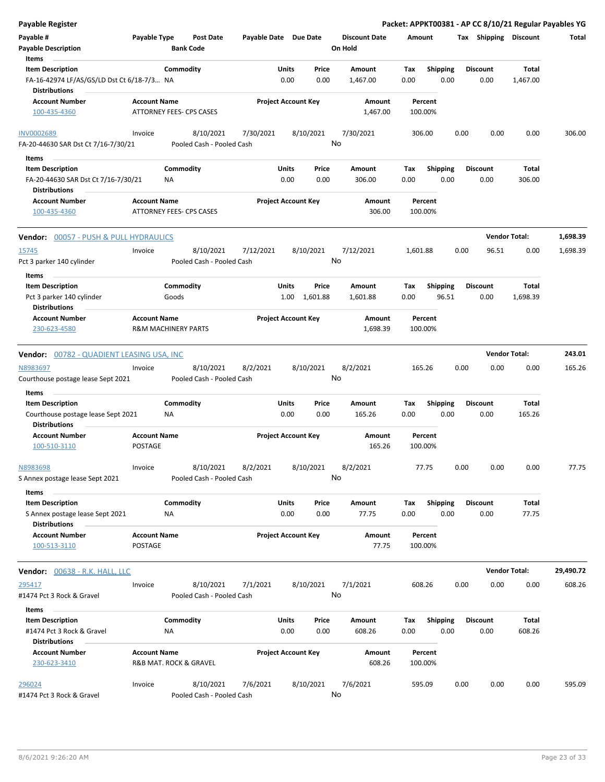| <b>Payable Register</b>                                            |                                       |                                |                                        |                       |       |                            |                                 |          |                         |      |                       |                      | Packet: APPKT00381 - AP CC 8/10/21 Regular Payables YG |
|--------------------------------------------------------------------|---------------------------------------|--------------------------------|----------------------------------------|-----------------------|-------|----------------------------|---------------------------------|----------|-------------------------|------|-----------------------|----------------------|--------------------------------------------------------|
| Payable #<br><b>Payable Description</b>                            | Payable Type                          | <b>Bank Code</b>               | <b>Post Date</b>                       | Payable Date Due Date |       |                            | <b>Discount Date</b><br>On Hold |          | Amount                  |      | Tax Shipping Discount |                      | Total                                                  |
| Items<br><b>Item Description</b>                                   |                                       | Commodity                      |                                        |                       | Units | Price                      | Amount                          | Tax      |                         |      | <b>Discount</b>       | <b>Total</b>         |                                                        |
| FA-16-42974 LF/AS/GS/LD Dst Ct 6/18-7/3 NA<br><b>Distributions</b> |                                       |                                |                                        |                       | 0.00  | 0.00                       | 1,467.00                        | 0.00     | <b>Shipping</b><br>0.00 |      | 0.00                  | 1,467.00             |                                                        |
| <b>Account Number</b>                                              | <b>Account Name</b>                   |                                |                                        |                       |       | <b>Project Account Key</b> | Amount                          |          | Percent                 |      |                       |                      |                                                        |
| 100-435-4360                                                       |                                       | ATTORNEY FEES- CPS CASES       |                                        |                       |       |                            | 1,467.00                        |          | 100.00%                 |      |                       |                      |                                                        |
| <b>INV0002689</b><br>FA-20-44630 SAR Dst Ct 7/16-7/30/21           | Invoice                               |                                | 8/10/2021<br>Pooled Cash - Pooled Cash | 7/30/2021             |       | 8/10/2021                  | 7/30/2021<br>No                 |          | 306.00                  | 0.00 | 0.00                  | 0.00                 | 306.00                                                 |
| Items                                                              |                                       |                                |                                        |                       |       |                            |                                 |          |                         |      |                       |                      |                                                        |
| <b>Item Description</b>                                            |                                       | Commodity                      |                                        |                       | Units | Price                      | Amount                          | Tax      | <b>Shipping</b>         |      | <b>Discount</b>       | Total                |                                                        |
| FA-20-44630 SAR Dst Ct 7/16-7/30/21<br><b>Distributions</b>        |                                       | ΝA                             |                                        |                       | 0.00  | 0.00                       | 306.00                          | 0.00     | 0.00                    |      | 0.00                  | 306.00               |                                                        |
| <b>Account Number</b>                                              | <b>Account Name</b>                   |                                |                                        |                       |       | <b>Project Account Key</b> | Amount                          |          | Percent                 |      |                       |                      |                                                        |
| 100-435-4360                                                       |                                       | ATTORNEY FEES- CPS CASES       |                                        |                       |       |                            | 306.00                          |          | 100.00%                 |      |                       |                      |                                                        |
| Vendor: 00057 - PUSH & PULL HYDRAULICS                             |                                       |                                |                                        |                       |       |                            |                                 |          |                         |      |                       | <b>Vendor Total:</b> | 1,698.39                                               |
| 15745                                                              | Invoice                               |                                | 8/10/2021                              | 7/12/2021             |       | 8/10/2021                  | 7/12/2021                       | 1,601.88 |                         | 0.00 | 96.51                 | 0.00                 | 1,698.39                                               |
| Pct 3 parker 140 cylinder<br>Items                                 |                                       |                                | Pooled Cash - Pooled Cash              |                       |       |                            | No                              |          |                         |      |                       |                      |                                                        |
| <b>Item Description</b>                                            |                                       | Commodity                      |                                        |                       | Units | Price                      | Amount                          | Tax      | <b>Shipping</b>         |      | <b>Discount</b>       | Total                |                                                        |
| Pct 3 parker 140 cylinder<br><b>Distributions</b>                  |                                       | Goods                          |                                        |                       | 1.00  | 1,601.88                   | 1,601.88                        | 0.00     | 96.51                   |      | 0.00                  | 1,698.39             |                                                        |
| <b>Account Number</b>                                              | <b>Account Name</b>                   |                                |                                        |                       |       | <b>Project Account Key</b> | Amount                          |          | Percent                 |      |                       |                      |                                                        |
| 230-623-4580                                                       |                                       | <b>R&amp;M MACHINERY PARTS</b> |                                        |                       |       |                            | 1,698.39                        |          | 100.00%                 |      |                       |                      |                                                        |
| Vendor: 00782 - QUADIENT LEASING USA, INC                          |                                       |                                |                                        |                       |       |                            |                                 |          |                         |      |                       | <b>Vendor Total:</b> | 243.01                                                 |
| N8983697                                                           | Invoice                               |                                | 8/10/2021                              | 8/2/2021              |       | 8/10/2021                  | 8/2/2021                        |          | 165.26                  | 0.00 | 0.00                  | 0.00                 | 165.26                                                 |
| Courthouse postage lease Sept 2021                                 |                                       |                                | Pooled Cash - Pooled Cash              |                       |       |                            | No                              |          |                         |      |                       |                      |                                                        |
| Items                                                              |                                       |                                |                                        |                       |       |                            |                                 |          |                         |      |                       |                      |                                                        |
| <b>Item Description</b>                                            |                                       | Commodity                      |                                        |                       | Units | Price                      | Amount                          | Tax      | <b>Shipping</b>         |      | <b>Discount</b>       | Total                |                                                        |
| Courthouse postage lease Sept 2021<br><b>Distributions</b>         |                                       | <b>NA</b>                      |                                        |                       | 0.00  | 0.00                       | 165.26                          | 0.00     | 0.00                    |      | 0.00                  | 165.26               |                                                        |
| <b>Account Number</b>                                              | <b>Account Name</b><br><b>POSTAGE</b> |                                |                                        |                       |       | <b>Project Account Key</b> | Amount<br>165.26                |          | Percent                 |      |                       |                      |                                                        |
| 100-510-3110                                                       |                                       |                                |                                        |                       |       |                            |                                 |          | 100.00%                 |      |                       |                      |                                                        |
| N8983698<br>S Annex postage lease Sept 2021                        | Invoice                               |                                | 8/10/2021<br>Pooled Cash - Pooled Cash | 8/2/2021              |       | 8/10/2021                  | 8/2/2021<br>No                  |          | 77.75                   | 0.00 | 0.00                  | 0.00                 | 77.75                                                  |
| Items                                                              |                                       |                                |                                        |                       |       |                            |                                 |          |                         |      |                       |                      |                                                        |
| <b>Item Description</b>                                            |                                       | Commodity                      |                                        |                       | Units | Price                      | Amount                          | Tax      | <b>Shipping</b>         |      | <b>Discount</b>       | Total                |                                                        |
| S Annex postage lease Sept 2021<br><b>Distributions</b>            |                                       | ΝA                             |                                        |                       | 0.00  | 0.00                       | 77.75                           | 0.00     | 0.00                    |      | 0.00                  | 77.75                |                                                        |
| <b>Account Number</b><br>100-513-3110                              | <b>Account Name</b><br><b>POSTAGE</b> |                                |                                        |                       |       | <b>Project Account Key</b> | Amount<br>77.75                 |          | Percent<br>100.00%      |      |                       |                      |                                                        |
| Vendor: 00638 - R.K. HALL, LLC                                     |                                       |                                |                                        |                       |       |                            |                                 |          |                         |      |                       | <b>Vendor Total:</b> | 29,490.72                                              |
| 295417                                                             | Invoice                               |                                | 8/10/2021                              | 7/1/2021              |       | 8/10/2021                  | 7/1/2021                        |          | 608.26                  | 0.00 | 0.00                  | 0.00                 | 608.26                                                 |
| #1474 Pct 3 Rock & Gravel                                          |                                       |                                | Pooled Cash - Pooled Cash              |                       |       |                            | No                              |          |                         |      |                       |                      |                                                        |
| Items<br><b>Item Description</b>                                   |                                       | Commodity                      |                                        |                       | Units | Price                      | Amount                          | Tax      |                         |      | <b>Discount</b>       | Total                |                                                        |
| #1474 Pct 3 Rock & Gravel<br><b>Distributions</b>                  |                                       | NA                             |                                        |                       | 0.00  | 0.00                       | 608.26                          | 0.00     | <b>Shipping</b><br>0.00 |      | 0.00                  | 608.26               |                                                        |
| <b>Account Number</b>                                              | <b>Account Name</b>                   |                                |                                        |                       |       | <b>Project Account Key</b> | Amount                          |          | Percent                 |      |                       |                      |                                                        |
| 230-623-3410                                                       |                                       | R&B MAT. ROCK & GRAVEL         |                                        |                       |       |                            | 608.26                          |          | 100.00%                 |      |                       |                      |                                                        |
| 296024                                                             | Invoice                               |                                | 8/10/2021                              | 7/6/2021              |       | 8/10/2021                  | 7/6/2021                        |          | 595.09                  | 0.00 | 0.00                  | 0.00                 | 595.09                                                 |
| #1474 Pct 3 Rock & Gravel                                          |                                       |                                | Pooled Cash - Pooled Cash              |                       |       |                            | No                              |          |                         |      |                       |                      |                                                        |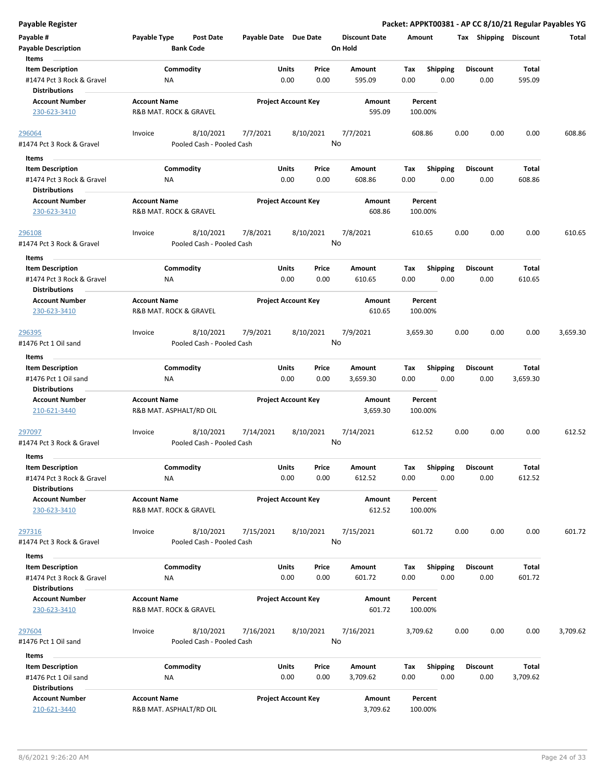**Payable Register Packet: APPKT00381 - AP CC 8/10/21 Regular Payables YG**

| Payable #                                         | Payable Type            | <b>Post Date</b>          |           | Payable Date Due Date      |         | <b>Discount Date</b> | Amount   |                 | Tax  | <b>Shipping</b> | <b>Discount</b> | <b>Total</b> |
|---------------------------------------------------|-------------------------|---------------------------|-----------|----------------------------|---------|----------------------|----------|-----------------|------|-----------------|-----------------|--------------|
| <b>Payable Description</b>                        |                         | <b>Bank Code</b>          |           |                            | On Hold |                      |          |                 |      |                 |                 |              |
| Items                                             |                         |                           |           |                            |         |                      |          |                 |      |                 |                 |              |
| <b>Item Description</b>                           |                         | Commodity                 |           | Price<br>Units             |         | Amount               | Tax      | Shipping        |      | <b>Discount</b> | Total           |              |
| #1474 Pct 3 Rock & Gravel<br><b>Distributions</b> | ΝA                      |                           |           | 0.00<br>0.00               |         | 595.09               | 0.00     | 0.00            |      | 0.00            | 595.09          |              |
| <b>Account Number</b>                             | <b>Account Name</b>     |                           |           | <b>Project Account Key</b> |         | Amount               | Percent  |                 |      |                 |                 |              |
| 230-623-3410                                      | R&B MAT. ROCK & GRAVEL  |                           |           |                            |         | 595.09               | 100.00%  |                 |      |                 |                 |              |
| 296064                                            | Invoice                 | 8/10/2021                 | 7/7/2021  | 8/10/2021                  |         | 7/7/2021             | 608.86   |                 | 0.00 | 0.00            | 0.00            | 608.86       |
| #1474 Pct 3 Rock & Gravel                         |                         | Pooled Cash - Pooled Cash |           |                            | No      |                      |          |                 |      |                 |                 |              |
| Items                                             |                         |                           |           |                            |         |                      |          |                 |      |                 |                 |              |
| <b>Item Description</b>                           |                         | Commodity                 |           | Units<br>Price             |         | Amount               | Tax      | <b>Shipping</b> |      | <b>Discount</b> | Total           |              |
| #1474 Pct 3 Rock & Gravel<br><b>Distributions</b> | NA                      |                           |           | 0.00<br>0.00               |         | 608.86               | 0.00     | 0.00            |      | 0.00            | 608.86          |              |
| <b>Account Number</b>                             | <b>Account Name</b>     |                           |           | <b>Project Account Key</b> |         | Amount               | Percent  |                 |      |                 |                 |              |
| 230-623-3410                                      | R&B MAT. ROCK & GRAVEL  |                           |           |                            |         | 608.86               | 100.00%  |                 |      |                 |                 |              |
| 296108                                            | Invoice                 | 8/10/2021                 | 7/8/2021  | 8/10/2021                  |         | 7/8/2021             | 610.65   |                 | 0.00 | 0.00            | 0.00            | 610.65       |
| #1474 Pct 3 Rock & Gravel                         |                         | Pooled Cash - Pooled Cash |           |                            | No      |                      |          |                 |      |                 |                 |              |
| Items                                             |                         |                           |           |                            |         |                      |          |                 |      |                 |                 |              |
| <b>Item Description</b>                           |                         | Commodity                 |           | Units<br>Price             |         | Amount               | Tax      | <b>Shipping</b> |      | <b>Discount</b> | Total           |              |
| #1474 Pct 3 Rock & Gravel                         | ΝA                      |                           |           | 0.00<br>0.00               |         | 610.65               | 0.00     | 0.00            |      | 0.00            | 610.65          |              |
| <b>Distributions</b>                              |                         |                           |           |                            |         |                      |          |                 |      |                 |                 |              |
| <b>Account Number</b>                             | <b>Account Name</b>     |                           |           | <b>Project Account Key</b> |         | Amount               | Percent  |                 |      |                 |                 |              |
| 230-623-3410                                      | R&B MAT. ROCK & GRAVEL  |                           |           |                            |         | 610.65               | 100.00%  |                 |      |                 |                 |              |
| <u>296395</u>                                     | Invoice                 | 8/10/2021                 | 7/9/2021  | 8/10/2021                  |         | 7/9/2021             | 3,659.30 |                 | 0.00 | 0.00            | 0.00            | 3,659.30     |
| #1476 Pct 1 Oil sand                              |                         | Pooled Cash - Pooled Cash |           |                            | No      |                      |          |                 |      |                 |                 |              |
| Items                                             |                         |                           |           |                            |         |                      |          |                 |      |                 |                 |              |
| <b>Item Description</b>                           |                         | Commodity                 |           | Units<br>Price             |         | Amount               | Tax      | Shipping        |      | <b>Discount</b> | Total           |              |
| #1476 Pct 1 Oil sand                              | <b>NA</b>               |                           |           | 0.00<br>0.00               |         | 3,659.30             | 0.00     | 0.00            |      | 0.00            | 3,659.30        |              |
| <b>Distributions</b>                              |                         |                           |           |                            |         |                      |          |                 |      |                 |                 |              |
| <b>Account Number</b>                             | <b>Account Name</b>     |                           |           | <b>Project Account Key</b> |         | Amount               | Percent  |                 |      |                 |                 |              |
| 210-621-3440                                      | R&B MAT. ASPHALT/RD OIL |                           |           |                            |         | 3,659.30             | 100.00%  |                 |      |                 |                 |              |
| 297097                                            | Invoice                 | 8/10/2021                 | 7/14/2021 | 8/10/2021                  |         | 7/14/2021            | 612.52   |                 | 0.00 | 0.00            | 0.00            | 612.52       |
| #1474 Pct 3 Rock & Gravel                         |                         | Pooled Cash - Pooled Cash |           |                            | No      |                      |          |                 |      |                 |                 |              |
|                                                   |                         |                           |           |                            |         |                      |          |                 |      |                 |                 |              |
| Items                                             |                         |                           |           |                            |         |                      |          |                 |      |                 |                 |              |
| <b>Item Description</b>                           |                         | Commodity                 |           | Units<br>Price             |         | Amount               | Тах      | <b>Shipping</b> |      | <b>Discount</b> | Total           |              |
| #1474 Pct 3 Rock & Gravel<br><b>Distributions</b> | ΝA                      |                           |           | 0.00<br>0.00               |         | 612.52               | 0.00     | 0.00            |      | 0.00            | 612.52          |              |
| <b>Account Number</b>                             | <b>Account Name</b>     |                           |           | <b>Project Account Key</b> |         | Amount               | Percent  |                 |      |                 |                 |              |
| 230-623-3410                                      | R&B MAT. ROCK & GRAVEL  |                           |           |                            |         | 612.52               | 100.00%  |                 |      |                 |                 |              |
|                                                   |                         |                           |           |                            |         |                      |          |                 |      |                 |                 |              |
| 297316                                            | Invoice                 | 8/10/2021                 | 7/15/2021 | 8/10/2021                  |         | 7/15/2021            | 601.72   |                 | 0.00 | 0.00            | 0.00            | 601.72       |
| #1474 Pct 3 Rock & Gravel                         |                         | Pooled Cash - Pooled Cash |           |                            | No      |                      |          |                 |      |                 |                 |              |
| Items                                             |                         |                           |           |                            |         |                      |          |                 |      |                 |                 |              |
| <b>Item Description</b>                           |                         | Commodity                 |           | Units<br>Price             |         | Amount               | Tax      | Shipping        |      | <b>Discount</b> | Total           |              |
| #1474 Pct 3 Rock & Gravel                         | ΝA                      |                           |           | 0.00<br>0.00               |         | 601.72               | 0.00     | 0.00            |      | 0.00            | 601.72          |              |
| <b>Distributions</b>                              |                         |                           |           |                            |         |                      |          |                 |      |                 |                 |              |
| <b>Account Number</b>                             | <b>Account Name</b>     |                           |           | <b>Project Account Key</b> |         | Amount               | Percent  |                 |      |                 |                 |              |
| 230-623-3410                                      | R&B MAT. ROCK & GRAVEL  |                           |           |                            |         | 601.72               | 100.00%  |                 |      |                 |                 |              |
|                                                   | Invoice                 | 8/10/2021                 | 7/16/2021 | 8/10/2021                  |         | 7/16/2021            |          |                 | 0.00 | 0.00            | 0.00            | 3,709.62     |
| 297604<br>#1476 Pct 1 Oil sand                    |                         | Pooled Cash - Pooled Cash |           |                            | No      |                      | 3,709.62 |                 |      |                 |                 |              |
|                                                   |                         |                           |           |                            |         |                      |          |                 |      |                 |                 |              |
| Items                                             |                         |                           |           |                            |         |                      |          |                 |      |                 |                 |              |
| <b>Item Description</b>                           |                         | Commodity                 |           | Units<br>Price             |         | Amount               | Tax      | <b>Shipping</b> |      | <b>Discount</b> | Total           |              |
| #1476 Pct 1 Oil sand                              | <b>NA</b>               |                           |           | 0.00<br>0.00               |         | 3,709.62             | 0.00     | 0.00            |      | 0.00            | 3,709.62        |              |
| <b>Distributions</b>                              |                         |                           |           |                            |         |                      |          |                 |      |                 |                 |              |
| <b>Account Number</b>                             | <b>Account Name</b>     |                           |           | <b>Project Account Key</b> |         | Amount               | Percent  |                 |      |                 |                 |              |
| 210-621-3440                                      | R&B MAT. ASPHALT/RD OIL |                           |           |                            |         | 3,709.62             | 100.00%  |                 |      |                 |                 |              |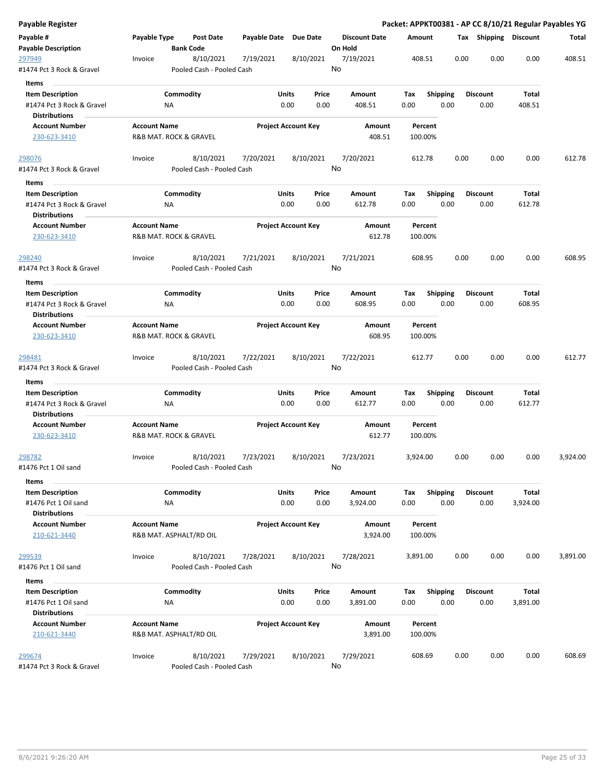| Payable Register                                  |                     |                                        |                       |                                |                                 |                    |                         | Packet: APPKT00381 - AP CC 8/10/21 Regular Payables YG |                          |          |
|---------------------------------------------------|---------------------|----------------------------------------|-----------------------|--------------------------------|---------------------------------|--------------------|-------------------------|--------------------------------------------------------|--------------------------|----------|
| Payable #<br><b>Payable Description</b>           | Payable Type        | <b>Post Date</b><br><b>Bank Code</b>   | Payable Date Due Date |                                | <b>Discount Date</b><br>On Hold | Amount             |                         | Tax Shipping Discount                                  |                          | Total    |
| 297949<br>#1474 Pct 3 Rock & Gravel               | Invoice             | 8/10/2021<br>Pooled Cash - Pooled Cash | 7/19/2021             | 8/10/2021                      | 7/19/2021<br>No                 | 408.51             |                         | 0.00<br>0.00                                           | 0.00                     | 408.51   |
| Items                                             |                     |                                        |                       |                                |                                 |                    |                         |                                                        |                          |          |
| <b>Item Description</b>                           |                     | Commodity                              |                       | Units<br>Price                 | Amount                          | Tax                | <b>Shipping</b>         | <b>Discount</b>                                        | <b>Total</b>             |          |
| #1474 Pct 3 Rock & Gravel                         | ΝA                  |                                        |                       | 0.00<br>0.00                   | 408.51                          | 0.00               | 0.00                    | 0.00                                                   | 408.51                   |          |
| <b>Distributions</b>                              |                     |                                        |                       | <b>Project Account Key</b>     |                                 | Percent            |                         |                                                        |                          |          |
| <b>Account Number</b><br>230-623-3410             | <b>Account Name</b> | R&B MAT. ROCK & GRAVEL                 |                       |                                | Amount<br>408.51                | 100.00%            |                         |                                                        |                          |          |
| <u> 298076</u>                                    | Invoice             | 8/10/2021                              | 7/20/2021             | 8/10/2021                      | 7/20/2021                       | 612.78             |                         | 0.00<br>0.00                                           | 0.00                     | 612.78   |
| #1474 Pct 3 Rock & Gravel                         |                     | Pooled Cash - Pooled Cash              |                       |                                | No                              |                    |                         |                                                        |                          |          |
| Items                                             |                     |                                        |                       |                                |                                 |                    |                         |                                                        |                          |          |
| <b>Item Description</b>                           |                     | Commodity                              |                       | Units<br>Price                 | Amount                          | Tax                | <b>Shipping</b>         | <b>Discount</b>                                        | Total                    |          |
| #1474 Pct 3 Rock & Gravel<br><b>Distributions</b> | ΝA                  |                                        |                       | 0.00<br>0.00                   | 612.78                          | 0.00               | 0.00                    | 0.00                                                   | 612.78                   |          |
| <b>Account Number</b><br>230-623-3410             | <b>Account Name</b> | R&B MAT. ROCK & GRAVEL                 |                       | <b>Project Account Key</b>     | Amount<br>612.78                | Percent<br>100.00% |                         |                                                        |                          |          |
| 298240                                            | Invoice             | 8/10/2021                              | 7/21/2021             | 8/10/2021                      | 7/21/2021                       | 608.95             |                         | 0.00<br>0.00                                           | 0.00                     | 608.95   |
| #1474 Pct 3 Rock & Gravel                         |                     | Pooled Cash - Pooled Cash              |                       |                                | No                              |                    |                         |                                                        |                          |          |
| Items                                             |                     |                                        |                       |                                |                                 |                    |                         |                                                        |                          |          |
| <b>Item Description</b>                           |                     | Commodity                              |                       | Units<br>Price                 | Amount                          | Tax                | <b>Shipping</b>         | <b>Discount</b>                                        | Total                    |          |
| #1474 Pct 3 Rock & Gravel<br><b>Distributions</b> | ΝA                  |                                        |                       | 0.00<br>0.00                   | 608.95                          | 0.00               | 0.00                    | 0.00                                                   | 608.95                   |          |
| <b>Account Number</b>                             | <b>Account Name</b> |                                        |                       | <b>Project Account Key</b>     | Amount                          | Percent            |                         |                                                        |                          |          |
| 230-623-3410                                      |                     | R&B MAT. ROCK & GRAVEL                 |                       |                                | 608.95                          | 100.00%            |                         |                                                        |                          |          |
| 298481                                            | Invoice             | 8/10/2021                              | 7/22/2021             | 8/10/2021                      | 7/22/2021                       | 612.77             |                         | 0.00<br>0.00                                           | 0.00                     | 612.77   |
| #1474 Pct 3 Rock & Gravel                         |                     | Pooled Cash - Pooled Cash              |                       |                                | No                              |                    |                         |                                                        |                          |          |
| Items                                             |                     |                                        |                       |                                |                                 |                    |                         |                                                        |                          |          |
| <b>Item Description</b>                           |                     | Commodity                              |                       | Units<br>Price                 | Amount                          | Tax                | <b>Shipping</b>         | Discount                                               | Total                    |          |
| #1474 Pct 3 Rock & Gravel<br><b>Distributions</b> | ΝA                  |                                        |                       | 0.00<br>0.00                   | 612.77                          | 0.00               | 0.00                    | 0.00                                                   | 612.77                   |          |
| <b>Account Number</b>                             | <b>Account Name</b> |                                        |                       | <b>Project Account Key</b>     | Amount                          | Percent            |                         |                                                        |                          |          |
| 230-623-3410                                      |                     | R&B MAT. ROCK & GRAVEL                 |                       |                                | 612.77                          | 100.00%            |                         |                                                        |                          |          |
| 298782                                            | Invoice             | 8/10/2021                              | 7/23/2021             | 8/10/2021                      | 7/23/2021                       | 3,924.00           |                         | 0.00<br>0.00                                           | 0.00                     | 3,924.00 |
| #1476 Pct 1 Oil sand                              |                     | Pooled Cash - Pooled Cash              |                       |                                | No                              |                    |                         |                                                        |                          |          |
| <b>Items</b>                                      |                     |                                        |                       |                                |                                 |                    |                         |                                                        |                          |          |
| <b>Item Description</b><br>#1476 Pct 1 Oil sand   | <b>NA</b>           | Commodity                              |                       | Units<br>Price<br>0.00<br>0.00 | Amount<br>3,924.00              | Tax<br>0.00        | <b>Shipping</b><br>0.00 | Discount<br>0.00                                       | <b>Total</b><br>3,924.00 |          |
| <b>Distributions</b>                              |                     |                                        |                       |                                |                                 |                    |                         |                                                        |                          |          |
| <b>Account Number</b><br>210-621-3440             | <b>Account Name</b> | R&B MAT. ASPHALT/RD OIL                |                       | <b>Project Account Key</b>     | Amount<br>3,924.00              | Percent<br>100.00% |                         |                                                        |                          |          |
| 299539                                            | Invoice             | 8/10/2021                              | 7/28/2021             | 8/10/2021                      | 7/28/2021                       | 3,891.00           |                         | 0.00<br>0.00                                           | 0.00                     | 3,891.00 |
| #1476 Pct 1 Oil sand                              |                     | Pooled Cash - Pooled Cash              |                       |                                | No                              |                    |                         |                                                        |                          |          |
| Items                                             |                     |                                        |                       |                                |                                 |                    |                         |                                                        |                          |          |
| <b>Item Description</b>                           |                     | Commodity                              |                       | Units<br>Price                 | Amount                          | Tax                | <b>Shipping</b>         | <b>Discount</b>                                        | <b>Total</b>             |          |
| #1476 Pct 1 Oil sand                              | ΝA                  |                                        |                       | 0.00<br>0.00                   | 3,891.00                        | 0.00               | 0.00                    | 0.00                                                   | 3,891.00                 |          |
| <b>Distributions</b>                              |                     |                                        |                       |                                |                                 |                    |                         |                                                        |                          |          |
| <b>Account Number</b>                             | <b>Account Name</b> |                                        |                       | <b>Project Account Key</b>     | Amount                          | Percent            |                         |                                                        |                          |          |
| 210-621-3440                                      |                     | R&B MAT. ASPHALT/RD OIL                |                       |                                | 3,891.00                        | 100.00%            |                         |                                                        |                          |          |
| 299674                                            | Invoice             | 8/10/2021                              | 7/29/2021             | 8/10/2021                      | 7/29/2021                       | 608.69             |                         | 0.00<br>0.00                                           | 0.00                     | 608.69   |
| #1474 Pct 3 Rock & Gravel                         |                     | Pooled Cash - Pooled Cash              |                       |                                | No                              |                    |                         |                                                        |                          |          |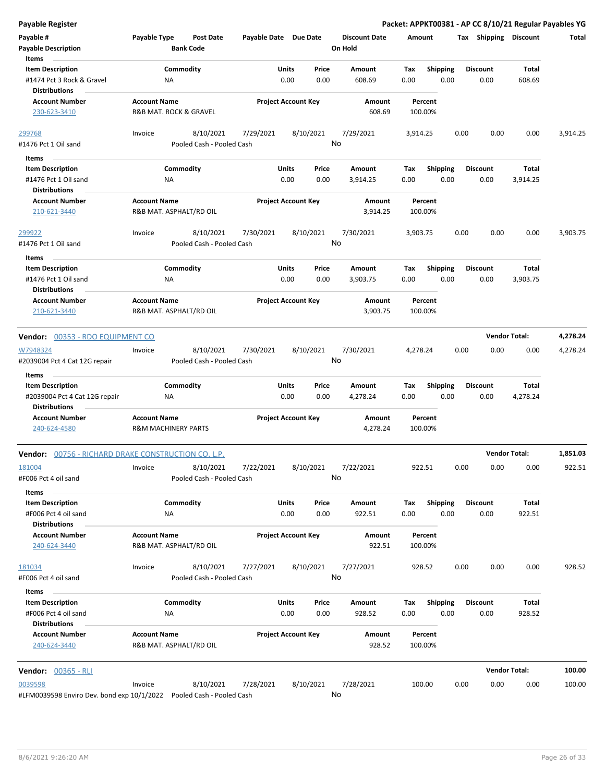| Payable #                                             | Payable Type                                   | Post Date                 | Payable Date Due Date      |               |               | <b>Discount Date</b> | Amount             |                         | Tax  | Shipping                | <b>Discount</b>        | Total    |
|-------------------------------------------------------|------------------------------------------------|---------------------------|----------------------------|---------------|---------------|----------------------|--------------------|-------------------------|------|-------------------------|------------------------|----------|
| <b>Payable Description</b><br>Items                   |                                                | <b>Bank Code</b>          |                            |               |               | On Hold              |                    |                         |      |                         |                        |          |
| <b>Item Description</b>                               |                                                | Commodity                 |                            | Units         | Price         | Amount               | Tax                | <b>Shipping</b>         |      | <b>Discount</b>         | Total                  |          |
| #1474 Pct 3 Rock & Gravel<br><b>Distributions</b>     | ΝA                                             |                           |                            | 0.00          | 0.00          | 608.69               | 0.00               | 0.00                    |      | 0.00                    | 608.69                 |          |
| <b>Account Number</b>                                 | <b>Account Name</b>                            |                           | <b>Project Account Key</b> |               |               | Amount               | Percent            |                         |      |                         |                        |          |
| 230-623-3410                                          | R&B MAT. ROCK & GRAVEL                         |                           |                            |               |               | 608.69               | 100.00%            |                         |      |                         |                        |          |
| 299768                                                | Invoice                                        | 8/10/2021                 | 7/29/2021                  |               | 8/10/2021     | 7/29/2021            | 3,914.25           |                         | 0.00 | 0.00                    | 0.00                   | 3,914.25 |
| #1476 Pct 1 Oil sand                                  |                                                | Pooled Cash - Pooled Cash |                            |               |               | No                   |                    |                         |      |                         |                        |          |
| Items                                                 |                                                |                           |                            |               |               |                      |                    |                         |      |                         |                        |          |
| <b>Item Description</b>                               |                                                | Commodity                 |                            | Units         | Price         | Amount               | Tax                | <b>Shipping</b>         |      | <b>Discount</b>         | Total                  |          |
| #1476 Pct 1 Oil sand                                  | NA                                             |                           |                            | 0.00          | 0.00          | 3,914.25             | 0.00               | 0.00                    |      | 0.00                    | 3,914.25               |          |
| <b>Distributions</b>                                  |                                                |                           |                            |               |               |                      |                    |                         |      |                         |                        |          |
| <b>Account Number</b>                                 | <b>Account Name</b>                            |                           | <b>Project Account Key</b> |               |               | Amount               | Percent            |                         |      |                         |                        |          |
| 210-621-3440                                          | R&B MAT. ASPHALT/RD OIL                        |                           |                            |               |               | 3,914.25             | 100.00%            |                         |      |                         |                        |          |
| 299922                                                | Invoice                                        | 8/10/2021                 | 7/30/2021                  |               | 8/10/2021     | 7/30/2021            | 3,903.75           |                         | 0.00 | 0.00                    | 0.00                   | 3,903.75 |
| #1476 Pct 1 Oil sand                                  |                                                | Pooled Cash - Pooled Cash |                            |               |               | No                   |                    |                         |      |                         |                        |          |
| Items                                                 |                                                |                           |                            |               |               |                      |                    |                         |      |                         |                        |          |
| <b>Item Description</b>                               |                                                | Commodity                 |                            | Units         | Price         | Amount               | Tax                | <b>Shipping</b>         |      | <b>Discount</b>         | Total                  |          |
| #1476 Pct 1 Oil sand<br><b>Distributions</b>          | ΝA                                             |                           |                            | 0.00          | 0.00          | 3,903.75             | 0.00               | 0.00                    |      | 0.00                    | 3,903.75               |          |
| <b>Account Number</b>                                 | <b>Account Name</b>                            |                           | <b>Project Account Key</b> |               |               | Amount               | Percent            |                         |      |                         |                        |          |
| 210-621-3440                                          | R&B MAT. ASPHALT/RD OIL                        |                           |                            |               |               | 3,903.75             | 100.00%            |                         |      |                         |                        |          |
| Vendor: 00353 - RDO EQUIPMENT CO                      |                                                |                           |                            |               |               |                      |                    |                         |      |                         | <b>Vendor Total:</b>   | 4,278.24 |
| W7948324                                              | Invoice                                        | 8/10/2021                 | 7/30/2021                  |               | 8/10/2021     | 7/30/2021            | 4,278.24           |                         | 0.00 | 0.00                    | 0.00                   | 4,278.24 |
| #2039004 Pct 4 Cat 12G repair                         |                                                | Pooled Cash - Pooled Cash |                            |               |               | No                   |                    |                         |      |                         |                        |          |
| Items                                                 |                                                |                           |                            |               |               |                      |                    |                         |      |                         |                        |          |
| <b>Item Description</b>                               |                                                | Commodity                 |                            | Units         | Price         | Amount               | Tax                | <b>Shipping</b>         |      | <b>Discount</b>         | Total                  |          |
| #2039004 Pct 4 Cat 12G repair<br><b>Distributions</b> | ΝA                                             |                           |                            | 0.00          | 0.00          | 4,278.24             | 0.00               | 0.00                    |      | 0.00                    | 4,278.24               |          |
| <b>Account Number</b>                                 | <b>Account Name</b>                            |                           | <b>Project Account Key</b> |               |               | Amount               | Percent            |                         |      |                         |                        |          |
| 240-624-4580                                          | <b>R&amp;M MACHINERY PARTS</b>                 |                           |                            |               |               | 4,278.24             | 100.00%            |                         |      |                         |                        |          |
| Vendor: 00756 - RICHARD DRAKE CONSTRUCTION CO. L.P.   |                                                |                           |                            |               |               |                      |                    |                         |      |                         | <b>Vendor Total:</b>   | 1,851.03 |
| 181004                                                | Invoice                                        | 8/10/2021                 | 7/22/2021                  |               | 8/10/2021     | 7/22/2021            | 922.51             |                         | 0.00 | 0.00                    | 0.00                   | 922.51   |
| #F006 Pct 4 oil sand                                  |                                                | Pooled Cash - Pooled Cash |                            |               |               | No                   |                    |                         |      |                         |                        |          |
| Items                                                 |                                                |                           |                            |               |               |                      |                    |                         |      |                         |                        |          |
| <b>Item Description</b>                               |                                                | Commodity                 |                            | Units         | Price         | Amount               | Tax                | Shipping                |      | <b>Discount</b>         | Total                  |          |
| #F006 Pct 4 oil sand                                  | <b>NA</b>                                      |                           |                            | 0.00          | 0.00          | 922.51               | 0.00               | 0.00                    |      | 0.00                    | 922.51                 |          |
| <b>Distributions</b><br><b>Account Number</b>         | <b>Account Name</b>                            |                           | <b>Project Account Key</b> |               |               |                      |                    |                         |      |                         |                        |          |
| 240-624-3440                                          | R&B MAT. ASPHALT/RD OIL                        |                           |                            |               |               | Amount<br>922.51     | Percent<br>100.00% |                         |      |                         |                        |          |
| 181034                                                | Invoice                                        | 8/10/2021                 | 7/27/2021                  |               | 8/10/2021     | 7/27/2021            | 928.52             |                         | 0.00 | 0.00                    | 0.00                   | 928.52   |
| #F006 Pct 4 oil sand                                  |                                                | Pooled Cash - Pooled Cash |                            |               |               | No                   |                    |                         |      |                         |                        |          |
| Items                                                 |                                                |                           |                            |               |               |                      |                    |                         |      |                         |                        |          |
| <b>Item Description</b><br>#F006 Pct 4 oil sand       |                                                | Commodity                 |                            | Units<br>0.00 | Price<br>0.00 | Amount<br>928.52     | Tax<br>0.00        | <b>Shipping</b><br>0.00 |      | <b>Discount</b><br>0.00 | <b>Total</b><br>928.52 |          |
| <b>Distributions</b>                                  | ΝA                                             |                           |                            |               |               |                      |                    |                         |      |                         |                        |          |
| <b>Account Number</b><br>240-624-3440                 | <b>Account Name</b><br>R&B MAT. ASPHALT/RD OIL |                           | <b>Project Account Key</b> |               |               | Amount<br>928.52     | Percent<br>100.00% |                         |      |                         |                        |          |
| <b>Vendor: 00365 - RLI</b>                            |                                                |                           |                            |               |               |                      |                    |                         |      |                         | <b>Vendor Total:</b>   | 100.00   |
| 0039598                                               | Invoice                                        | 8/10/2021                 | 7/28/2021                  |               | 8/10/2021     | 7/28/2021            | 100.00             |                         | 0.00 | 0.00                    | 0.00                   | 100.00   |
| #LFM0039598 Enviro Dev. bond exp 10/1/2022            |                                                | Pooled Cash - Pooled Cash |                            |               |               | No                   |                    |                         |      |                         |                        |          |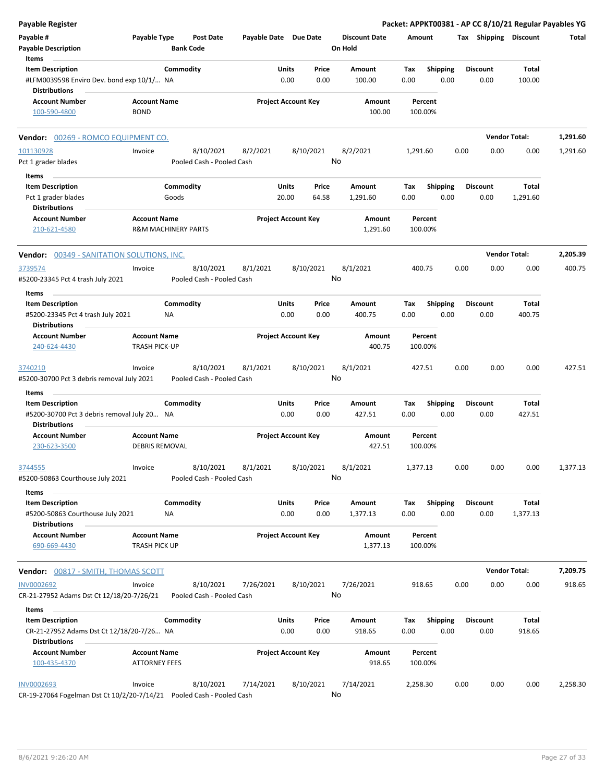| <b>Payable Register</b>                                                                        |                                                       |                                        |                       |                            |                |                                 |             |                         |      |                         | Packet: APPKT00381 - AP CC 8/10/21 Regular Payables YG |          |
|------------------------------------------------------------------------------------------------|-------------------------------------------------------|----------------------------------------|-----------------------|----------------------------|----------------|---------------------------------|-------------|-------------------------|------|-------------------------|--------------------------------------------------------|----------|
| Payable #<br><b>Payable Description</b>                                                        | Payable Type                                          | <b>Post Date</b><br><b>Bank Code</b>   | Payable Date Due Date |                            |                | <b>Discount Date</b><br>On Hold | Amount      |                         |      | Tax Shipping Discount   |                                                        | Total    |
| Items<br><b>Item Description</b>                                                               |                                                       | Commodity                              |                       | Units                      | Price          | Amount                          | Tax         | <b>Shipping</b>         |      | <b>Discount</b>         | Total                                                  |          |
| #LFM0039598 Enviro Dev. bond exp 10/1/ NA<br><b>Distributions</b>                              |                                                       |                                        |                       | 0.00                       | 0.00           | 100.00                          | 0.00        | 0.00                    |      | 0.00                    | 100.00                                                 |          |
| <b>Account Number</b><br>100-590-4800                                                          | <b>Account Name</b><br><b>BOND</b>                    |                                        |                       | <b>Project Account Key</b> |                | Amount<br>100.00                |             | Percent<br>100.00%      |      |                         |                                                        |          |
| Vendor: 00269 - ROMCO EQUIPMENT CO.                                                            |                                                       |                                        |                       |                            |                |                                 |             |                         |      |                         | <b>Vendor Total:</b>                                   | 1,291.60 |
| 101130928                                                                                      | Invoice                                               | 8/10/2021                              | 8/2/2021              |                            | 8/10/2021      | 8/2/2021                        | 1,291.60    |                         | 0.00 | 0.00                    | 0.00                                                   | 1,291.60 |
| Pct 1 grader blades                                                                            |                                                       | Pooled Cash - Pooled Cash              |                       |                            |                | No                              |             |                         |      |                         |                                                        |          |
| Items                                                                                          |                                                       |                                        |                       |                            |                |                                 |             |                         |      |                         |                                                        |          |
| <b>Item Description</b>                                                                        | Goods                                                 | Commodity                              |                       | Units<br>20.00             | Price<br>64.58 | Amount                          | Tax<br>0.00 | <b>Shipping</b>         |      | <b>Discount</b><br>0.00 | Total                                                  |          |
| Pct 1 grader blades<br><b>Distributions</b>                                                    |                                                       |                                        |                       |                            |                | 1,291.60                        |             | 0.00                    |      |                         | 1,291.60                                               |          |
| <b>Account Number</b><br>210-621-4580                                                          | <b>Account Name</b><br><b>R&amp;M MACHINERY PARTS</b> |                                        |                       | <b>Project Account Key</b> |                | Amount<br>1,291.60              |             | Percent<br>100.00%      |      |                         |                                                        |          |
| <b>Vendor: 00349 - SANITATION SOLUTIONS, INC.</b>                                              |                                                       |                                        |                       |                            |                |                                 |             |                         |      |                         | <b>Vendor Total:</b>                                   | 2,205.39 |
| 3739574<br>#5200-23345 Pct 4 trash July 2021                                                   | Invoice                                               | 8/10/2021<br>Pooled Cash - Pooled Cash | 8/1/2021              |                            | 8/10/2021      | 8/1/2021<br>No                  | 400.75      |                         | 0.00 | 0.00                    | 0.00                                                   | 400.75   |
| Items                                                                                          |                                                       |                                        |                       |                            |                |                                 |             |                         |      |                         |                                                        |          |
| <b>Item Description</b><br>#5200-23345 Pct 4 trash July 2021<br><b>Distributions</b>           | <b>NA</b>                                             | Commodity                              |                       | Units<br>0.00              | Price<br>0.00  | Amount<br>400.75                | Tax<br>0.00 | <b>Shipping</b><br>0.00 |      | <b>Discount</b><br>0.00 | Total<br>400.75                                        |          |
| <b>Account Number</b><br>240-624-4430                                                          | <b>Account Name</b><br><b>TRASH PICK-UP</b>           |                                        |                       | <b>Project Account Key</b> |                | Amount<br>400.75                |             | Percent<br>100.00%      |      |                         |                                                        |          |
| 3740210<br>#5200-30700 Pct 3 debris removal July 2021                                          | Invoice                                               | 8/10/2021<br>Pooled Cash - Pooled Cash | 8/1/2021              |                            | 8/10/2021      | 8/1/2021<br>No                  | 427.51      |                         | 0.00 | 0.00                    | 0.00                                                   | 427.51   |
| Items                                                                                          |                                                       |                                        |                       |                            |                |                                 |             |                         |      |                         |                                                        |          |
| <b>Item Description</b><br>#5200-30700 Pct 3 debris removal July 20 NA<br><b>Distributions</b> |                                                       | Commodity                              |                       | Units<br>0.00              | Price<br>0.00  | <b>Amount</b><br>427.51         | Tax<br>0.00 | <b>Shipping</b><br>0.00 |      | <b>Discount</b><br>0.00 | <b>Total</b><br>427.51                                 |          |
| <b>Account Number</b><br>230-623-3500                                                          | <b>Account Name</b><br><b>DEBRIS REMOVAL</b>          |                                        |                       | <b>Project Account Key</b> |                | Amount<br>427.51                |             | Percent<br>100.00%      |      |                         |                                                        |          |
| 3744555<br>#5200-50863 Courthouse July 2021                                                    | Invoice                                               | 8/10/2021<br>Pooled Cash - Pooled Cash | 8/1/2021              |                            | 8/10/2021      | 8/1/2021<br>No                  | 1,377.13    |                         | 0.00 | 0.00                    | 0.00                                                   | 1,377.13 |
| Items                                                                                          |                                                       |                                        |                       |                            |                |                                 |             |                         |      |                         |                                                        |          |
| <b>Item Description</b><br>#5200-50863 Courthouse July 2021<br><b>Distributions</b>            | ΝA                                                    | Commodity                              |                       | Units<br>0.00              | Price<br>0.00  | Amount<br>1,377.13              | Tax<br>0.00 | Shipping<br>0.00        |      | <b>Discount</b><br>0.00 | Total<br>1,377.13                                      |          |
| <b>Account Number</b><br>690-669-4430                                                          | <b>Account Name</b><br>TRASH PICK UP                  |                                        |                       | <b>Project Account Key</b> |                | Amount<br>1,377.13              |             | Percent<br>100.00%      |      |                         |                                                        |          |
| <b>Vendor: 00817 - SMITH, THOMAS SCOTT</b>                                                     |                                                       |                                        |                       |                            |                |                                 |             |                         |      |                         | <b>Vendor Total:</b>                                   | 7,209.75 |
| INV0002692                                                                                     | Invoice                                               | 8/10/2021                              | 7/26/2021             |                            | 8/10/2021      | 7/26/2021                       | 918.65      |                         | 0.00 | 0.00                    | 0.00                                                   | 918.65   |
| CR-21-27952 Adams Dst Ct 12/18/20-7/26/21<br>Items                                             |                                                       | Pooled Cash - Pooled Cash              |                       |                            |                | No                              |             |                         |      |                         |                                                        |          |
| <b>Item Description</b>                                                                        |                                                       | Commodity                              |                       | Units                      | Price          | Amount                          | Tax         | <b>Shipping</b>         |      | Discount                | Total                                                  |          |
| CR-21-27952 Adams Dst Ct 12/18/20-7/26 NA<br><b>Distributions</b>                              |                                                       |                                        |                       | 0.00                       | 0.00           | 918.65                          | 0.00        | 0.00                    |      | 0.00                    | 918.65                                                 |          |
| <b>Account Number</b><br>100-435-4370                                                          | <b>Account Name</b><br><b>ATTORNEY FEES</b>           |                                        |                       | <b>Project Account Key</b> |                | Amount<br>918.65                |             | Percent<br>100.00%      |      |                         |                                                        |          |
| <b>INV0002693</b><br>CR-19-27064 Fogelman Dst Ct 10/2/20-7/14/21 Pooled Cash - Pooled Cash     | Invoice                                               | 8/10/2021                              | 7/14/2021             |                            | 8/10/2021      | 7/14/2021<br>No                 | 2,258.30    |                         | 0.00 | 0.00                    | 0.00                                                   | 2,258.30 |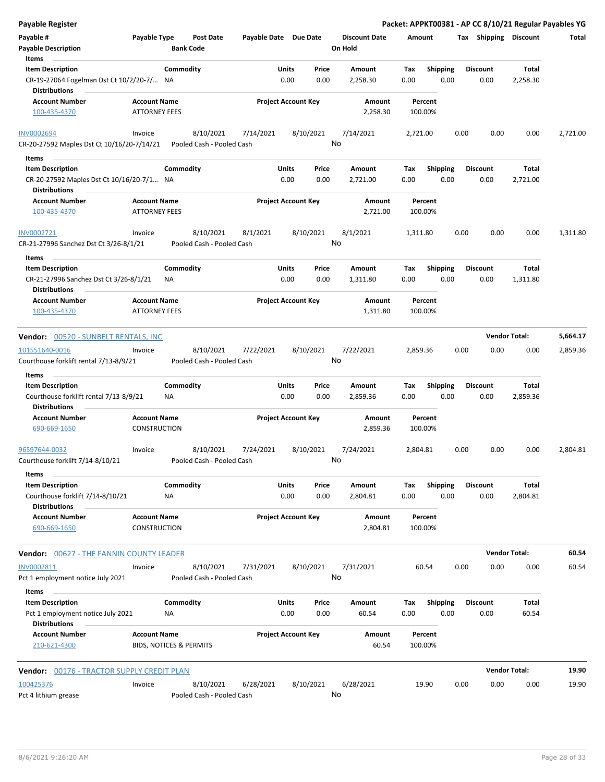| Payable Register                                                  |                                                           |                 |                                        |                       |                            |                 |                      |             |                         |      |                         | Packet: APPKT00381 - AP CC 8/10/21 Regular Payables YG |          |
|-------------------------------------------------------------------|-----------------------------------------------------------|-----------------|----------------------------------------|-----------------------|----------------------------|-----------------|----------------------|-------------|-------------------------|------|-------------------------|--------------------------------------------------------|----------|
| Payable #                                                         | Payable Type                                              |                 | <b>Post Date</b>                       | Payable Date Due Date |                            |                 | <b>Discount Date</b> | Amount      |                         |      | Tax Shipping Discount   |                                                        | Total    |
| <b>Payable Description</b>                                        |                                                           |                 | <b>Bank Code</b>                       |                       |                            |                 | On Hold              |             |                         |      |                         |                                                        |          |
| Items                                                             |                                                           |                 |                                        |                       |                            |                 |                      |             |                         |      |                         |                                                        |          |
| <b>Item Description</b>                                           |                                                           | Commodity       |                                        |                       | Units                      | Price           | Amount               | Tax         | <b>Shipping</b>         |      | <b>Discount</b>         | Total                                                  |          |
| CR-19-27064 Fogelman Dst Ct 10/2/20-7/<br><b>Distributions</b>    |                                                           | NA              |                                        |                       | 0.00                       | 0.00            | 2,258.30             | 0.00        | 0.00                    |      | 0.00                    | 2,258.30                                               |          |
|                                                                   |                                                           |                 |                                        |                       |                            |                 |                      |             |                         |      |                         |                                                        |          |
| <b>Account Number</b><br>100-435-4370                             | <b>Account Name</b><br><b>ATTORNEY FEES</b>               |                 |                                        |                       | <b>Project Account Key</b> |                 | Amount<br>2,258.30   | 100.00%     | Percent                 |      |                         |                                                        |          |
| <b>INV0002694</b>                                                 | Invoice                                                   |                 | 8/10/2021                              | 7/14/2021             |                            | 8/10/2021       | 7/14/2021            | 2,721.00    |                         | 0.00 | 0.00                    | 0.00                                                   | 2,721.00 |
| CR-20-27592 Maples Dst Ct 10/16/20-7/14/21                        |                                                           |                 | Pooled Cash - Pooled Cash              |                       |                            | No              |                      |             |                         |      |                         |                                                        |          |
| Items                                                             |                                                           |                 |                                        |                       |                            |                 |                      |             |                         |      |                         |                                                        |          |
| <b>Item Description</b>                                           |                                                           | Commodity       |                                        |                       | Units                      | Price           | Amount               | Тах         | <b>Shipping</b>         |      | <b>Discount</b>         | Total                                                  |          |
| CR-20-27592 Maples Dst Ct 10/16/20-7/1 NA<br>Distributions        |                                                           |                 |                                        |                       | 0.00                       | 0.00            | 2,721.00             | 0.00        | 0.00                    |      | 0.00                    | 2,721.00                                               |          |
| <b>Account Number</b>                                             | <b>Account Name</b>                                       |                 |                                        |                       | <b>Project Account Key</b> |                 | Amount               |             | Percent                 |      |                         |                                                        |          |
| 100-435-4370                                                      | <b>ATTORNEY FEES</b>                                      |                 |                                        |                       |                            |                 | 2,721.00             | 100.00%     |                         |      |                         |                                                        |          |
| INV0002721                                                        | Invoice                                                   |                 | 8/10/2021                              | 8/1/2021              |                            | 8/10/2021       | 8/1/2021             | 1,311.80    |                         | 0.00 | 0.00                    | 0.00                                                   | 1,311.80 |
| CR-21-27996 Sanchez Dst Ct 3/26-8/1/21                            |                                                           |                 | Pooled Cash - Pooled Cash              |                       |                            | No              |                      |             |                         |      |                         |                                                        |          |
| Items                                                             |                                                           | Commodity       |                                        |                       | Units                      | Price           | Amount               | Tax         |                         |      | <b>Discount</b>         | Total                                                  |          |
| <b>Item Description</b><br>CR-21-27996 Sanchez Dst Ct 3/26-8/1/21 |                                                           | ΝA              |                                        |                       | 0.00                       | 0.00            | 1,311.80             | 0.00        | <b>Shipping</b><br>0.00 |      | 0.00                    | 1,311.80                                               |          |
| Distributions                                                     |                                                           |                 |                                        |                       |                            |                 |                      |             |                         |      |                         |                                                        |          |
| <b>Account Number</b><br>100-435-4370                             | <b>Account Name</b><br><b>ATTORNEY FEES</b>               |                 |                                        |                       | <b>Project Account Key</b> |                 | Amount<br>1,311.80   | 100.00%     | Percent                 |      |                         |                                                        |          |
| Vendor: 00520 - SUNBELT RENTALS, INC                              |                                                           |                 |                                        |                       |                            |                 |                      |             |                         |      |                         | <b>Vendor Total:</b>                                   | 5,664.17 |
| 101551640-0016                                                    | Invoice                                                   |                 | 8/10/2021                              | 7/22/2021             |                            | 8/10/2021       | 7/22/2021            | 2,859.36    |                         | 0.00 | 0.00                    | 0.00                                                   | 2,859.36 |
| Courthouse forklift rental 7/13-8/9/21                            |                                                           |                 | Pooled Cash - Pooled Cash              |                       |                            | No              |                      |             |                         |      |                         |                                                        |          |
| Items                                                             |                                                           |                 |                                        |                       |                            |                 |                      |             |                         |      |                         |                                                        |          |
| <b>Item Description</b>                                           |                                                           | Commodity       |                                        |                       | Units                      | Price           | Amount               | Tax         | <b>Shipping</b>         |      | <b>Discount</b>         | Total                                                  |          |
| Courthouse forklift rental 7/13-8/9/21<br><b>Distributions</b>    |                                                           | ΝA              |                                        |                       | 0.00                       | 0.00            | 2,859.36             | 0.00        | 0.00                    |      | 0.00                    | 2,859.36                                               |          |
| <b>Account Number</b>                                             | <b>Account Name</b>                                       |                 |                                        |                       | <b>Project Account Key</b> |                 | Amount               |             | Percent                 |      |                         |                                                        |          |
| 690-669-1650                                                      | <b>CONSTRUCTION</b>                                       |                 |                                        |                       |                            |                 | 2,859.36             | 100.00%     |                         |      |                         |                                                        |          |
| 96597644-0032                                                     | Invoice                                                   |                 | 8/10/2021                              | 7/24/2021             |                            | 8/10/2021       | 7/24/2021            | 2,804.81    |                         | 0.00 | 0.00                    | 0.00                                                   | 2,804.81 |
| Courthouse forklift 7/14-8/10/21<br>Items                         |                                                           |                 | Pooled Cash - Pooled Cash              |                       |                            | No              |                      |             |                         |      |                         |                                                        |          |
| <b>Item Description</b>                                           |                                                           | Commodity       |                                        |                       | Units                      | Price           | Amount               | Tax         | <b>Shipping</b>         |      | Discount                | Total                                                  |          |
| Courthouse forklift 7/14-8/10/21                                  |                                                           | NA              |                                        |                       | 0.00                       | 0.00            | 2,804.81             | 0.00        | 0.00                    |      | 0.00                    | 2,804.81                                               |          |
| <b>Distributions</b><br><b>Account Number</b>                     | <b>Account Name</b>                                       |                 |                                        |                       | <b>Project Account Key</b> |                 | Amount               |             | Percent                 |      |                         |                                                        |          |
| 690-669-1650                                                      | <b>CONSTRUCTION</b>                                       |                 |                                        |                       |                            |                 | 2,804.81             | 100.00%     |                         |      |                         |                                                        |          |
| <b>Vendor: 00627 - THE FANNIN COUNTY LEADER</b>                   |                                                           |                 |                                        |                       |                            |                 |                      |             |                         |      |                         | <b>Vendor Total:</b>                                   | 60.54    |
| INV0002811                                                        | Invoice                                                   |                 | 8/10/2021                              | 7/31/2021             |                            | 8/10/2021       | 7/31/2021            |             | 60.54                   | 0.00 | 0.00                    | 0.00                                                   | 60.54    |
| Pct 1 employment notice July 2021                                 |                                                           |                 | Pooled Cash - Pooled Cash              |                       |                            | No              |                      |             |                         |      |                         |                                                        |          |
| Items                                                             |                                                           |                 |                                        |                       |                            |                 |                      |             |                         |      |                         |                                                        |          |
| <b>Item Description</b><br>Pct 1 employment notice July 2021      |                                                           | Commodity<br>ΝA |                                        |                       | Units<br>0.00              | Price<br>0.00   | Amount<br>60.54      | Tax<br>0.00 | <b>Shipping</b><br>0.00 |      | <b>Discount</b><br>0.00 | Total<br>60.54                                         |          |
| <b>Distributions</b>                                              |                                                           |                 |                                        |                       |                            |                 |                      |             |                         |      |                         |                                                        |          |
| <b>Account Number</b><br>210-621-4300                             | <b>Account Name</b><br><b>BIDS, NOTICES &amp; PERMITS</b> |                 |                                        |                       | <b>Project Account Key</b> |                 | Amount<br>60.54      | 100.00%     | Percent                 |      |                         |                                                        |          |
| Vendor: 00176 - TRACTOR SUPPLY CREDIT PLAN                        |                                                           |                 |                                        |                       |                            |                 |                      |             |                         |      |                         | <b>Vendor Total:</b>                                   | 19.90    |
|                                                                   |                                                           |                 |                                        |                       |                            |                 |                      |             |                         |      |                         |                                                        |          |
| 100425376<br>Pct 4 lithium grease                                 | Invoice                                                   |                 | 8/10/2021<br>Pooled Cash - Pooled Cash | 6/28/2021             |                            | 8/10/2021<br>No | 6/28/2021            | 19.90       |                         | 0.00 | 0.00                    | 0.00                                                   | 19.90    |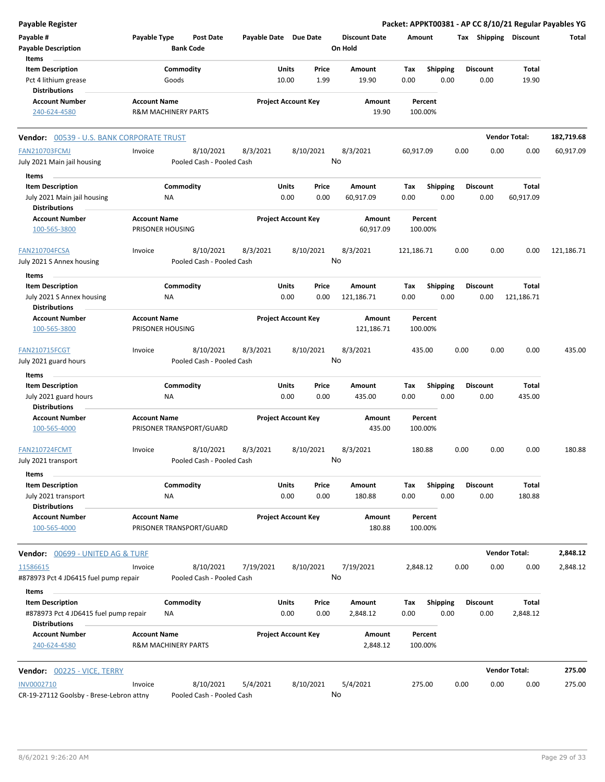| Payable Register                                              |                                                       |                                      |                       |                            |           |                                 |                    |                 |      |                 |                       | Packet: APPKT00381 - AP CC 8/10/21 Regular Payables YG |
|---------------------------------------------------------------|-------------------------------------------------------|--------------------------------------|-----------------------|----------------------------|-----------|---------------------------------|--------------------|-----------------|------|-----------------|-----------------------|--------------------------------------------------------|
| Payable #<br><b>Payable Description</b>                       | Payable Type                                          | <b>Post Date</b><br><b>Bank Code</b> | Payable Date Due Date |                            |           | <b>Discount Date</b><br>On Hold | Amount             |                 |      |                 | Tax Shipping Discount | Total                                                  |
| Items                                                         |                                                       |                                      |                       |                            |           |                                 |                    |                 |      |                 |                       |                                                        |
| <b>Item Description</b>                                       |                                                       | Commodity                            |                       | Units                      | Price     | Amount                          | Tax                | Shipping        |      | <b>Discount</b> | Total                 |                                                        |
| Pct 4 lithium grease<br><b>Distributions</b>                  |                                                       | Goods                                |                       | 10.00                      | 1.99      | 19.90                           | 0.00               | 0.00            |      | 0.00            | 19.90                 |                                                        |
| <b>Account Number</b>                                         | <b>Account Name</b>                                   |                                      |                       | <b>Project Account Key</b> |           | Amount                          | Percent            |                 |      |                 |                       |                                                        |
| 240-624-4580                                                  | <b>R&amp;M MACHINERY PARTS</b>                        |                                      |                       |                            |           | 19.90                           | 100.00%            |                 |      |                 |                       |                                                        |
| <b>Vendor: 00539 - U.S. BANK CORPORATE TRUST</b>              |                                                       |                                      |                       |                            |           |                                 |                    |                 |      |                 | <b>Vendor Total:</b>  | 182,719.68                                             |
| <b>FAN210703FCMJ</b>                                          | Invoice                                               | 8/10/2021                            | 8/3/2021              | 8/10/2021                  |           | 8/3/2021                        | 60,917.09          |                 | 0.00 | 0.00            | 0.00                  | 60,917.09                                              |
| July 2021 Main jail housing                                   |                                                       | Pooled Cash - Pooled Cash            |                       |                            |           | No                              |                    |                 |      |                 |                       |                                                        |
| Items                                                         |                                                       |                                      |                       |                            |           |                                 |                    |                 |      |                 |                       |                                                        |
| <b>Item Description</b>                                       |                                                       | Commodity                            |                       | Units                      | Price     | Amount                          | Tax                | <b>Shipping</b> |      | <b>Discount</b> | Total                 |                                                        |
| July 2021 Main jail housing<br><b>Distributions</b>           | ΝA                                                    |                                      |                       | 0.00                       | 0.00      | 60,917.09                       | 0.00               | 0.00            |      | 0.00            | 60,917.09             |                                                        |
| <b>Account Number</b>                                         | <b>Account Name</b>                                   |                                      |                       | <b>Project Account Key</b> |           | Amount                          | Percent            |                 |      |                 |                       |                                                        |
| 100-565-3800                                                  | PRISONER HOUSING                                      |                                      |                       |                            |           | 60,917.09                       | 100.00%            |                 |      |                 |                       |                                                        |
| <b>FAN210704FCSA</b>                                          | Invoice                                               | 8/10/2021                            | 8/3/2021              | 8/10/2021                  |           | 8/3/2021<br>No                  | 121,186.71         |                 | 0.00 | 0.00            | 0.00                  | 121,186.71                                             |
| July 2021 S Annex housing                                     |                                                       | Pooled Cash - Pooled Cash            |                       |                            |           |                                 |                    |                 |      |                 |                       |                                                        |
| Items                                                         |                                                       |                                      |                       |                            |           |                                 |                    |                 |      |                 |                       |                                                        |
| <b>Item Description</b>                                       |                                                       | Commodity                            |                       | Units                      | Price     | Amount                          | Tax                | <b>Shipping</b> |      | Discount        | Total                 |                                                        |
| July 2021 S Annex housing                                     | ΝA                                                    |                                      |                       | 0.00                       | 0.00      | 121,186.71                      | 0.00               | 0.00            |      | 0.00            | 121,186.71            |                                                        |
| <b>Distributions</b>                                          |                                                       |                                      |                       |                            |           |                                 |                    |                 |      |                 |                       |                                                        |
| <b>Account Number</b><br>100-565-3800                         | <b>Account Name</b><br>PRISONER HOUSING               |                                      |                       | <b>Project Account Key</b> |           | Amount<br>121,186.71            | Percent<br>100.00% |                 |      |                 |                       |                                                        |
| <b>FAN210715FCGT</b>                                          | Invoice                                               | 8/10/2021                            | 8/3/2021              | 8/10/2021                  |           | 8/3/2021                        | 435.00             |                 | 0.00 | 0.00            | 0.00                  | 435.00                                                 |
| July 2021 guard hours                                         |                                                       | Pooled Cash - Pooled Cash            |                       |                            |           | No                              |                    |                 |      |                 |                       |                                                        |
| Items                                                         |                                                       |                                      |                       |                            |           |                                 |                    |                 |      |                 |                       |                                                        |
| <b>Item Description</b>                                       |                                                       | Commodity                            |                       | Units                      | Price     | Amount                          | Tax                | <b>Shipping</b> |      | <b>Discount</b> | Total                 |                                                        |
| July 2021 guard hours                                         | ΝA                                                    |                                      |                       | 0.00                       | 0.00      | 435.00                          | 0.00               | 0.00            |      | 0.00            | 435.00                |                                                        |
| <b>Distributions</b>                                          |                                                       |                                      |                       |                            |           |                                 |                    |                 |      |                 |                       |                                                        |
| <b>Account Number</b><br>100-565-4000                         | <b>Account Name</b>                                   | PRISONER TRANSPORT/GUARD             |                       | <b>Project Account Key</b> |           | Amount<br>435.00                | Percent<br>100.00% |                 |      |                 |                       |                                                        |
| <b>FAN210724FCMT</b>                                          | Invoice                                               | 8/10/2021                            | 8/3/2021              |                            | 8/10/2021 | 8/3/2021                        | 180.88             |                 | 0.00 | 0.00            | 0.00                  | 180.88                                                 |
| July 2021 transport<br>Items                                  |                                                       | Pooled Cash - Pooled Cash            |                       |                            |           | No                              |                    |                 |      |                 |                       |                                                        |
| <b>Item Description</b>                                       |                                                       | Commodity                            |                       | Units                      | Price     | Amount                          | Tax                | <b>Shipping</b> |      | <b>Discount</b> | Total                 |                                                        |
| July 2021 transport<br><b>Distributions</b>                   | ΝA                                                    |                                      |                       | 0.00                       | 0.00      | 180.88                          | 0.00               | 0.00            |      | 0.00            | 180.88                |                                                        |
| <b>Account Number</b><br>100-565-4000                         | <b>Account Name</b>                                   | PRISONER TRANSPORT/GUARD             |                       | <b>Project Account Key</b> |           | Amount<br>180.88                | Percent<br>100.00% |                 |      |                 |                       |                                                        |
| <b>Vendor: 00699 - UNITED AG &amp; TURF</b>                   |                                                       |                                      |                       |                            |           |                                 |                    |                 |      |                 | <b>Vendor Total:</b>  | 2,848.12                                               |
| 11586615                                                      | Invoice                                               | 8/10/2021                            | 7/19/2021             |                            | 8/10/2021 | 7/19/2021                       | 2,848.12           |                 | 0.00 | 0.00            | 0.00                  | 2,848.12                                               |
| #878973 Pct 4 JD6415 fuel pump repair<br>Items                |                                                       | Pooled Cash - Pooled Cash            |                       |                            |           | No                              |                    |                 |      |                 |                       |                                                        |
| <b>Item Description</b>                                       |                                                       | Commodity                            |                       | Units                      | Price     | Amount                          | Тах                | <b>Shipping</b> |      | <b>Discount</b> | Total                 |                                                        |
| #878973 Pct 4 JD6415 fuel pump repair<br><b>Distributions</b> | ΝA                                                    |                                      |                       | 0.00                       | 0.00      | 2,848.12                        | 0.00               | 0.00            |      | 0.00            | 2,848.12              |                                                        |
| <b>Account Number</b><br>240-624-4580                         | <b>Account Name</b><br><b>R&amp;M MACHINERY PARTS</b> |                                      |                       | <b>Project Account Key</b> |           | Amount<br>2,848.12              | Percent<br>100.00% |                 |      |                 |                       |                                                        |
| Vendor: 00225 - VICE, TERRY                                   |                                                       |                                      |                       |                            |           |                                 |                    |                 |      |                 | <b>Vendor Total:</b>  | 275.00                                                 |
| INV0002710                                                    | Invoice                                               | 8/10/2021                            | 5/4/2021              |                            | 8/10/2021 | 5/4/2021                        | 275.00             |                 | 0.00 | 0.00            | 0.00                  | 275.00                                                 |
| CR-19-27112 Goolsby - Brese-Lebron attny                      |                                                       | Pooled Cash - Pooled Cash            |                       |                            |           | No                              |                    |                 |      |                 |                       |                                                        |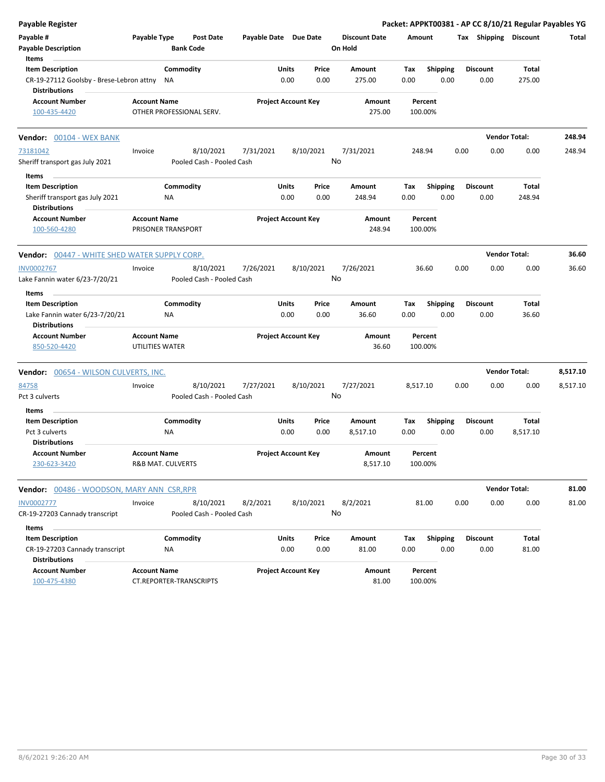| <b>Payable Register</b>                                                                              |                                                |                                        |                       |                            |                 |                                 |                    |                         |      |                         | Packet: APPKT00381 - AP CC 8/10/21 Regular Payables YG |          |
|------------------------------------------------------------------------------------------------------|------------------------------------------------|----------------------------------------|-----------------------|----------------------------|-----------------|---------------------------------|--------------------|-------------------------|------|-------------------------|--------------------------------------------------------|----------|
| Payable #<br><b>Payable Description</b>                                                              | Payable Type                                   | <b>Post Date</b><br><b>Bank Code</b>   | Payable Date Due Date |                            |                 | <b>Discount Date</b><br>On Hold | Amount             |                         |      | Tax Shipping Discount   |                                                        | Total    |
| Items<br><b>Item Description</b><br>CR-19-27112 Goolsby - Brese-Lebron attny<br><b>Distributions</b> | NA                                             | Commodity                              |                       | Units<br>0.00              | Price<br>0.00   | Amount<br>275.00                | Tax<br>0.00        | <b>Shipping</b><br>0.00 |      | <b>Discount</b><br>0.00 | Total<br>275.00                                        |          |
| <b>Account Number</b><br>100-435-4420                                                                | <b>Account Name</b>                            | OTHER PROFESSIONAL SERV.               |                       | <b>Project Account Key</b> |                 | Amount<br>275.00                | Percent<br>100.00% |                         |      |                         |                                                        |          |
| Vendor: 00104 - WEX BANK                                                                             |                                                |                                        |                       |                            |                 |                                 |                    |                         |      |                         | <b>Vendor Total:</b>                                   | 248.94   |
| 73181042<br>Sheriff transport gas July 2021                                                          | Invoice                                        | 8/10/2021<br>Pooled Cash - Pooled Cash | 7/31/2021             |                            | 8/10/2021<br>No | 7/31/2021                       | 248.94             |                         | 0.00 | 0.00                    | 0.00                                                   | 248.94   |
| Items<br><b>Item Description</b><br>Sheriff transport gas July 2021<br><b>Distributions</b>          | ΝA                                             | Commodity                              |                       | Units<br>0.00              | Price<br>0.00   | Amount<br>248.94                | Tax<br>0.00        | <b>Shipping</b><br>0.00 |      | <b>Discount</b><br>0.00 | Total<br>248.94                                        |          |
| <b>Account Number</b><br>100-560-4280                                                                | <b>Account Name</b><br>PRISONER TRANSPORT      |                                        |                       | <b>Project Account Key</b> |                 | Amount<br>248.94                | Percent<br>100.00% |                         |      |                         |                                                        |          |
| Vendor: 00447 - WHITE SHED WATER SUPPLY CORP.                                                        |                                                |                                        |                       |                            |                 |                                 |                    |                         |      |                         | <b>Vendor Total:</b>                                   | 36.60    |
| <b>INV0002767</b><br>Lake Fannin water 6/23-7/20/21                                                  | Invoice                                        | 8/10/2021<br>Pooled Cash - Pooled Cash | 7/26/2021             |                            | 8/10/2021<br>No | 7/26/2021                       | 36.60              |                         | 0.00 | 0.00                    | 0.00                                                   | 36.60    |
| Items                                                                                                |                                                |                                        |                       |                            |                 |                                 |                    |                         |      |                         |                                                        |          |
| <b>Item Description</b><br>Lake Fannin water 6/23-7/20/21<br><b>Distributions</b>                    | ΝA                                             | Commodity                              |                       | Units<br>0.00              | Price<br>0.00   | Amount<br>36.60                 | Tax<br>0.00        | <b>Shipping</b><br>0.00 |      | <b>Discount</b><br>0.00 | Total<br>36.60                                         |          |
| <b>Account Number</b><br>850-520-4420                                                                | <b>Account Name</b><br>UTILITIES WATER         |                                        |                       | <b>Project Account Key</b> |                 | Amount<br>36.60                 | Percent<br>100.00% |                         |      |                         |                                                        |          |
| <b>Vendor: 00654 - WILSON CULVERTS, INC.</b>                                                         |                                                |                                        |                       |                            |                 |                                 |                    |                         |      |                         | <b>Vendor Total:</b>                                   | 8,517.10 |
| 84758<br>Pct 3 culverts                                                                              | Invoice                                        | 8/10/2021<br>Pooled Cash - Pooled Cash | 7/27/2021             |                            | 8/10/2021<br>No | 7/27/2021                       | 8,517.10           |                         | 0.00 | 0.00                    | 0.00                                                   | 8,517.10 |
| Items<br><b>Item Description</b>                                                                     |                                                | Commodity                              |                       | Units                      | Price           | <b>Amount</b>                   | Tax                | <b>Shipping</b>         |      | <b>Discount</b>         | Total                                                  |          |
| Pct 3 culverts<br><b>Distributions</b>                                                               | <b>NA</b>                                      |                                        |                       | 0.00                       | 0.00            | 8,517.10                        | 0.00               | 0.00                    |      | 0.00                    | 8,517.10                                               |          |
| <b>Account Number</b><br>230-623-3420                                                                | <b>Account Name</b><br>R&B MAT. CULVERTS       |                                        |                       | <b>Project Account Key</b> |                 | Amount<br>8,517.10              | Percent<br>100.00% |                         |      |                         |                                                        |          |
| <b>Vendor: 00486 - WOODSON, MARY ANN CSR, RPR</b>                                                    |                                                |                                        |                       |                            |                 |                                 |                    |                         |      |                         | <b>Vendor Total:</b>                                   | 81.00    |
| <b>INV0002777</b><br>CR-19-27203 Cannady transcript                                                  | Invoice                                        | 8/10/2021<br>Pooled Cash - Pooled Cash | 8/2/2021              |                            | 8/10/2021<br>No | 8/2/2021                        | 81.00              |                         | 0.00 | 0.00                    | 0.00                                                   | 81.00    |
| Items<br><b>Item Description</b>                                                                     |                                                | Commodity                              |                       | Units                      | Price           | Amount                          | Tax                | <b>Shipping</b>         |      | <b>Discount</b>         | Total                                                  |          |
| CR-19-27203 Cannady transcript<br><b>Distributions</b>                                               | ΝA                                             |                                        |                       | 0.00                       | 0.00            | 81.00                           | 0.00               | 0.00                    |      | 0.00                    | 81.00                                                  |          |
| <b>Account Number</b><br>100-475-4380                                                                | <b>Account Name</b><br>CT.REPORTER-TRANSCRIPTS |                                        |                       | <b>Project Account Key</b> |                 | Amount<br>81.00                 | Percent<br>100.00% |                         |      |                         |                                                        |          |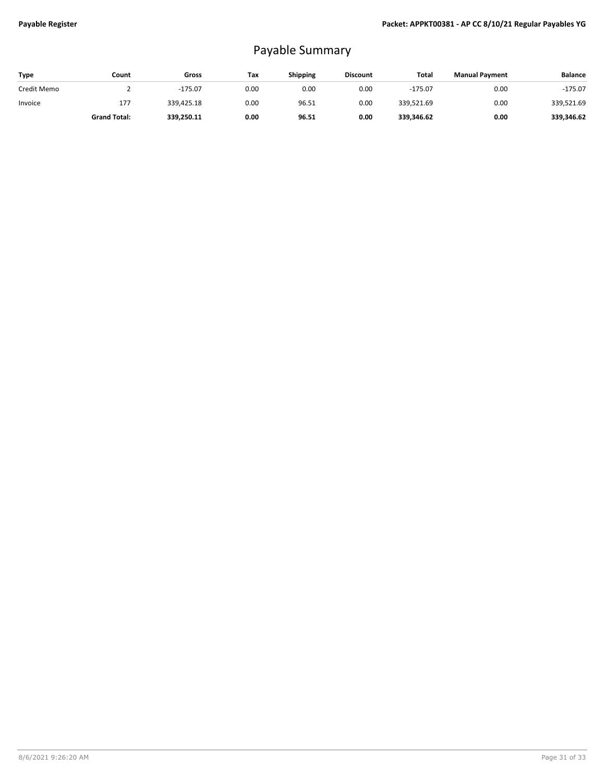## Payable Summary

| <b>Type</b> | Count               | Gross      | Tax  | Shipping | <b>Discount</b> | Total      | <b>Manual Payment</b> | <b>Balance</b> |
|-------------|---------------------|------------|------|----------|-----------------|------------|-----------------------|----------------|
| Credit Memo |                     | $-175.07$  | 0.00 | 0.00     | 0.00            | $-175.07$  | 0.00                  | $-175.07$      |
| Invoice     | 177                 | 339,425.18 | 0.00 | 96.51    | 0.00            | 339,521.69 | 0.00                  | 339,521.69     |
|             | <b>Grand Total:</b> | 339,250.11 | 0.00 | 96.51    | 0.00            | 339,346.62 | 0.00                  | 339.346.62     |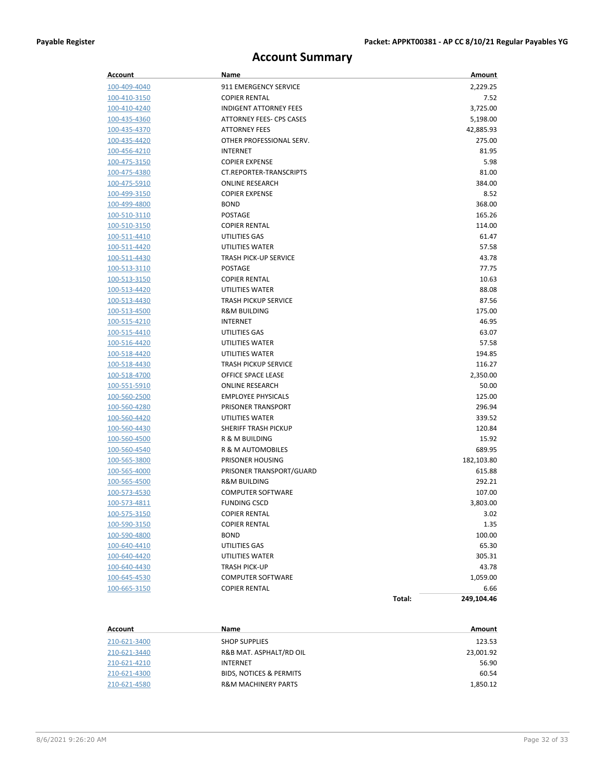### **Account Summary**

| Account             | Name                           |        | Amount     |
|---------------------|--------------------------------|--------|------------|
| 100-409-4040        | 911 EMERGENCY SERVICE          |        | 2,229.25   |
| 100-410-3150        | <b>COPIER RENTAL</b>           |        | 7.52       |
| 100-410-4240        | <b>INDIGENT ATTORNEY FEES</b>  |        | 3,725.00   |
| <u>100-435-4360</u> | ATTORNEY FEES- CPS CASES       |        | 5,198.00   |
| 100-435-4370        | <b>ATTORNEY FEES</b>           |        | 42,885.93  |
| 100-435-4420        | OTHER PROFESSIONAL SERV.       |        | 275.00     |
| 100-456-4210        | <b>INTERNET</b>                |        | 81.95      |
| 100-475-3150        | <b>COPIER EXPENSE</b>          |        | 5.98       |
| 100-475-4380        | <b>CT.REPORTER-TRANSCRIPTS</b> |        | 81.00      |
| 100-475-5910        | <b>ONLINE RESEARCH</b>         |        | 384.00     |
| <u>100-499-3150</u> | <b>COPIER EXPENSE</b>          |        | 8.52       |
| 100-499-4800        | <b>BOND</b>                    |        | 368.00     |
| 100-510-3110        | POSTAGE                        |        | 165.26     |
| <u>100-510-3150</u> | <b>COPIER RENTAL</b>           |        | 114.00     |
| 100-511-4410        | UTILITIES GAS                  |        | 61.47      |
| <u>100-511-4420</u> | UTILITIES WATER                |        | 57.58      |
| 100-511-4430        | <b>TRASH PICK-UP SERVICE</b>   |        | 43.78      |
| 100-513-3110        | POSTAGE                        |        | 77.75      |
| 100-513-3150        | <b>COPIER RENTAL</b>           |        | 10.63      |
| 100-513-4420        | UTILITIES WATER                |        | 88.08      |
| <u>100-513-4430</u> | <b>TRASH PICKUP SERVICE</b>    |        | 87.56      |
| 100-513-4500        | <b>R&amp;M BUILDING</b>        |        | 175.00     |
| 100-515-4210        | INTERNET                       |        | 46.95      |
| <u>100-515-4410</u> | UTILITIES GAS                  |        | 63.07      |
| 100-516-4420        | UTILITIES WATER                |        | 57.58      |
| <u>100-518-4420</u> | UTILITIES WATER                |        | 194.85     |
| 100-518-4430        | <b>TRASH PICKUP SERVICE</b>    |        | 116.27     |
| 100-518-4700        | OFFICE SPACE LEASE             |        | 2,350.00   |
| <u>100-551-5910</u> | <b>ONLINE RESEARCH</b>         |        | 50.00      |
| 100-560-2500        | <b>EMPLOYEE PHYSICALS</b>      |        | 125.00     |
| 100-560-4280        | <b>PRISONER TRANSPORT</b>      |        | 296.94     |
| 100-560-4420        | UTILITIES WATER                |        | 339.52     |
| 100-560-4430        | SHERIFF TRASH PICKUP           |        | 120.84     |
| 100-560-4500        | R & M BUILDING                 |        | 15.92      |
| 100-560-4540        | R & M AUTOMOBILES              |        | 689.95     |
| 100-565-3800        | PRISONER HOUSING               |        | 182,103.80 |
| 100-565-4000        | PRISONER TRANSPORT/GUARD       |        | 615.88     |
| 100-565-4500        | <b>R&amp;M BUILDING</b>        |        | 292.21     |
| 100-573-4530        | <b>COMPUTER SOFTWARE</b>       |        | 107.00     |
| 100-573-4811        | <b>FUNDING CSCD</b>            |        | 3,803.00   |
| 100-575-3150        | <b>COPIER RENTAL</b>           |        | 3.02       |
| 100-590-3150        | <b>COPIER RENTAL</b>           |        | 1.35       |
| 100-590-4800        | <b>BOND</b>                    |        | 100.00     |
| 100-640-4410        | UTILITIES GAS                  |        | 65.30      |
| 100-640-4420        | UTILITIES WATER                |        | 305.31     |
| 100-640-4430        | <b>TRASH PICK-UP</b>           |        | 43.78      |
| 100-645-4530        | <b>COMPUTER SOFTWARE</b>       |        | 1,059.00   |
| 100-665-3150        | <b>COPIER RENTAL</b>           |        | 6.66       |
|                     |                                | Total: | 249,104.46 |

| Account      | Name                               | Amount    |
|--------------|------------------------------------|-----------|
| 210-621-3400 | <b>SHOP SUPPLIES</b>               | 123.53    |
| 210-621-3440 | R&B MAT. ASPHALT/RD OIL            | 23,001.92 |
| 210-621-4210 | <b>INTERNET</b>                    | 56.90     |
| 210-621-4300 | <b>BIDS, NOTICES &amp; PERMITS</b> | 60.54     |
| 210-621-4580 | <b>R&amp;M MACHINERY PARTS</b>     | 1.850.12  |